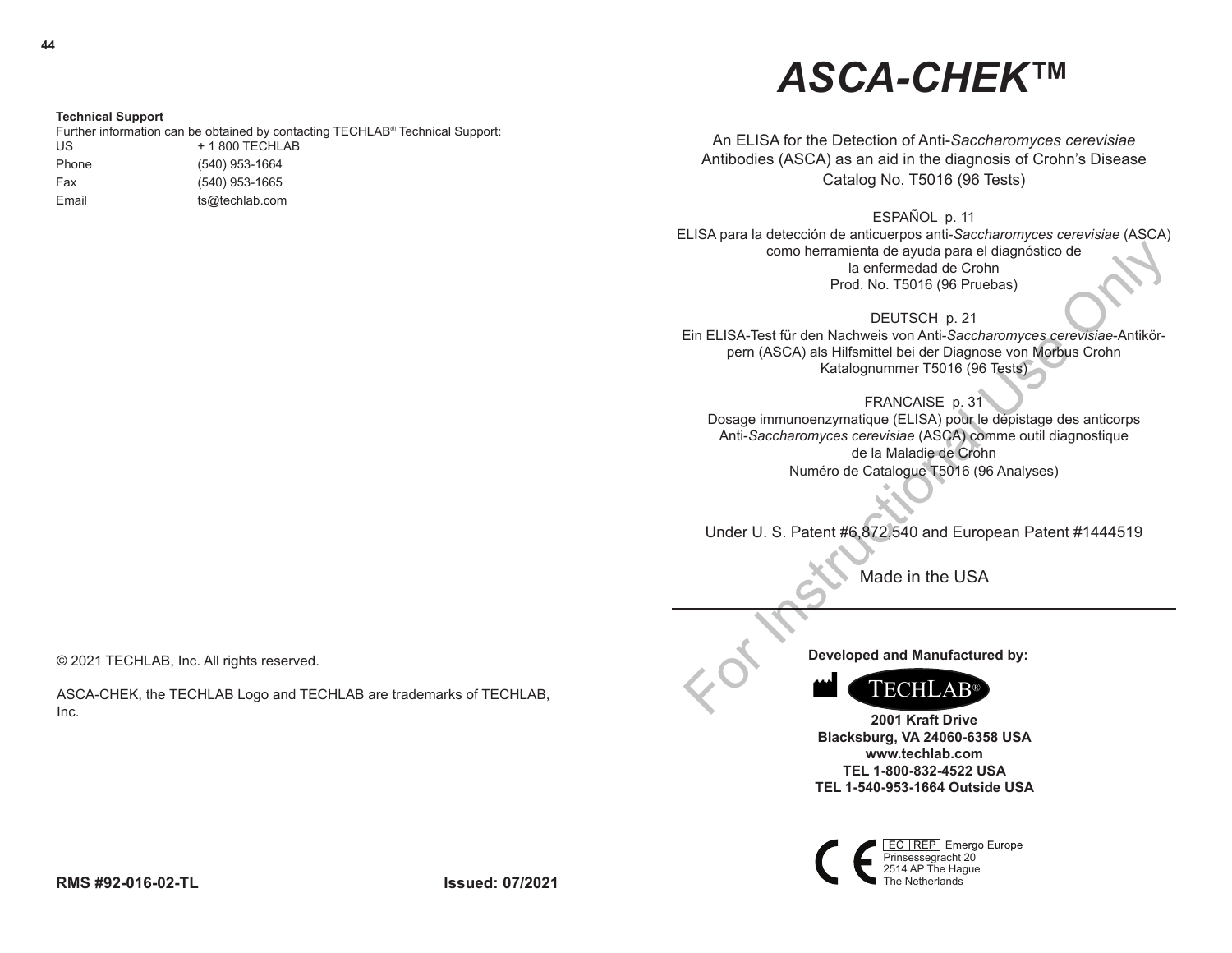# *ASCA-CHEK***™**

An ELISA for the Detection of Anti-*Saccharomyces cerevisiae*  Antibodies (ASCA) as an aid in the diagnosis of Crohn's Disease Catalog No. T5016 (96 Tests)

ESPAÑOL p. 11

ELISA para la detección de anticuerpos anti-*Saccharomyces cerevisiae* (ASCA) como herramienta de ayuda para el diagnóstico de la enfermedad de Crohn Prod. No. T5016 (96 Pruebas)

DEUTSCH p. 21

Ein ELISA-Test für den Nachweis von Anti-*Saccharomyces cerevisiae*-Antikörpern (ASCA) als Hilfsmittel bei der Diagnose von Morbus Crohn Katalognummer T5016 (96 Tests)

FRANCAISE p. 31 Dosage immunoenzymatique (ELISA) pour le dépistage des anticorps Anti-*Saccharomyces cerevisiae* (ASCA) comme outil diagnostique de la Maladie de Crohn Numéro de Catalogue T5016 (96 Analyses) como herramienta de ayuda para el diagnóstico de<br>
Prod. No. T5016 (96 Pruebas)<br>
DEUTSCH p. 21<br>
DEUTSCH p. 21<br>
DEUTSCH p. 21<br>
DEUTSCH p. 21<br>
perr (ASCA) als Hilfsmittel bei der Diagnose von Morbus Crohn<br>
Katalognummer T5016

Under U. S. Patent #6,872,540 and European Patent #1444519

Made in the USA

**Developed and Manufactured by:**



**2001 Kraft Drive Blacksburg, VA 24060-6358 USA www.techlab.com TEL 1-800-832-4522 USA TEL 1-540-953-1664 Outside USA**

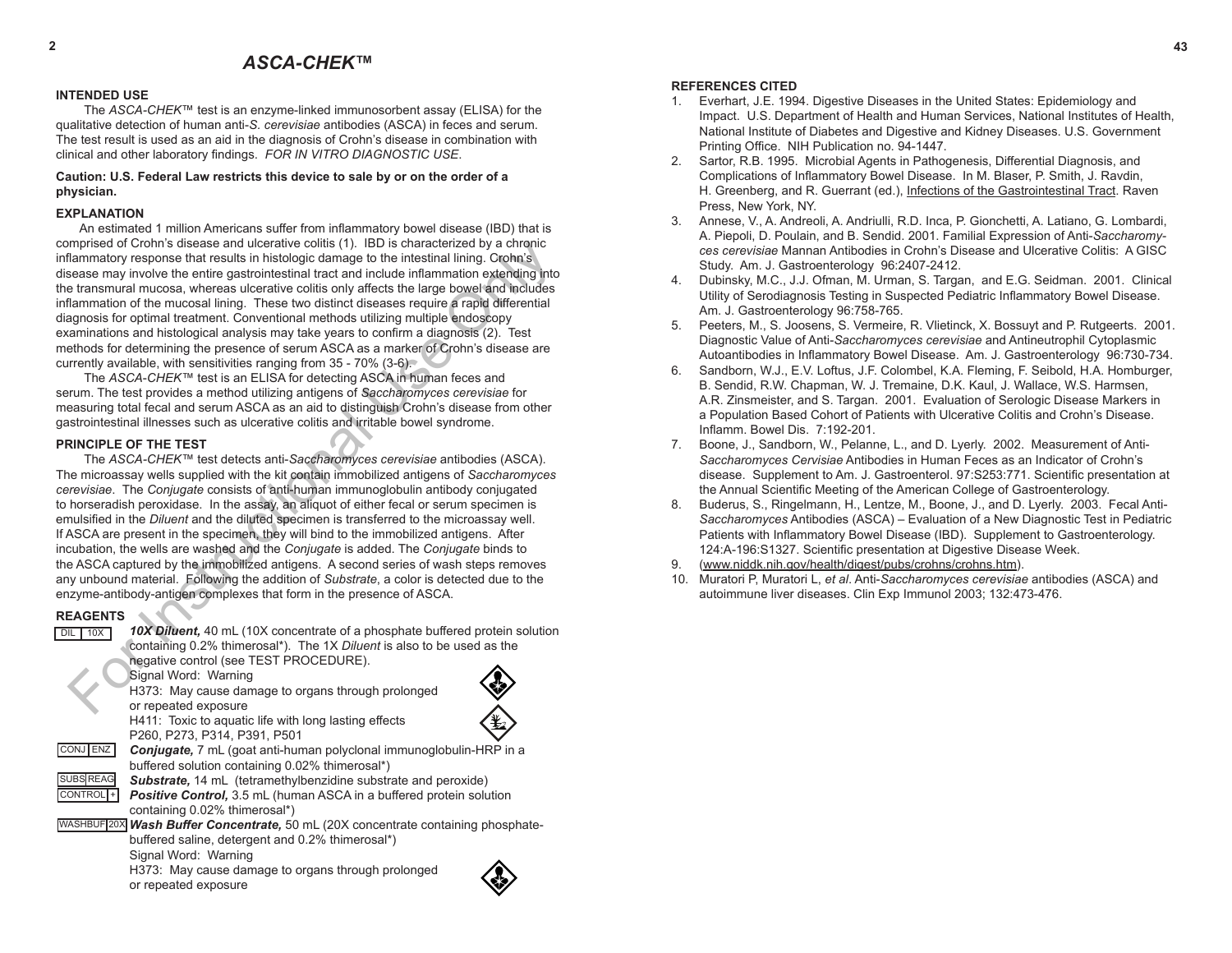#### **INTENDED USE**

The *ASCA-CHEK*™ test is an enzyme-linked immunosorbent assay (ELISA) for the qualitative detection of human anti-*S. cerevisiae* antibodies (ASCA) in feces and serum. The test result is used as an aid in the diagnosis of Crohn's disease in combination with clinical and other laboratory findings. *FOR IN VITRO DIAGNOSTIC USE*.

#### **Caution: U.S. Federal Law restricts this device to sale by or on the order of a physician.**

### **EXPLANATION**

An estimated 1 million Americans suffer from inflammatory bowel disease (IBD) that is comprised of Crohn's disease and ulcerative colitis (1). IBD is characterized by a chronic inflammatory response that results in histologic damage to the intestinal lining. Crohn's disease may involve the entire gastrointestinal tract and include inflammation extending into the transmural mucosa, whereas ulcerative colitis only affects the large bowel and includes inflammation of the mucosal lining. These two distinct diseases require a rapid differential diagnosis for optimal treatment. Conventional methods utilizing multiple endoscopy examinations and histological analysis may take years to confirm a diagnosis (2). Test methods for determining the presence of serum ASCA as a marker of Crohn's disease are currently available, with sensitivities ranging from 35 - 70% (3-6).

The *ASCA*-*CHEK™* test is an ELISA for detecting ASCA in human feces and serum. The test provides a method utilizing antigens of *Saccharomyces cerevisiae* for measuring total fecal and serum ASCA as an aid to distinguish Crohn's disease from other gastrointestinal illnesses such as ulcerative colitis and irritable bowel syndrome.

#### **PRINCIPLE OF THE TEST**

The *ASCA-CHEK™* test detects anti-*Saccharomyces cerevisiae* antibodies (ASCA). The microassay wells supplied with the kit contain immobilized antigens of *Saccharomyces cerevisiae*. The *Conjugate* consists of anti-human immunoglobulin antibody conjugated to horseradish peroxidase. In the assay, an aliquot of either fecal or serum specimen is emulsified in the *Diluent* and the diluted specimen is transferred to the microassay well. If ASCA are present in the specimen, they will bind to the immobilized antigens. After incubation, the wells are washed and the *Conjugate* is added. The *Conjugate* binds to the ASCA captured by the immobilized antigens. A second series of wash steps removes any unbound material. Following the addition of *Substrate*, a color is detected due to the enzyme-antibody-antigen complexes that form in the presence of ASCA. mpresed of Cronin's disease and ulcerative colities (15). Use characterized by a chronine term and the entire gaster may involve the entire and include inflamention of the murosal liming. These two distinct distinct and i

# **REAGENTS**

| 10X<br>DIL       | 10X Diluent, 40 mL (10X concentrate of a phosphate buffered protein solution |
|------------------|------------------------------------------------------------------------------|
|                  | containing 0.2% thimerosal*). The 1X Diluent is also to be used as the       |
|                  | negative control (see TEST PROCEDURE).                                       |
|                  | Signal Word: Warning                                                         |
|                  | H373: May cause damage to organs through prolonged                           |
|                  | or repeated exposure                                                         |
|                  | H411: Toxic to aquatic life with long lasting effects                        |
|                  | P260, P273, P314, P391, P501                                                 |
| ENZ              | <b>Conjugate, 7</b> mL (goat anti-human polyclonal immunoglobulin-HRP in a   |
|                  | buffered solution containing 0.02% thimerosal*)                              |
| <b>SUBS REAG</b> | <b>Substrate, 14 mL</b> (tetramethylbenzidine substrate and peroxide)        |
| <b>CONTROL</b>   | Positive Control, 3.5 mL (human ASCA in a buffered protein solution          |
|                  | containing 0.02% thimerosal*)                                                |
| <b>WASHBUF</b>   | Wash Buffer Concentrate, 50 mL (20X concentrate containing phosphate-        |
|                  | buffered saline, detergent and 0.2% thimerosal*)                             |
|                  | Signal Word: Warning                                                         |
|                  | H373: May cause damage to organs through prolonged                           |
|                  | or repeated exposure                                                         |
|                  |                                                                              |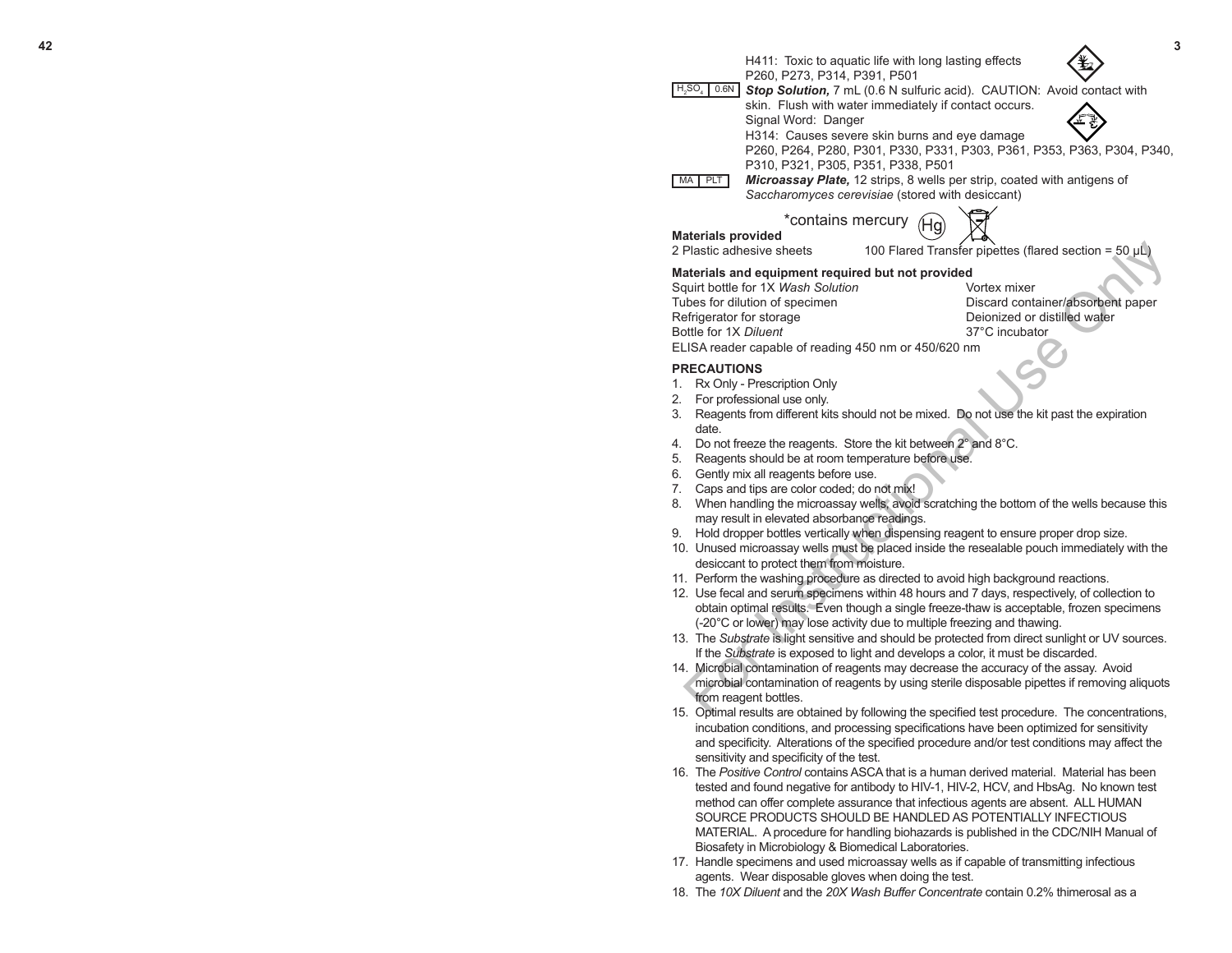

### **PRECAUTIONS**

- 1. Rx Only Prescription Only
- 2. For professional use only.
- 3. Reagents from different kits should not be mixed. Do not use the kit past the expiration date.
- 4. Do not freeze the reagents. Store the kit between 2° and 8°C.
- 5. Reagents should be at room temperature before use.
- 6. Gently mix all reagents before use.
- 7. Caps and tips are color coded; do not mix!
- 8. When handling the microassay wells, avoid scratching the bottom of the wells because this may result in elevated absorbance readings.
- 9. Hold dropper bottles vertically when dispensing reagent to ensure proper drop size.
- 10. Unused microassay wells must be placed inside the resealable pouch immediately with the desiccant to protect them from moisture.
- 11. Perform the washing procedure as directed to avoid high background reactions.
- 12. Use fecal and serum specimens within 48 hours and 7 days, respectively, of collection to obtain optimal results. Even though a single freeze-thaw is acceptable, frozen specimens (-20°C or lower) may lose activity due to multiple freezing and thawing.
- 13. The *Substrate* is light sensitive and should be protected from direct sunlight or UV sources. If the *Substrate* is exposed to light and develops a color, it must be discarded.
- 14. Microbial contamination of reagents may decrease the accuracy of the assay. Avoid microbial contamination of reagents by using sterile disposable pipettes if removing aliquots from reagent bottles.
- 15. Optimal results are obtained by following the specified test procedure. The concentrations, incubation conditions, and processing specifications have been optimized for sensitivity and specificity. Alterations of the specified procedure and/or test conditions may affect the sensitivity and specificity of the test.
- 16. The *Positive Control* contains ASCA that is a human derived material. Material has been tested and found negative for antibody to HIV-1, HIV-2, HCV, and HbsAg. No known test method can offer complete assurance that infectious agents are absent. ALL HUMAN SOURCE PRODUCTS SHOULD BE HANDLED AS POTENTIALLY INFECTIOUS MATERIAL. A procedure for handling biohazards is published in the CDC/NIH Manual of Biosafety in Microbiology & Biomedical Laboratories.
- 17. Handle specimens and used microassay wells as if capable of transmitting infectious agents. Wear disposable gloves when doing the test.
- 18. The *10X Diluent* and the *20X Wash Buffer Concentrate* contain 0.2% thimerosal as a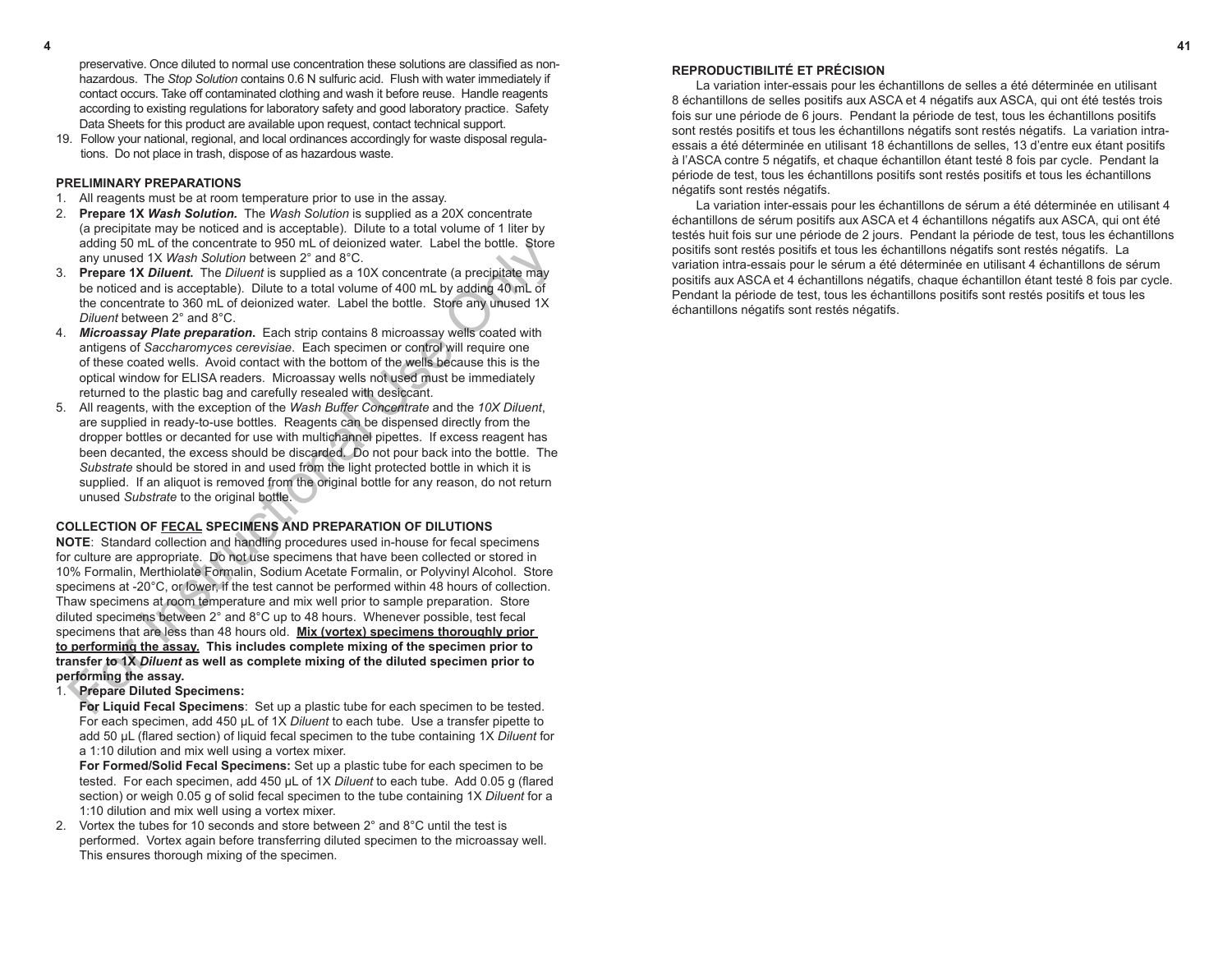preservative. Once diluted to normal use concentration these solutions are classified as nonhazardous. The *Stop Solution* contains 0.6 N sulfuric acid. Flush with water immediately if contact occurs. Take off contaminated clothing and wash it before reuse. Handle reagents according to existing regulations for laboratory safety and good laboratory practice. Safety Data Sheets for this product are available upon request, contact technical support.

19. Follow your national, regional, and local ordinances accordingly for waste disposal regulations. Do not place in trash, dispose of as hazardous waste.

#### **PRELIMINARY PREPARATIONS**

- 1. All reagents must be at room temperature prior to use in the assay.
- 2. **Prepare 1X** *Wash Solution.* The *Wash Solution* is supplied as a 20X concentrate (a precipitate may be noticed and is acceptable). Dilute to a total volume of 1 liter by adding 50 mL of the concentrate to 950 mL of deionized water. Label the bottle. Store any unused 1X *Wash Solution* between 2° and 8°C.
- 3. **Prepare 1X** *Diluent***.** The *Diluent* is supplied as a 10X concentrate (a precipitate may be noticed and is acceptable). Dilute to a total volume of 400 mL by adding 40 mL of the concentrate to 360 mL of deionized water. Label the bottle. Store any unused 1X *Diluent* between 2° and 8°C.
- 4. *Microassay Plate preparation***.** Each strip contains 8 microassay wells coated with antigens of *Saccharomyces cerevisiae*. Each specimen or control will require one of these coated wells. Avoid contact with the bottom of the wells because this is the optical window for ELISA readers. Microassay wells not used must be immediately returned to the plastic bag and carefully resealed with desiccant.
- 5. All reagents, with the exception of the *Wash Buffer Concentrate* and the *10X Diluent*, are supplied in ready-to-use bottles. Reagents can be dispensed directly from the dropper bottles or decanted for use with multichannel pipettes. If excess reagent has been decanted, the excess should be discarded. Do not pour back into the bottle. The *Substrate* should be stored in and used from the light protected bottle in which it is supplied. If an aliquot is removed from the original bottle for any reason, do not return unused *Substrate* to the original bottle.

# **COLLECTION OF FECAL SPECIMENS AND PREPARATION OF DILUTIONS**

**NOTE**: Standard collection and handling procedures used in-house for fecal specimens for culture are appropriate. Do not use specimens that have been collected or stored in 10% Formalin, Merthiolate Formalin, Sodium Acetate Formalin, or Polyvinyl Alcohol. Store specimens at -20°C, or lower, if the test cannot be performed within 48 hours of collection. Thaw specimens at room temperature and mix well prior to sample preparation. Store diluted specimens between 2° and 8°C up to 48 hours. Whenever possible, test fecal specimens that are less than 48 hours old. **Mix (vortex) specimens thoroughly prior to performing the assay. This includes complete mixing of the specimen prior to transfer to 1X** *Diluent* **as well as complete mixing of the diluted specimen prior to performing the assay.**  adding but of the concentrate to the use of the concentrate of the specifical map<br>and y unused 1X Wash Solution between 2<sup>3</sup> and 8<sup>°C</sup>.<br>**Prepare 1X** Dilute to 400 mL of decinating and y concentrate (a precipital enay<br>**Prep** 

# 1. **Prepare Diluted Specimens:**

**For Liquid Fecal Specimens**: Set up a plastic tube for each specimen to be tested. For each specimen, add 450 µL of 1X *Diluent* to each tube. Use a transfer pipette to add 50 µL (flared section) of liquid fecal specimen to the tube containing 1X *Diluent* for a 1:10 dilution and mix well using a vortex mixer.

**For Formed/Solid Fecal Specimens:** Set up a plastic tube for each specimen to be tested. For each specimen, add 450 µL of 1X *Diluent* to each tube. Add 0.05 g (flared section) or weigh 0.05 g of solid fecal specimen to the tube containing 1X *Diluent* for a 1:10 dilution and mix well using a vortex mixer.

2. Vortex the tubes for 10 seconds and store between 2° and 8°C until the test is performed. Vortex again before transferring diluted specimen to the microassay well. This ensures thorough mixing of the specimen.

**4 41**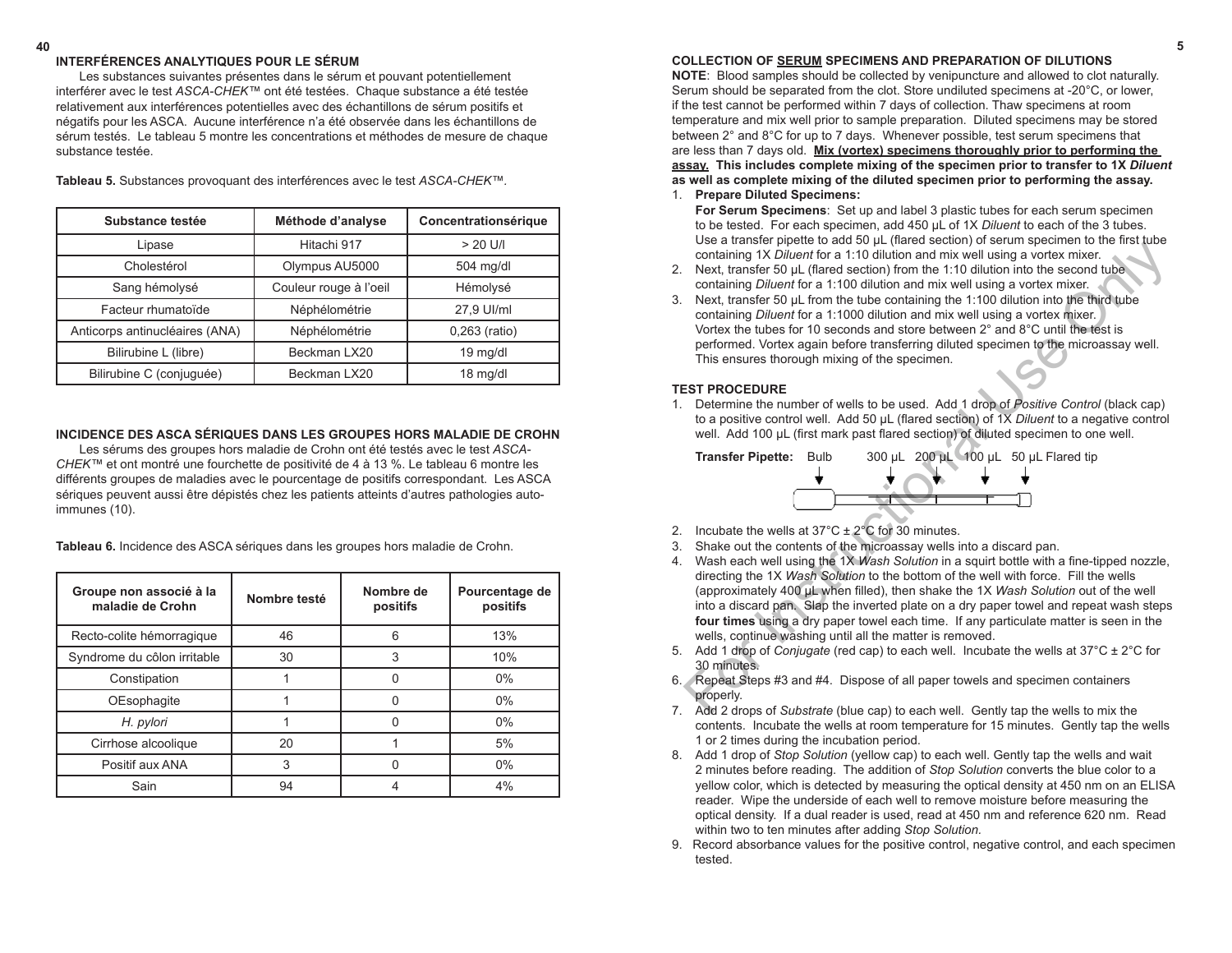#### **40 5 COLLECTION OF SERUM SPECIMENS AND PREPARATION OF DILUTIONS**

**NOTE**: Blood samples should be collected by venipuncture and allowed to clot naturally. Serum should be separated from the clot. Store undiluted specimens at -20°C, or lower, if the test cannot be performed within 7 days of collection. Thaw specimens at room temperature and mix well prior to sample preparation. Diluted specimens may be stored between 2° and 8°C for up to 7 days. Whenever possible, test serum specimens that are less than 7 days old. **Mix (vortex) specimens thoroughly prior to performing the assay. This includes complete mixing of the specimen prior to transfer to 1X** *Diluent*  **as well as complete mixing of the diluted specimen prior to performing the assay.** 

- 1. **Prepare Diluted Specimens: For Serum Specimens**: Set up and label 3 plastic tubes for each serum specimen to be tested. For each specimen, add 450 µL of 1X *Diluent* to each of the 3 tubes. Use a transfer pipette to add 50 µL (flared section) of serum specimen to the first tube containing 1X *Diluent* for a 1:10 dilution and mix well using a vortex mixer.
- 2. Next, transfer 50 µL (flared section) from the 1:10 dilution into the second tube containing *Diluent* for a 1:100 dilution and mix well using a vortex mixer.
- 3. Next, transfer 50 µL from the tube containing the 1:100 dilution into the third tube containing *Diluent* for a 1:1000 dilution and mix well using a vortex mixer. Vortex the tubes for 10 seconds and store between 2° and 8°C until the test is performed. Vortex again before transferring diluted specimen to the microassay well. This ensures thorough mixing of the specimen.

### **TEST PROCEDURE**

1. Determine the number of wells to be used. Add 1 drop of *Positive Control* (black cap) to a positive control well. Add 50 µL (flared section) of 1X *Diluent* to a negative control well. Add 100 µL (first mark past flared section) of diluted specimen to one well.



- 2. Incubate the wells at  $37^{\circ}$ C  $\pm$  2 $^{\circ}$ C for 30 minutes.
- 3. Shake out the contents of the microassay wells into a discard pan.
- 4. Wash each well using the 1X *Wash Solution* in a squirt bottle with a fine-tipped nozzle, directing the 1X *Wash Solution* to the bottom of the well with force. Fill the wells (approximately 400 µL when filled), then shake the 1X *Wash Solution* out of the well into a discard pan. Slap the inverted plate on a dry paper towel and repeat wash steps **four times** using a dry paper towel each time. If any particulate matter is seen in the wells, continue washing until all the matter is removed. So a valuative proper to associate that the method is the reactor of the section of the section of the reaction from the 1:10 dilution and mix well using a vortex mixer.<br>Next, transfers 50  $\mu$  (flared section) from the 1
- 5. Add 1 drop of *Conjugate* (red cap) to each well. Incubate the wells at 37°C ± 2°C for 30 minutes.
- 6. Repeat Steps #3 and #4. Dispose of all paper towels and specimen containers properly.
- 7.Add 2 drops of *Substrate* (blue cap) to each well. Gently tap the wells to mix the contents. Incubate the wells at room temperature for 15 minutes. Gently tap the wells 1 or 2 times during the incubation period.
- 8. Add 1 drop of *Stop Solution* (yellow cap) to each well. Gently tap the wells and wait 2 minutes before reading. The addition of *Stop Solution* converts the blue color to a yellow color, which is detected by measuring the optical density at 450 nm on an ELISA reader. Wipe the underside of each well to remove moisture before measuring the optical density. If a dual reader is used, read at 450 nm and reference 620 nm. Read within two to ten minutes after adding *Stop Solution.*
- 9. Record absorbance values for the positive control, negative control, and each specimen tested.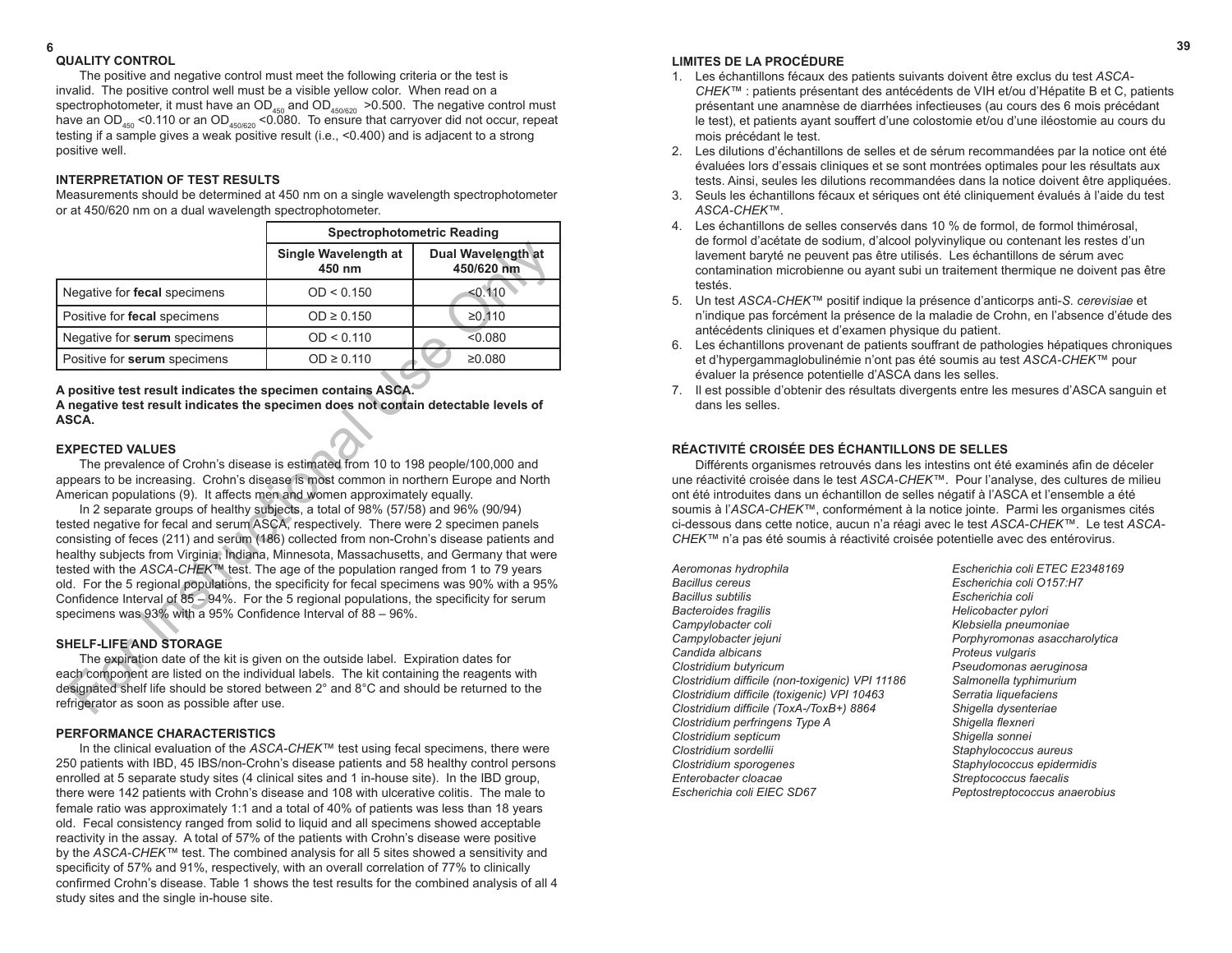#### **6 39 QUALITY CONTROL**

The positive and negative control must meet the following criteria or the test is invalid. The positive control well must be a visible yellow color. When read on a spectrophotometer, it must have an OD<sub>450</sub> and OD<sub>450/620</sub> >0.500. The negative control must have an OD<sub>450</sub> <0.110 or an OD<sub>450/620</sub> <0.080. To ensure that carryover did not occur, repeat testing if a sample gives a weak positive result (i.e., <0.400) and is adjacent to a strong positive well.

# **INTERPRETATION OF TEST RESULTS**

Measurements should be determined at 450 nm on a single wavelength spectrophotometer or at 450/620 nm on a dual wavelength spectrophotometer.

|                                                                                                                                                                                                                                                                                                                                                                                                                                                                                                                                                                                                                                                                                                                                                                                                                                                                                                                                                                                                                                                                                                                                                                                                              | <b>Spectrophotometric Reading</b> |                                  |  |
|--------------------------------------------------------------------------------------------------------------------------------------------------------------------------------------------------------------------------------------------------------------------------------------------------------------------------------------------------------------------------------------------------------------------------------------------------------------------------------------------------------------------------------------------------------------------------------------------------------------------------------------------------------------------------------------------------------------------------------------------------------------------------------------------------------------------------------------------------------------------------------------------------------------------------------------------------------------------------------------------------------------------------------------------------------------------------------------------------------------------------------------------------------------------------------------------------------------|-----------------------------------|----------------------------------|--|
|                                                                                                                                                                                                                                                                                                                                                                                                                                                                                                                                                                                                                                                                                                                                                                                                                                                                                                                                                                                                                                                                                                                                                                                                              | Single Wavelength at<br>450 nm    | Dual Wavelength at<br>450/620 nm |  |
| Negative for fecal specimens                                                                                                                                                                                                                                                                                                                                                                                                                                                                                                                                                                                                                                                                                                                                                                                                                                                                                                                                                                                                                                                                                                                                                                                 | OD < 0.150                        | < 0.110                          |  |
| Positive for fecal specimens                                                                                                                                                                                                                                                                                                                                                                                                                                                                                                                                                                                                                                                                                                                                                                                                                                                                                                                                                                                                                                                                                                                                                                                 | $OD \ge 0.150$                    | ≥0.110                           |  |
| Negative for serum specimens                                                                                                                                                                                                                                                                                                                                                                                                                                                                                                                                                                                                                                                                                                                                                                                                                                                                                                                                                                                                                                                                                                                                                                                 | OD < 0.110                        | < 0.080                          |  |
| Positive for serum specimens                                                                                                                                                                                                                                                                                                                                                                                                                                                                                                                                                                                                                                                                                                                                                                                                                                                                                                                                                                                                                                                                                                                                                                                 | $OD \ge 0.110$                    | ≥0.080                           |  |
| A positive test result indicates the specimen contains ASCA.<br>A negative test result indicates the specimen does not contain detectable levels of<br>ASCA.<br><b>EXPECTED VALUES</b><br>The prevalence of Crohn's disease is estimated from 10 to 198 people/100,000 and<br>appears to be increasing. Crohn's disease is most common in northern Europe and North<br>American populations (9). It affects men and women approximately equally.<br>In 2 separate groups of healthy subjects, a total of 98% (57/58) and 96% (90/94)<br>tested negative for fecal and serum ASCA, respectively. There were 2 specimen panels<br>consisting of feces (211) and serum (186) collected from non-Crohn's disease patients and<br>healthy subjects from Virginia, Indiana, Minnesota, Massachusetts, and Germany that were<br>tested with the ASCA-CHEK™ test. The age of the population ranged from 1 to 79 years<br>old. For the 5 regional populations, the specificity for fecal specimens was 90% with a 95%<br>Confidence Interval of 85 - 94%. For the 5 regional populations, the specificity for serum<br>specimens was 93% with a 95% Confidence Interval of 88 - 96%.<br><b>SHELF-LIFE AND STORAGE</b> |                                   |                                  |  |
| The expiration date of the kit is given on the outside label. Expiration dates for<br>each component are listed on the individual labels. The kit containing the reagents with<br>designated shelf life should be stored between 2° and 8°C and should be returned to the<br>refrigerator as soon as possible after use.                                                                                                                                                                                                                                                                                                                                                                                                                                                                                                                                                                                                                                                                                                                                                                                                                                                                                     |                                   |                                  |  |

#### **EXPECTED VALUES**

# **SHELF-LIFE AND STORAGE**

# **PERFORMANCE CHARACTERISTICS**

In the clinical evaluation of the *ASCA-CHEK™* test using fecal specimens, there were 250 patients with IBD, 45 IBS/non-Crohn's disease patients and 58 healthy control persons enrolled at 5 separate study sites (4 clinical sites and 1 in-house site). In the IBD group, there were 142 patients with Crohn's disease and 108 with ulcerative colitis. The male to female ratio was approximately 1:1 and a total of 40% of patients was less than 18 years old. Fecal consistency ranged from solid to liquid and all specimens showed acceptable reactivity in the assay. A total of 57% of the patients with Crohn's disease were positive by the *ASCA-CHEK™* test. The combined analysis for all 5 sites showed a sensitivity and specificity of 57% and 91%, respectively, with an overall correlation of 77% to clinically confirmed Crohn's disease. Table 1 shows the test results for the combined analysis of all 4 study sites and the single in-house site.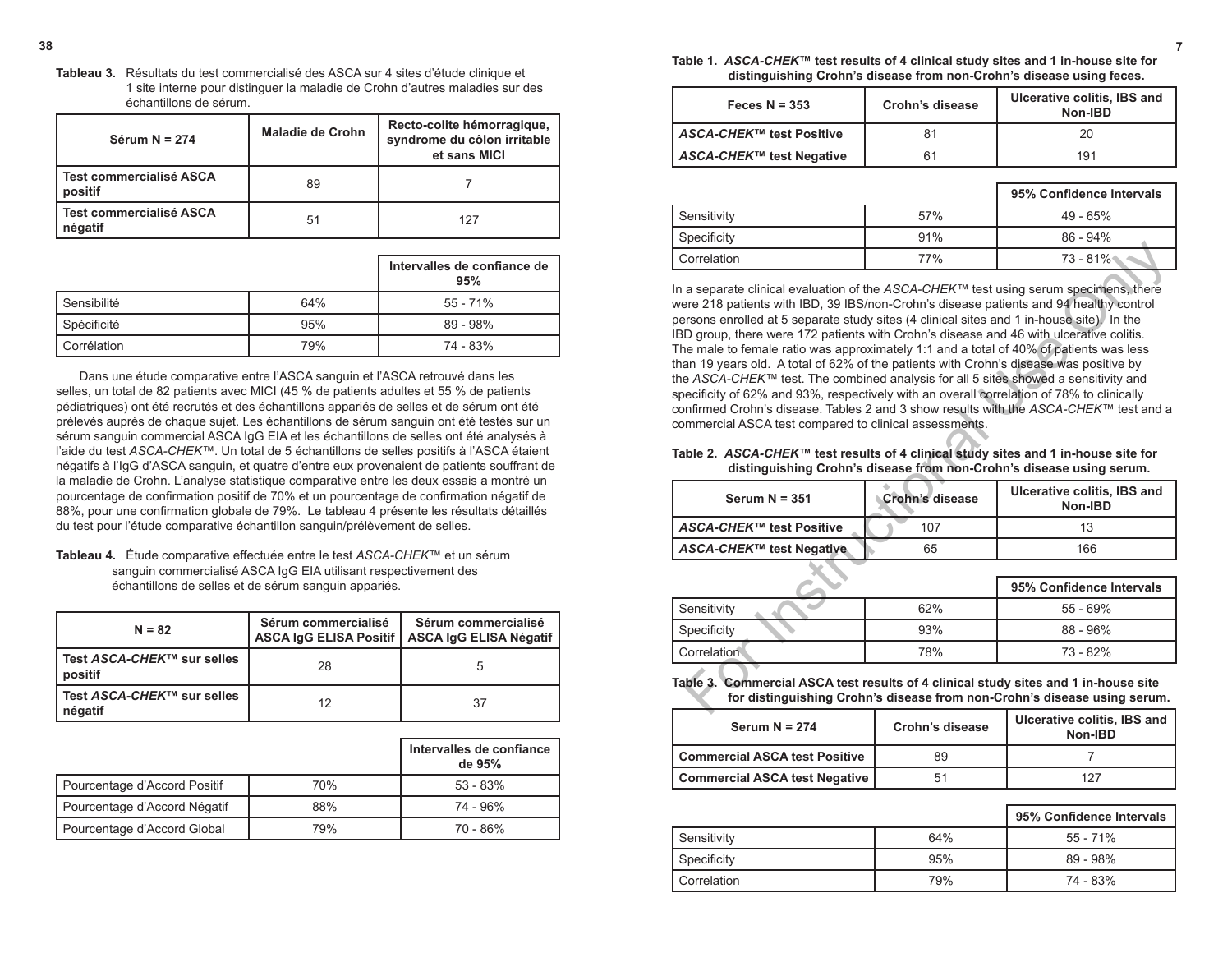**38 7 Table 1.** *ASCA-CHEK***™ test results of 4 clinical study sites and 1 in-house site for distinguishing Crohn's disease from non-Crohn's disease using feces.**

| Feces $N = 353$                 | Crohn's disease | Ulcerative colitis, IBS and<br>Non-IBD |
|---------------------------------|-----------------|----------------------------------------|
| <b>ASCA-CHEK™ test Positive</b> | 81              | 20                                     |
| ASCA-CHEK™ test Negative        | 61              | 191                                    |

|             |            | 95% Confidence Intervals |  |
|-------------|------------|--------------------------|--|
| Sensitivity | 57%        | $49 - 65%$               |  |
| Specificity | 91%        | $86 - 94\%$              |  |
| Correlation | <b>77%</b> | 73 - 81%                 |  |

In a separate clinical evaluation of the *ASCA-CHEK™* test using serum specimens, there were 218 patients with IBD, 39 IBS/non-Crohn's disease patients and 94 healthy control persons enrolled at 5 separate study sites (4 clinical sites and 1 in-house site). In the IBD group, there were 172 patients with Crohn's disease and 46 with ulcerative colitis. The male to female ratio was approximately 1:1 and a total of 40% of patients was less than 19 years old. A total of 62% of the patients with Crohn's disease was positive by the *ASCA-CHEK™* test. The combined analysis for all 5 sites showed a sensitivity and specificity of 62% and 93%, respectively with an overall correlation of 78% to clinically confirmed Crohn's disease. Tables 2 and 3 show results with the *ASCA-CHEK™* test and a commercial ASCA test compared to clinical assessments. Formulation<br>
Correlation Travel 197% 1981<br>
a separate clinical evaluation of the ASCA-CHEK<sup>m</sup> test using serum specificers. Here<br>
tere 218 patients with IBD, 39 IBS/non-Crohn's disease patients and 94 healthy control<br>
D g

**Table 2.** *ASCA-CHEK***™ test results of 4 clinical study sites and 1 in-house site for distinguishing Crohn's disease from non-Crohn's disease using serum.**

| Serum $N = 351$                    | <b>Crohn's disease</b> | Ulcerative colitis, IBS and<br>Non-IBD |
|------------------------------------|------------------------|----------------------------------------|
| l <i>ASCA-CHEK</i> ™ test Positive | 107                    | 13                                     |
| ASCA-CHEK™ test Negative           | 65                     | 166                                    |

|             |     | 95% Confidence Intervals |
|-------------|-----|--------------------------|
| Sensitivity | 62% | $55 - 69%$               |
| Specificity | 93% | $88 - 96%$               |
| Correlation | 78% | 73 - 82%                 |

### **Table 3. Commercial ASCA test results of 4 clinical study sites and 1 in-house site for distinguishing Crohn's disease from non-Crohn's disease using serum.**

| Serum $N = 274$               | Crohn's disease | Ulcerative colitis, IBS and<br>Non-IBD |  |
|-------------------------------|-----------------|----------------------------------------|--|
| Commercial ASCA test Positive | 89              |                                        |  |
| Commercial ASCA test Negative | 51              | 127                                    |  |

|             |     | 95% Confidence Intervals |
|-------------|-----|--------------------------|
| Sensitivity | 64% | $55 - 71%$               |
| Specificity | 95% | $89 - 98%$               |
| Correlation | 79% | 74 - 83%                 |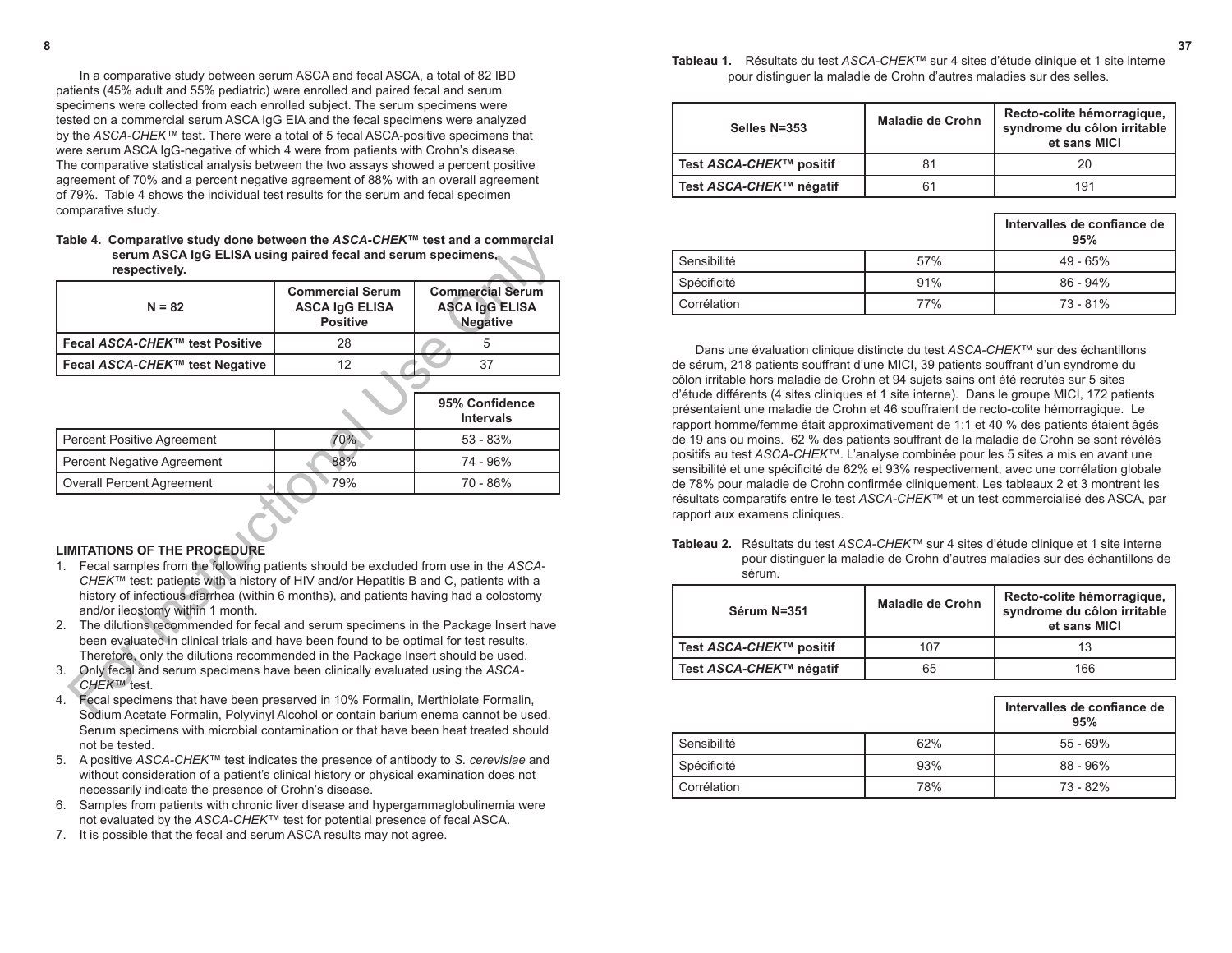In a comparative study between serum ASCA and fecal ASCA, a total of 82 IBD patients (45% adult and 55% pediatric) were enrolled and paired fecal and serum specimens were collected from each enrolled subject. The serum specimens were tested on a commercial serum ASCA IgG EIA and the fecal specimens were analyzed by the *ASCA-CHEK™* test. There were a total of 5 fecal ASCA-positive specimens that were serum ASCA IgG-negative of which 4 were from patients with Crohn's disease. The comparative statistical analysis between the two assays showed a percent positive agreement of 70% and a percent negative agreement of 88% with an overall agreement of 79%. Table 4 shows the individual test results for the serum and fecal specimen comparative study.

**Table 4. Comparative study done between the** *ASCA-CHEK***™ test and a commercial serum ASCA IgG ELISA using paired fecal and serum specimens, respectively.**

| $N = 82$                               | <b>Commercial Serum</b><br><b>ASCA IgG ELISA</b><br><b>Positive</b> | <b>Commercial Serum</b><br><b>ASCA IgG ELISA</b><br>Negative |  |
|----------------------------------------|---------------------------------------------------------------------|--------------------------------------------------------------|--|
| Fecal <i>ASCA-CHEK</i> ™ test Positive | 28                                                                  | b                                                            |  |
| Fecal ASCA-CHEK™ test Negative         | 12                                                                  | 37                                                           |  |

| Table 4. Comparative Study done between the ASCA-CHER Test and a commercial<br>serum ASCA IgG ELISA using paired fecal and serum specimens,<br>respectively.                                                                                                                                                                                                                                                                                                                                                                                                                                     |                                                                     |                                                                     |  |  |
|--------------------------------------------------------------------------------------------------------------------------------------------------------------------------------------------------------------------------------------------------------------------------------------------------------------------------------------------------------------------------------------------------------------------------------------------------------------------------------------------------------------------------------------------------------------------------------------------------|---------------------------------------------------------------------|---------------------------------------------------------------------|--|--|
| $N = 82$                                                                                                                                                                                                                                                                                                                                                                                                                                                                                                                                                                                         | <b>Commercial Serum</b><br><b>ASCA IgG ELISA</b><br><b>Positive</b> | <b>Commercial Serum</b><br><b>ASCA IgG ELISA</b><br><b>Negative</b> |  |  |
| Fecal ASCA-CHEK™ test Positive                                                                                                                                                                                                                                                                                                                                                                                                                                                                                                                                                                   | 28                                                                  | 5                                                                   |  |  |
| Fecal ASCA-CHEK™ test Negative                                                                                                                                                                                                                                                                                                                                                                                                                                                                                                                                                                   | 12                                                                  | 37                                                                  |  |  |
| 95% Confidence<br><b>Intervals</b>                                                                                                                                                                                                                                                                                                                                                                                                                                                                                                                                                               |                                                                     |                                                                     |  |  |
| <b>Percent Positive Agreement</b>                                                                                                                                                                                                                                                                                                                                                                                                                                                                                                                                                                | 70%                                                                 | $53 - 83%$                                                          |  |  |
| Percent Negative Agreement                                                                                                                                                                                                                                                                                                                                                                                                                                                                                                                                                                       | 88%                                                                 | 74 - 96%                                                            |  |  |
| <b>Overall Percent Agreement</b>                                                                                                                                                                                                                                                                                                                                                                                                                                                                                                                                                                 | 79%                                                                 | 70 - 86%                                                            |  |  |
| <b>LIMITATIONS OF THE PROCEDURE</b><br>Fecal samples from the following patients should be excluded from use in the ASCA-<br>1.<br>CHEK™ test: patients with a history of HIV and/or Hepatitis B and C, patients with a                                                                                                                                                                                                                                                                                                                                                                          |                                                                     |                                                                     |  |  |
| history of infectious diarrhea (within 6 months), and patients having had a colostomy<br>and/or ileostomy within 1 month.<br>The dilutions recommended for fecal and serum specimens in the Package Insert have<br>2.<br>been evaluated in clinical trials and have been found to be optimal for test results.<br>Therefore, only the dilutions recommended in the Package Insert should be used.<br>Only fecal and serum specimens have been clinically evaluated using the ASCA-<br>3.<br>CHEK™ test.<br>Fecal specimens that have been preserved in 10% Formalin, Merthiolate Formalin,<br>4. |                                                                     |                                                                     |  |  |
| Codium Apotato Fermelin, Delveinul Alephal er sentain berium enema sennet be used                                                                                                                                                                                                                                                                                                                                                                                                                                                                                                                |                                                                     |                                                                     |  |  |

# **LIMITATIONS OF THE PROCEDURE**

- 1. Fecal samples from the following patients should be excluded from use in the *ASCA-CHEK™* test: patients with a history of HIV and/or Hepatitis B and C, patients with a history of infectious diarrhea (within 6 months), and patients having had a colostomy and/or ileostomy within 1 month.
- 2. The dilutions recommended for fecal and serum specimens in the Package Insert have been evaluated in clinical trials and have been found to be optimal for test results. Therefore, only the dilutions recommended in the Package Insert should be used.
- 3. Only fecal and serum specimens have been clinically evaluated using the *ASCA-CHEK™* test.
- 4. Fecal specimens that have been preserved in 10% Formalin, Merthiolate Formalin, Sodium Acetate Formalin, Polyvinyl Alcohol or contain barium enema cannot be used. Serum specimens with microbial contamination or that have been heat treated should not be tested.
- 5. A positive *ASCA-CHEK™* test indicates the presence of antibody to *S. cerevisiae* and without consideration of a patient's clinical history or physical examination does not necessarily indicate the presence of Crohn's disease.
- 6. Samples from patients with chronic liver disease and hypergammaglobulinemia were not evaluated by the *ASCA-CHEK™* test for potential presence of fecal ASCA.
- 7. It is possible that the fecal and serum ASCA results may not agree.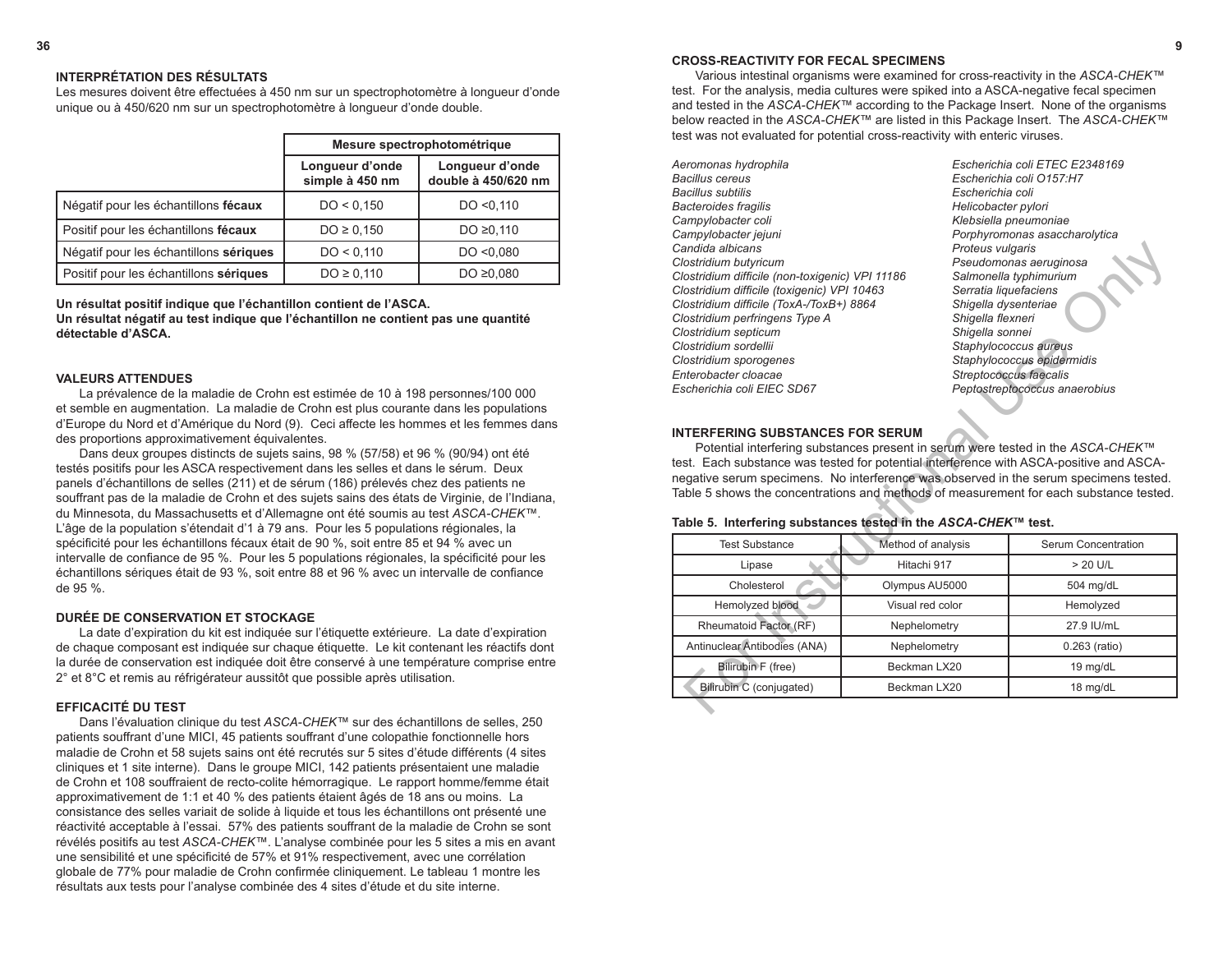#### **CROSS-REACTIVITY FOR FECAL SPECIMENS**

Various intestinal organisms were examined for cross-reactivity in the *ASCA-CHEK™*  test. For the analysis, media cultures were spiked into a ASCA-negative fecal specimen and tested in the *ASCA-CHEK™* according to the Package Insert. None of the organisms below reacted in the *ASCA-CHEK™* are listed in this Package Insert. The *ASCA-CHEK™* test was not evaluated for potential cross-reactivity with enteric viruses.

- *Aeromonas hydrophila Escherichia coli ETEC E2348169 Bacillus cereus Escherichia coli O157:H7 Bacillus subtilis Escherichia coli Bacteroides fragilis Helicobacter pylori Campylobacter coli Klebsiella pneumoniae Campylobacter jejuni Porphyromonas asaccharolytica Candida albicans Proteus vulgaris Clostridium butyricum Pseudomonas aeruginosa Clostridium difficile (non-toxigenic) VPI 11186 Salmonella typhimurium Clostridium difficile (toxigenic) VPI 10463 Serratia liquefaciens Clostridium difficile (ToxA-/ToxB+) 8864 Shigella dysenteriae Clostridium perfringens Type A Shigella flexneri Clostridium septicum Shigella sonnei Clostridium sordellii Staphylococcus aureus Clostridium sporogenes Staphylococcus epidermidis Enterobacter cloacae Streptococcus faecalis Escherichia coli EIEC SD67 Peptostreptococcus anaerobius*
- 

#### **INTERFERING SUBSTANCES FOR SERUM**

| Candida albicans<br>Clostridium butyricum<br>Clostridium difficile (non-toxigenic) VPI 11186<br>Clostridium difficile (toxigenic) VPI 10463                                                                                                                                                                                                                                                                                                                                |                      | Proteus vulgaris<br>Pseudomonas aeruginosa<br>Salmonella typhimurium<br>Serratia liquefaciens |  |
|----------------------------------------------------------------------------------------------------------------------------------------------------------------------------------------------------------------------------------------------------------------------------------------------------------------------------------------------------------------------------------------------------------------------------------------------------------------------------|----------------------|-----------------------------------------------------------------------------------------------|--|
| Clostridium difficile (ToxA-/ToxB+) 8864                                                                                                                                                                                                                                                                                                                                                                                                                                   | Shigella dysenteriae |                                                                                               |  |
| Clostridium perfringens Type A                                                                                                                                                                                                                                                                                                                                                                                                                                             | Shigella flexneri    |                                                                                               |  |
| Clostridium septicum                                                                                                                                                                                                                                                                                                                                                                                                                                                       |                      | Shigella sonnei                                                                               |  |
| Clostridium sordellii                                                                                                                                                                                                                                                                                                                                                                                                                                                      |                      | Staphylococcus aureus                                                                         |  |
| Clostridium sporogenes<br>Enterobacter cloacae                                                                                                                                                                                                                                                                                                                                                                                                                             |                      | Staphylococcus epidermidis<br>Streptococcus faecalis                                          |  |
| Escherichia coli EIEC SD67                                                                                                                                                                                                                                                                                                                                                                                                                                                 |                      | Peptostreptococcus anaerobius                                                                 |  |
|                                                                                                                                                                                                                                                                                                                                                                                                                                                                            |                      |                                                                                               |  |
| <b>INTERFERING SUBSTANCES FOR SERUM</b><br>Potential interfering substances present in serum were tested in the ASCA-CHEK™<br>test. Each substance was tested for potential interference with ASCA-positive and ASCA-<br>negative serum specimens. No interference was observed in the serum specimens tested.<br>Table 5 shows the concentrations and methods of measurement for each substance tested.<br>Table 5. Interfering substances tested in the ASCA-CHEK™ test. |                      |                                                                                               |  |
| <b>Test Substance</b>                                                                                                                                                                                                                                                                                                                                                                                                                                                      | Method of analysis   | Serum Concentration                                                                           |  |
| Lipase                                                                                                                                                                                                                                                                                                                                                                                                                                                                     | Hitachi 917          | $> 20$ U/L                                                                                    |  |
| Cholesterol                                                                                                                                                                                                                                                                                                                                                                                                                                                                | Olympus AU5000       | 504 mg/dL                                                                                     |  |
| Hemolyzed blood                                                                                                                                                                                                                                                                                                                                                                                                                                                            | Visual red color     | Hemolyzed                                                                                     |  |
| Rheumatoid Factor (RF)                                                                                                                                                                                                                                                                                                                                                                                                                                                     | Nephelometry         | 27.9 IU/mL                                                                                    |  |
| Antinuclear Antibodies (ANA)                                                                                                                                                                                                                                                                                                                                                                                                                                               | Nephelometry         | 0.263 (ratio)                                                                                 |  |
| Bilirubin F (free)                                                                                                                                                                                                                                                                                                                                                                                                                                                         | Beckman LX20         | 19 mg/dL                                                                                      |  |
| Bilirubin C (conjugated)                                                                                                                                                                                                                                                                                                                                                                                                                                                   | Beckman LX20         | 18 mg/dL                                                                                      |  |
|                                                                                                                                                                                                                                                                                                                                                                                                                                                                            |                      |                                                                                               |  |

#### **Table 5. Interfering substances tested in the** *ASCA-CHEK***™ test.**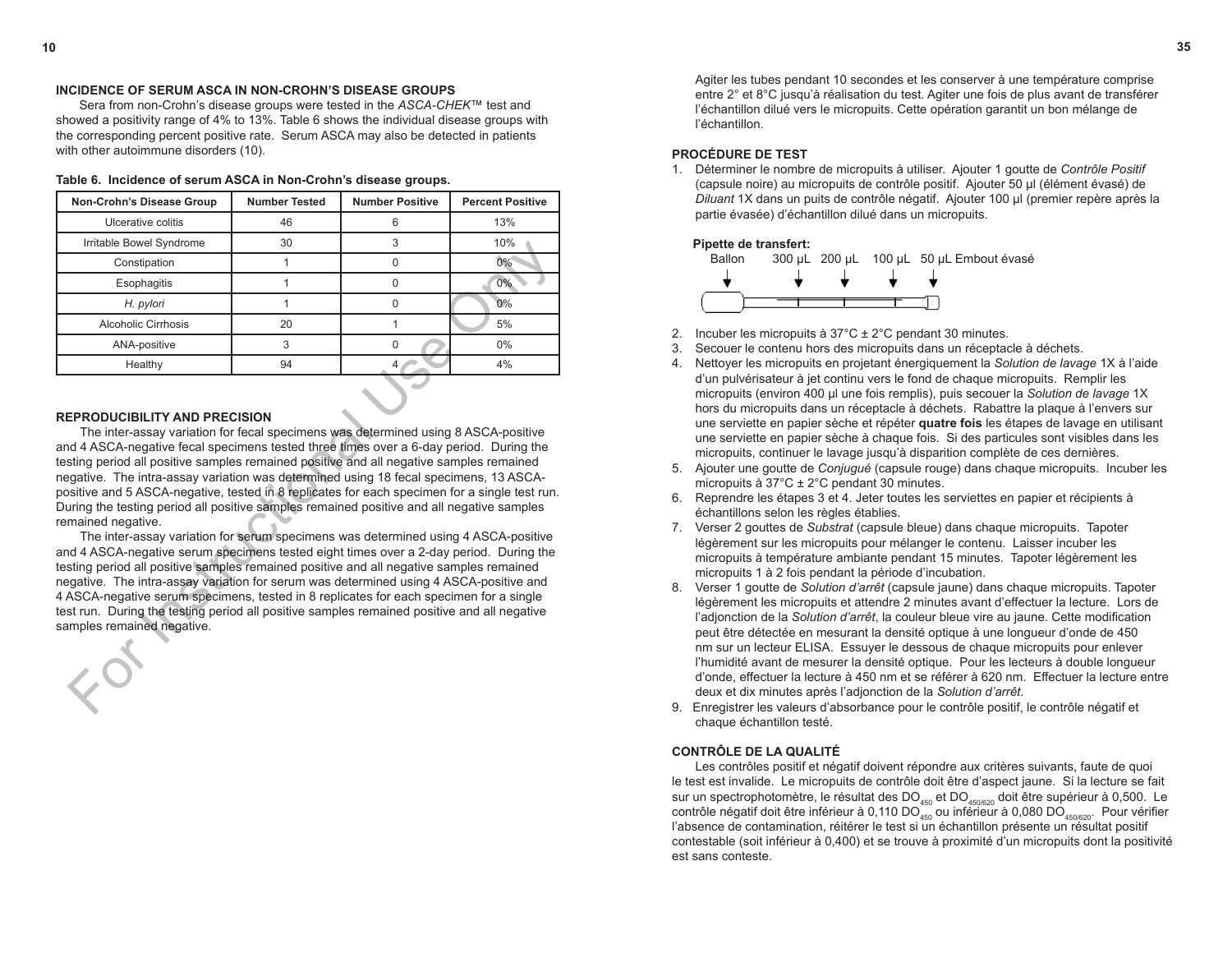#### **INCIDENCE OF SERUM ASCA IN NON-CROHN'S DISEASE GROUPS**

Sera from non-Crohn's disease groups were tested in the *ASCA-CHEK*™ test and showed a positivity range of 4% to 13%. Table 6 shows the individual disease groups with the corresponding percent positive rate. Serum ASCA may also be detected in patients with other autoimmune disorders (10).

| Non-Crohn's Disease Group                                                                                                                                                                                                                                                                                                                                                                                                                                                                                                                                                                                                                                                                                                                                                                                                                                                                                                                                                                                                                                                                                                                                                                                                | <b>Number Tested</b> | <b>Number Positive</b> | <b>Percent Positive</b> |  |
|--------------------------------------------------------------------------------------------------------------------------------------------------------------------------------------------------------------------------------------------------------------------------------------------------------------------------------------------------------------------------------------------------------------------------------------------------------------------------------------------------------------------------------------------------------------------------------------------------------------------------------------------------------------------------------------------------------------------------------------------------------------------------------------------------------------------------------------------------------------------------------------------------------------------------------------------------------------------------------------------------------------------------------------------------------------------------------------------------------------------------------------------------------------------------------------------------------------------------|----------------------|------------------------|-------------------------|--|
| Ulcerative colitis                                                                                                                                                                                                                                                                                                                                                                                                                                                                                                                                                                                                                                                                                                                                                                                                                                                                                                                                                                                                                                                                                                                                                                                                       | 46                   | 6                      | 13%                     |  |
| Irritable Bowel Syndrome                                                                                                                                                                                                                                                                                                                                                                                                                                                                                                                                                                                                                                                                                                                                                                                                                                                                                                                                                                                                                                                                                                                                                                                                 | 30                   | 3                      | 10%                     |  |
| Constipation                                                                                                                                                                                                                                                                                                                                                                                                                                                                                                                                                                                                                                                                                                                                                                                                                                                                                                                                                                                                                                                                                                                                                                                                             | $\mathbf{1}$         | $\Omega$               | 0%                      |  |
| Esophagitis                                                                                                                                                                                                                                                                                                                                                                                                                                                                                                                                                                                                                                                                                                                                                                                                                                                                                                                                                                                                                                                                                                                                                                                                              | 1                    | 0                      | 0%                      |  |
| H. pylori                                                                                                                                                                                                                                                                                                                                                                                                                                                                                                                                                                                                                                                                                                                                                                                                                                                                                                                                                                                                                                                                                                                                                                                                                | $\mathbf{1}$         | 0                      | $0\%$                   |  |
| <b>Alcoholic Cirrhosis</b>                                                                                                                                                                                                                                                                                                                                                                                                                                                                                                                                                                                                                                                                                                                                                                                                                                                                                                                                                                                                                                                                                                                                                                                               | 20                   | $\mathbf{1}$           | 5%                      |  |
| ANA-positive                                                                                                                                                                                                                                                                                                                                                                                                                                                                                                                                                                                                                                                                                                                                                                                                                                                                                                                                                                                                                                                                                                                                                                                                             | 3                    | 0                      | 0%                      |  |
| Healthy                                                                                                                                                                                                                                                                                                                                                                                                                                                                                                                                                                                                                                                                                                                                                                                                                                                                                                                                                                                                                                                                                                                                                                                                                  | 94                   | 4                      | 4%                      |  |
| <b>REPRODUCIBILITY AND PRECISION</b><br>The inter-assay variation for fecal specimens was determined using 8 ASCA-positive<br>and 4 ASCA-negative fecal specimens tested three times over a 6-day period. During the<br>testing period all positive samples remained positive and all negative samples remained<br>negative. The intra-assay variation was determined using 18 fecal specimens, 13 ASCA-<br>positive and 5 ASCA-negative, tested in 8 replicates for each specimen for a single test run.<br>During the testing period all positive samples remained positive and all negative samples<br>remained negative.<br>The inter-assay variation for serum specimens was determined using 4 ASCA-positive<br>and 4 ASCA-negative serum specimens tested eight times over a 2-day period. During the<br>testing period all positive samples remained positive and all negative samples remained<br>negative. The intra-assay variation for serum was determined using 4 ASCA-positive and<br>4 ASCA-negative serum specimens, tested in 8 replicates for each specimen for a single<br>test run. During the testing period all positive samples remained positive and all negative<br>samples remained negative. |                      |                        |                         |  |

**Table 6. Incidence of serum ASCA in Non-Crohn's disease groups.**

#### **REPRODUCIBILITY AND PRECISION**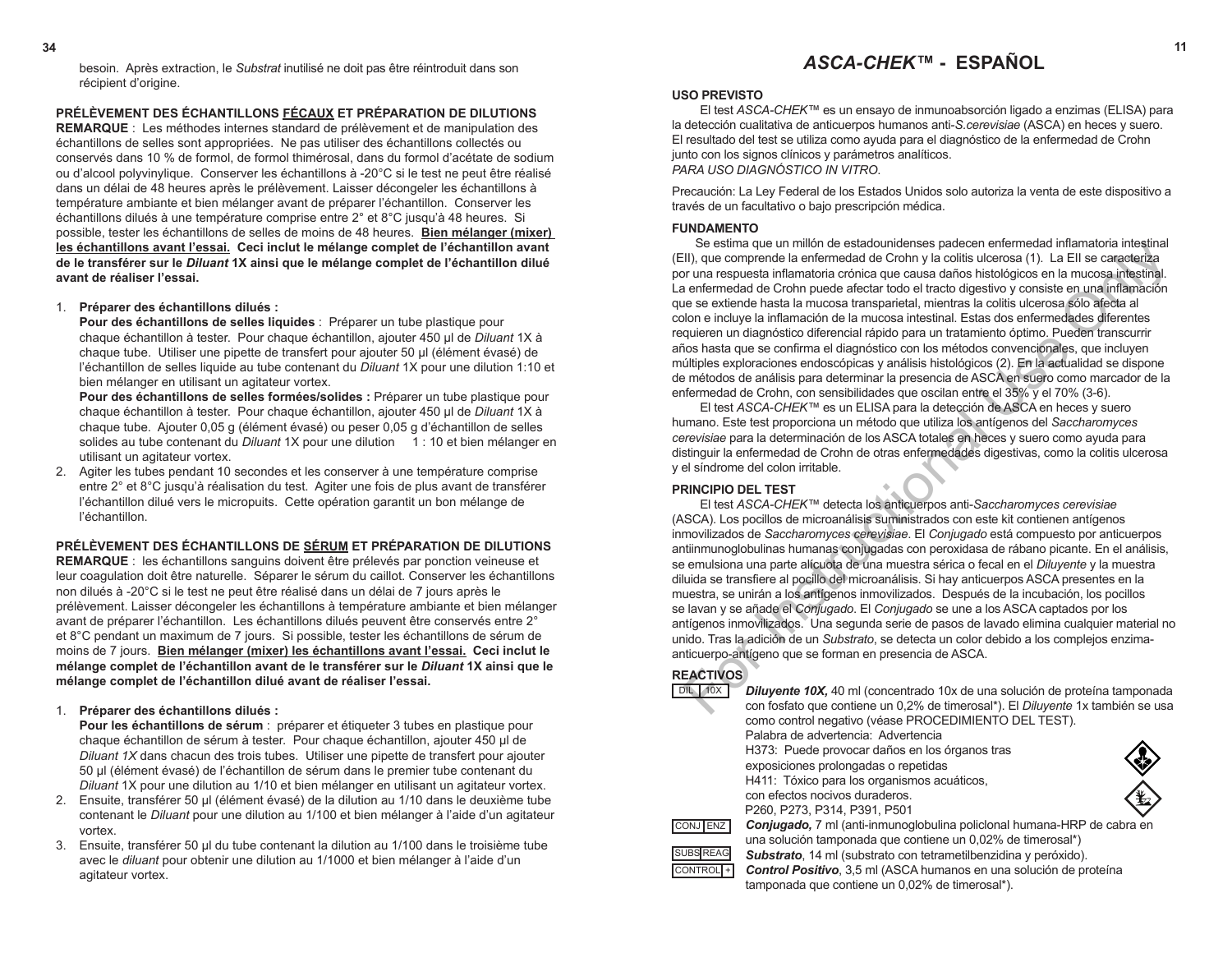# **34 11** *ASCA-CHEK™* **- ESPAÑOL**

#### **USO PREVISTO**

El test *ASCA-CHEK™* es un ensayo de inmunoabsorción ligado a enzimas (ELISA) para la detección cualitativa de anticuerpos humanos anti-*S.cerevisiae* (ASCA) en heces y suero. El resultado del test se utiliza como ayuda para el diagnóstico de la enfermedad de Crohn junto con los signos clínicos y parámetros analíticos. *PARA USO DIAGNÓSTICO IN VITRO*.

Precaución: La Ley Federal de los Estados Unidos solo autoriza la venta de este dispositivo a través de un facultativo o bajo prescripción médica.

#### **FUNDAMENTO**

Se estima que un millón de estadounidenses padecen enfermedad inflamatoria intestinal (EII), que comprende la enfermedad de Crohn y la colitis ulcerosa (1). La EII se caracteriza por una respuesta inflamatoria crónica que causa daños histológicos en la mucosa intestinal. La enfermedad de Crohn puede afectar todo el tracto digestivo y consiste en una inflamación que se extiende hasta la mucosa transparietal, mientras la colitis ulcerosa sólo afecta al colon e incluye la inflamación de la mucosa intestinal. Estas dos enfermedades diferentes requieren un diagnóstico diferencial rápido para un tratamiento óptimo. Pueden transcurrir años hasta que se confirma el diagnóstico con los métodos convencionales, que incluyen múltiples exploraciones endoscópicas y análisis histológicos (2). En la actualidad se dispone de métodos de análisis para determinar la presencia de ASCA en suero como marcador de la enfermedad de Crohn, con sensibilidades que oscilan entre el 35% y el 70% (3-6).

El test *ASCA*-*CHEK™* es un ELISA para la detección de ASCA en heces y suero humano. Este test proporciona un método que utiliza los antígenos del *Saccharomyces cerevisiae* para la determinación de los ASCA totales en heces y suero como ayuda para distinguir la enfermedad de Crohn de otras enfermedades digestivas, como la colitis ulcerosa y el síndrome del colon irritable.

#### **PRINCIPIO DEL TEST**

El test *ASCA-CHEK™* detecta los anticuerpos anti-*Saccharomyces cerevisiae*  (ASCA). Los pocillos de microanálisis suministrados con este kit contienen antígenos inmovilizados de *Saccharomyces cerevisiae*. El *Conjugado* está compuesto por anticuerpos antiinmunoglobulinas humanas conjugadas con peroxidasa de rábano picante. En el análisis, se emulsiona una parte alícuota de una muestra sérica o fecal en el *Diluyente* y la muestra diluida se transfiere al pocillo del microanálisis. Si hay anticuerpos ASCA presentes en la muestra, se unirán a los antígenos inmovilizados. Después de la incubación, los pocillos se lavan y se añade el *Conjugado*. El *Conjugado* se une a los ASCA captados por los antígenos inmovilizados. Una segunda serie de pasos de lavado elimina cualquier material no unido. Tras la adición de un *Substrato*, se detecta un color debido a los complejos enzimaanticuerpo-antígeno que se forman en presencia de ASCA. Se estima que un minio ne estadounidenses padecer entermendo instantantana integriala<br>
III), que comprende la enfermedad de Crohn y la colitis ulcerosa (1). La Ell se caracteriza<br>
en enfermedad de Crohn puede afectar todo

# **REACTIVOS**

| <b>DIL</b><br>10X    | <b>Diluyente 10X,</b> 40 ml (concentrado 10x de una solución de proteína tamponada |
|----------------------|------------------------------------------------------------------------------------|
|                      | con fosfato que contiene un 0,2% de timerosal*). El Diluyente 1x también se usa    |
|                      | como control negativo (véase PROCEDIMIENTO DEL TEST).                              |
|                      | Palabra de advertencia: Advertencia                                                |
|                      | H373: Puede provocar daños en los órganos tras                                     |
|                      | exposiciones prolongadas o repetidas                                               |
|                      | H411: Tóxico para los organismos acuáticos,                                        |
|                      | con efectos nocivos duraderos.                                                     |
|                      | P260, P273, P314, P391, P501                                                       |
| CONJ ENZ             | <b>Conjugado,</b> 7 ml (anti-inmunoglobulina policional humana-HRP de cabra en     |
|                      | una solución tamponada que contiene un 0,02% de timerosal*)                        |
| <b>SUBS REAG</b>     | <b>Substrato</b> , 14 ml (substrato con tetrametilbenzidina y peróxido).           |
| CONTROL <sup>+</sup> | Control Positivo, 3,5 ml (ASCA humanos en una solución de proteína                 |
|                      | tamponada que contiene un 0.02% de timerosal*).                                    |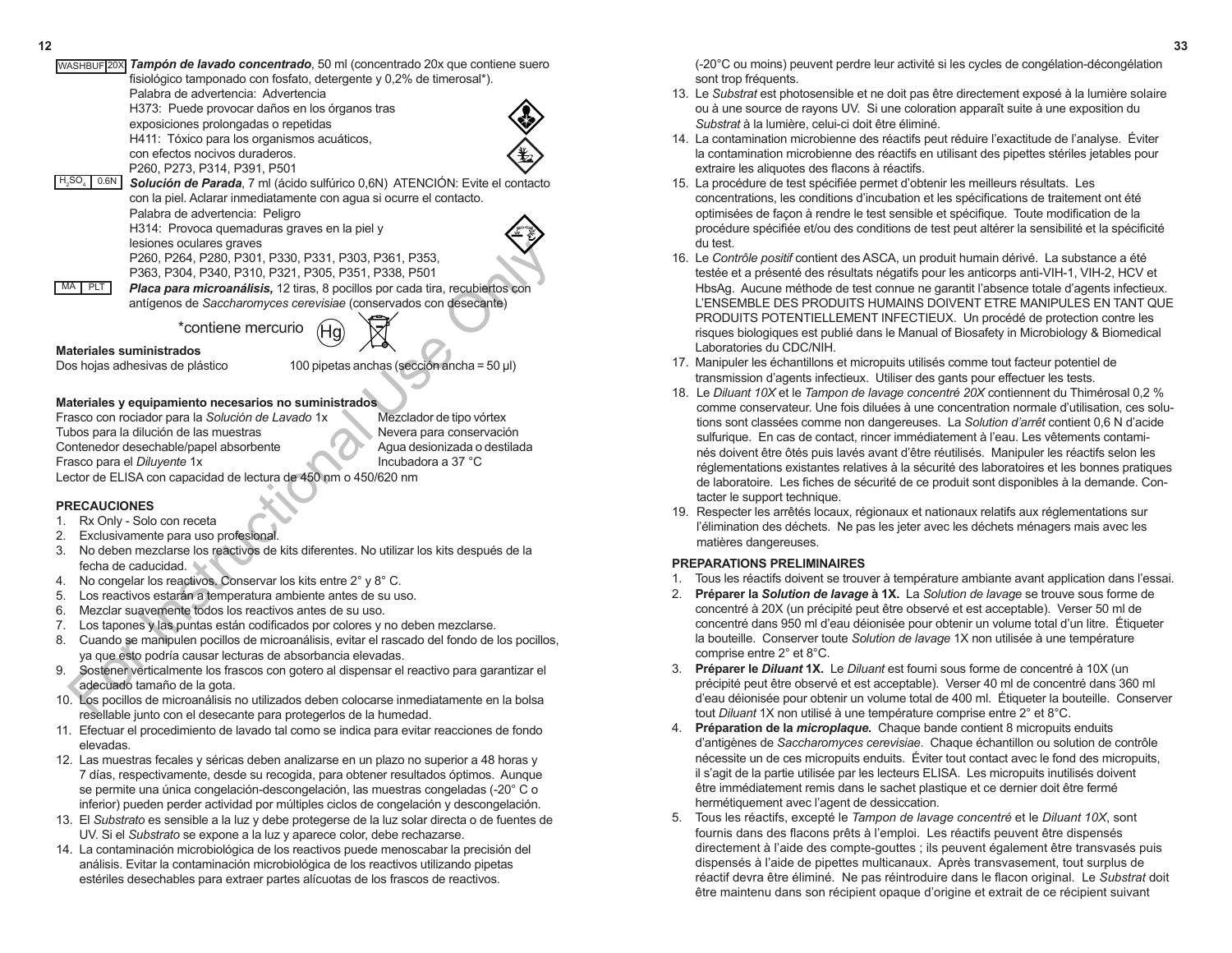| 12 |                                                                                                   |  |
|----|---------------------------------------------------------------------------------------------------|--|
|    | WASHBUF 20X Tampón de lavado concentrado, 50 ml (concentrado 20x que contiene suero               |  |
|    | fisiológico tamponado con fosfato, detergente y 0,2% de timerosal*).                              |  |
|    | Palabra de advertencia: Advertencia                                                               |  |
|    | H373: Puede provocar daños en los órganos tras                                                    |  |
|    | exposiciones prolongadas o repetidas                                                              |  |
|    | H411: Tóxico para los organismos acuáticos,                                                       |  |
|    | con efectos nocivos duraderos.                                                                    |  |
|    |                                                                                                   |  |
|    | P260, P273, P314, P391, P501<br>$H_2SO_4$ 0.6N                                                    |  |
|    | Solución de Parada, 7 ml (ácido sulfúrico 0,6N) ATENCIÓN: Evite el contacto                       |  |
|    | con la piel. Aclarar inmediatamente con agua si ocurre el contacto.                               |  |
|    | Palabra de advertencia: Peligro                                                                   |  |
|    | H314: Provoca quemaduras graves en la piel y                                                      |  |
|    | lesiones oculares graves                                                                          |  |
|    | P260, P264, P280, P301, P330, P331, P303, P361, P353,                                             |  |
|    | P363, P304, P340, P310, P321, P305, P351, P338, P501                                              |  |
|    | MA PLT<br>Placa para microanálisis, 12 tiras, 8 pocillos por cada tira, recubiertos con           |  |
|    | antígenos de Saccharomyces cerevisiae (conservados con desecante)                                 |  |
|    |                                                                                                   |  |
|    | *contiene mercurio                                                                                |  |
|    | <b>Materiales suministrados</b>                                                                   |  |
|    | Dos hojas adhesivas de plástico<br>100 pipetas anchas (sección ancha = 50 µl)                     |  |
|    |                                                                                                   |  |
|    |                                                                                                   |  |
|    | Materiales y equipamiento necesarios no suministrados                                             |  |
|    | Frasco con rociador para la Solución de Lavado 1x<br>Mezclador de tipo vórtex                     |  |
|    | Tubos para la dilución de las muestras<br>Nevera para conservación                                |  |
|    | Contenedor desechable/papel absorbente<br>Agua desionizada o destilada                            |  |
|    | Frasco para el Diluyente 1x<br>Incubadora a 37 °C                                                 |  |
|    | Lector de ELISA con capacidad de lectura de 450 nm o 450/620 nm                                   |  |
|    |                                                                                                   |  |
|    | <b>PRECAUCIONES</b>                                                                               |  |
|    | Rx Only - Solo con receta<br>1.                                                                   |  |
|    | Exclusivamente para uso profesional<br>2.                                                         |  |
|    | No deben mezclarse los reactivos de kits diferentes. No utilizar los kits después de la<br>3.     |  |
|    | fecha de caducidad.                                                                               |  |
|    | 4. No congelar los reactivos. Conservar los kits entre 2° y 8° C.                                 |  |
|    | Los reactivos estarán a temperatura ambiente antes de su uso.<br>5.                               |  |
|    | Mezclar suavemente todos los reactivos antes de su uso.<br>6.                                     |  |
|    | Los tapones y las puntas están codificados por colores y no deben mezclarse.<br>7.                |  |
|    | Cuando se manipulen pocillos de microanálisis, evitar el rascado del fondo de los pocillos,<br>8. |  |
|    | ya que esto podría causar lecturas de absorbancia elevadas.                                       |  |
|    | Sostener verticalmente los frascos con gotero al dispensar el reactivo para garantizar el<br>9.   |  |
|    | adecuado tamaño de la gota.                                                                       |  |
|    | 10. Los pocillos de microanálisis no utilizados deben colocarse inmediatamente en la bolsa        |  |
|    | rocollable junto con al decesante nara pretegnales de la bumedad                                  |  |

#### Frasco con rociador para la *Solución de Lavado* 1x Mezclador de tipo vórtex Tubos para la dilución de las muestras Nevera para conservación Contenedor desechable/papel absorbente Agua desionizada o destilada Frasco para el *Diluyente* 1x Incubadora a 37 °C Lector de ELISA con capacidad de lectura de 450 nm o 450/620 nm

# **PRECAUCIONES**

- 1. Rx Only Solo con receta
- 2. Exclusivamente para uso profesional.
- 3. No deben mezclarse los reactivos de kits diferentes. No utilizar los kits después de la fecha de caducidad.
- 4. No congelar los reactivos. Conservar los kits entre 2° y 8° C.
- 5. Los reactivos estarán a temperatura ambiente antes de su uso.
- 6. Mezclar suavemente todos los reactivos antes de su uso.
- 7. Los tapones y las puntas están codificados por colores y no deben mezclarse.
- 8. Cuando se manipulen pocillos de microanálisis, evitar el rascado del fondo de los pocillos, ya que esto podría causar lecturas de absorbancia elevadas.
- 9. Sostener verticalmente los frascos con gotero al dispensar el reactivo para garantizar el adecuado tamaño de la gota.
- 10. Los pocillos de microanálisis no utilizados deben colocarse inmediatamente en la bolsa resellable junto con el desecante para protegerlos de la humedad.
- 11. Efectuar el procedimiento de lavado tal como se indica para evitar reacciones de fondo elevadas.
- 12. Las muestras fecales y séricas deben analizarse en un plazo no superior a 48 horas y 7 días, respectivamente, desde su recogida, para obtener resultados óptimos. Aunque se permite una única congelación-descongelación, las muestras congeladas (-20° C o inferior) pueden perder actividad por múltiples ciclos de congelación y descongelación.
- 13. El *Substrato* es sensible a la luz y debe protegerse de la luz solar directa o de fuentes de UV. Si el *Substrato* se expone a la luz y aparece color, debe rechazarse.
- 14. La contaminación microbiológica de los reactivos puede menoscabar la precisión del análisis. Evitar la contaminación microbiológica de los reactivos utilizando pipetas estériles desechables para extraer partes alícuotas de los frascos de reactivos.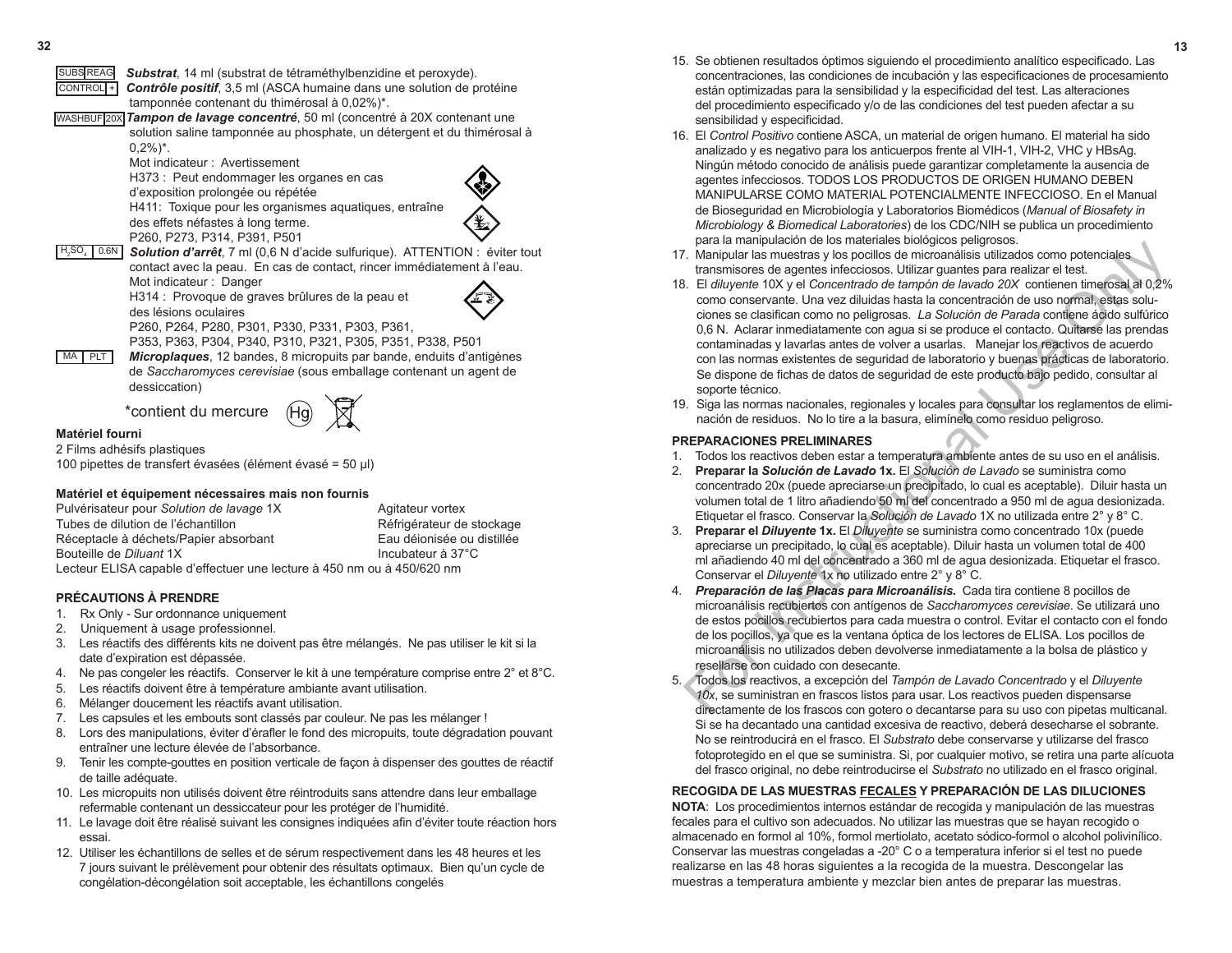- **32 13** 15. Se obtienen resultados óptimos siguiendo el procedimiento analítico especificado. Las concentraciones, las condiciones de incubación y las especificaciones de procesamiento están optimizadas para la sensibilidad y la especificidad del test. Las alteraciones del procedimiento especificado y/o de las condiciones del test pueden afectar a su sensibilidad y especificidad.
	- 16. El *Control Positivo* contiene ASCA, un material de origen humano. El material ha sido analizado y es negativo para los anticuerpos frente al VIH-1, VIH-2, VHC y HBsAg. Ningún método conocido de análisis puede garantizar completamente la ausencia de agentes infecciosos. TODOS LOS PRODUCTOS DE ORIGEN HUMANO DEBEN MANIPULARSE COMO MATERIAL POTENCIALMENTE INFECCIOSO. En el Manual de Bioseguridad en Microbiología y Laboratorios Biomédicos (*Manual of Biosafety in Microbiology & Biomedical Laboratories*) de los CDC/NIH se publica un procedimiento para la manipulación de los materiales biológicos peligrosos.
	- 17. Manipular las muestras y los pocillos de microanálisis utilizados como potenciales transmisores de agentes infecciosos. Utilizar guantes para realizar el test.
	- 18. El *diluyente* 10X y el *Concentrado de tampón de lavado 20X* contienen timerosal al 0,2% como conservante. Una vez diluidas hasta la concentración de uso normal, estas soluciones se clasifican como no peligrosas. *La Solución de Parada* contiene ácido sulfúrico 0,6 N. Aclarar inmediatamente con agua si se produce el contacto. Quitarse las prendas contaminadas y lavarlas antes de volver a usarlas. Manejar los reactivos de acuerdo con las normas existentes de seguridad de laboratorio y buenas prácticas de laboratorio. Se dispone de fichas de datos de seguridad de este producto bajo pedido, consultar al soporte técnico. ia an instinuentation term considerates ovolugios a periodic and the mathematic instants are a series infectors on the mathematic space in the instant end in the instant of the instant of the instant of the instant of the
	- 19. Siga las normas nacionales, regionales y locales para consultar los reglamentos de eliminación de residuos. No lo tire a la basura, elimínelo como residuo peligroso.

### **PREPARACIONES PRELIMINARES**

- 1. Todos los reactivos deben estar a temperatura ambiente antes de su uso en el análisis.
- 2. **Preparar la** *Solución de Lavado* **1x.** El *Solución de Lavado* se suministra como concentrado 20x (puede apreciarse un precipitado, lo cual es aceptable). Diluir hasta un volumen total de 1 litro añadiendo 50 ml del concentrado a 950 ml de agua desionizada. Etiquetar el frasco. Conservar la *Solución de Lavado* 1X no utilizada entre 2° y 8° C.
- 3. **Preparar el** *Diluyente* **1x.** El *Diluyente* se suministra como concentrado 10x (puede apreciarse un precipitado, lo cual es aceptable). Diluir hasta un volumen total de 400 ml añadiendo 40 ml del concentrado a 360 ml de agua desionizada. Etiquetar el frasco. Conservar el *Diluyente* 1x no utilizado entre 2° y 8° C.
- 4. *Preparación de las Placas para Microanálisis***.** Cada tira contiene 8 pocillos de microanálisis recubiertos con antígenos de *Saccharomyces cerevisiae*. Se utilizará uno de estos pocillos recubiertos para cada muestra o control. Evitar el contacto con el fondo de los pocillos, ya que es la ventana óptica de los lectores de ELISA. Los pocillos de microanálisis no utilizados deben devolverse inmediatamente a la bolsa de plástico y resellarse con cuidado con desecante.
- 5. Todos los reactivos, a excepción del *Tampón de Lavado Concentrado* y el *Diluyente 10x*, se suministran en frascos listos para usar. Los reactivos pueden dispensarse directamente de los frascos con gotero o decantarse para su uso con pipetas multicanal. Si se ha decantado una cantidad excesiva de reactivo, deberá desecharse el sobrante. No se reintroducirá en el frasco. El *Substrato* debe conservarse y utilizarse del frasco fotoprotegido en el que se suministra. Si, por cualquier motivo, se retira una parte alícuota del frasco original, no debe reintroducirse el *Substrato* no utilizado en el frasco original.

# **RECOGIDA DE LAS MUESTRAS FECALES Y PREPARACIÓN DE LAS DILUCIONES**

**NOTA**: Los procedimientos internos estándar de recogida y manipulación de las muestras fecales para el cultivo son adecuados. No utilizar las muestras que se hayan recogido o almacenado en formol al 10%, formol mertiolato, acetato sódico-formol o alcohol polivinílico. Conservar las muestras congeladas a -20° C o a temperatura inferior si el test no puede realizarse en las 48 horas siguientes a la recogida de la muestra. Descongelar las muestras a temperatura ambiente y mezclar bien antes de preparar las muestras.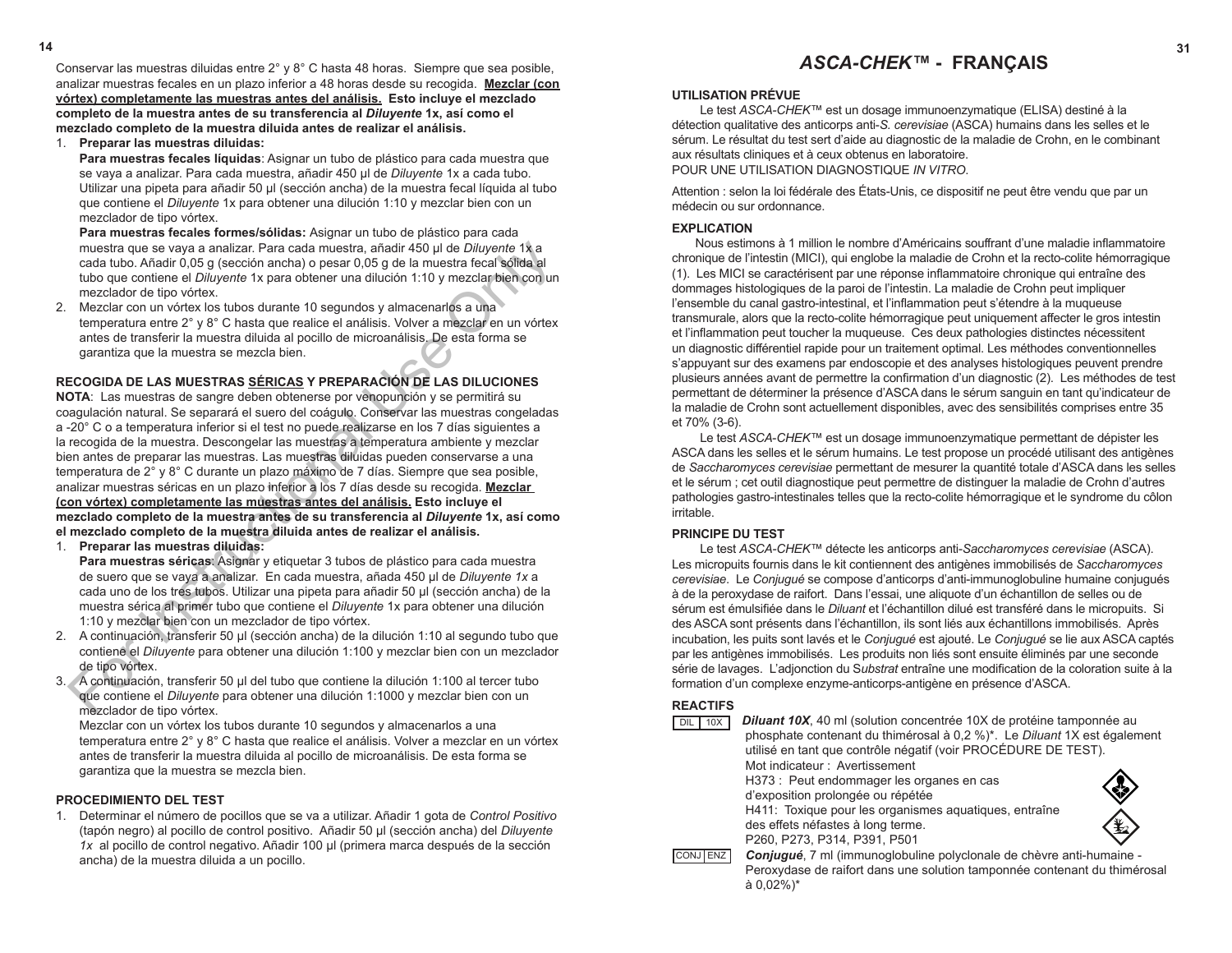Conservar las muestras diluidas entre  $2^{\circ}$  y 8 $^{\circ}$  C hasta 48 horas. Siempre que sea posible, analizar muestras fecales en un plazo inferior a 48 horas desde su recogida. **Mezclar (con vórtex) completamente las muestras antes del análisis. Esto incluye el mezclado completo de la muestra antes de su transferencia al** *Diluyente* **1x, así como el mezclado completo de la muestra diluida antes de realizar el análisis.** 

1. **Preparar las muestras diluidas: Para muestras fecales líquidas**: Asignar un tubo de plástico para cada muestra que se vaya a analizar. Para cada muestra, añadir 450 µl de *Diluyente* 1x a cada tubo. Utilizar una pipeta para añadir 50 µl (sección ancha) de la muestra fecal líquida al tubo que contiene el *Diluyente* 1x para obtener una dilución 1:10 y mezclar bien con un mezclador de tipo vórtex.

**Para muestras fecales formes/sólidas:** Asignar un tubo de plástico para cada muestra que se vaya a analizar. Para cada muestra, añadir 450 µl de *Diluyente* 1x a cada tubo. Añadir 0,05 g (sección ancha) o pesar 0,05 g de la muestra fecal sólida al tubo que contiene el *Diluyente* 1x para obtener una dilución 1:10 y mezclar bien con un mezclador de tipo vórtex.

2. Mezclar con un vórtex los tubos durante 10 segundos y almacenarlos a una temperatura entre 2° y 8° C hasta que realice el análisis. Volver a mezclar en un vórtex antes de transferir la muestra diluida al pocillo de microanálisis. De esta forma se garantiza que la muestra se mezcla bien.

# **RECOGIDA DE LAS MUESTRAS SÉRICAS Y PREPARACIÓN DE LAS DILUCIONES**

**NOTA**: Las muestras de sangre deben obtenerse por venopunción y se permitirá su coagulación natural. Se separará el suero del coágulo. Conservar las muestras congeladas a -20° C o a temperatura inferior si el test no puede realizarse en los 7 días siguientes a la recogida de la muestra. Descongelar las muestras a temperatura ambiente y mezclar bien antes de preparar las muestras. Las muestras diluidas pueden conservarse a una temperatura de 2° y 8° C durante un plazo máximo de 7 días. Siempre que sea posible, analizar muestras séricas en un plazo inferior a los 7 días desde su recogida. **Mezclar (con vórtex) completamente las muestras antes del análisis. Esto incluye el mezclado completo de la muestra antes de su transferencia al** *Diluyente* **1x, así como el mezclado completo de la muestra diluida antes de realizar el análisis.**  muestra que se vaya a analizar. Para cada muestra, añadír 450 µl de *Dilinyente* 11, a<br>cada tubo. Añadir 0.05 g (sección ancha) o pesar 0.05 g de la muestra fecal sólida al<br>tubo que contiene el *Diluyente* 1x para obtener

1. **Preparar las muestras diluidas:** 

**Para muestras séricas**: Asignar y etiquetar 3 tubos de plástico para cada muestra de suero que se vaya a analizar. En cada muestra, añada 450 µl de *Diluyente 1x* a cada uno de los tres tubos. Utilizar una pipeta para añadir 50 µl (sección ancha) de la muestra sérica al primer tubo que contiene el *Diluyente* 1x para obtener una dilución 1:10 y mezclar bien con un mezclador de tipo vórtex.

- 2. A continuación, transferir 50 µl (sección ancha) de la dilución 1:10 al segundo tubo que contiene el *Diluyente* para obtener una dilución 1:100 y mezclar bien con un mezclador de tipo vórtex.
- 3. A continuación, transferir 50 µl del tubo que contiene la dilución 1:100 al tercer tubo que contiene el *Diluyente* para obtener una dilución 1:1000 y mezclar bien con un mezclador de tipo vórtex.

Mezclar con un vórtex los tubos durante 10 segundos y almacenarlos a una temperatura entre 2° y 8° C hasta que realice el análisis. Volver a mezclar en un vórtex antes de transferir la muestra diluida al pocillo de microanálisis. De esta forma se garantiza que la muestra se mezcla bien.

# **PROCEDIMIENTO DEL TEST**

1. Determinar el número de pocillos que se va a utilizar. Añadir 1 gota de *Control Positivo*  (tapón negro) al pocillo de control positivo. Añadir 50 µl (sección ancha) del *Diluyente 1x* al pocillo de control negativo. Añadir 100 µl (primera marca después de la sección ancha) de la muestra diluida a un pocillo.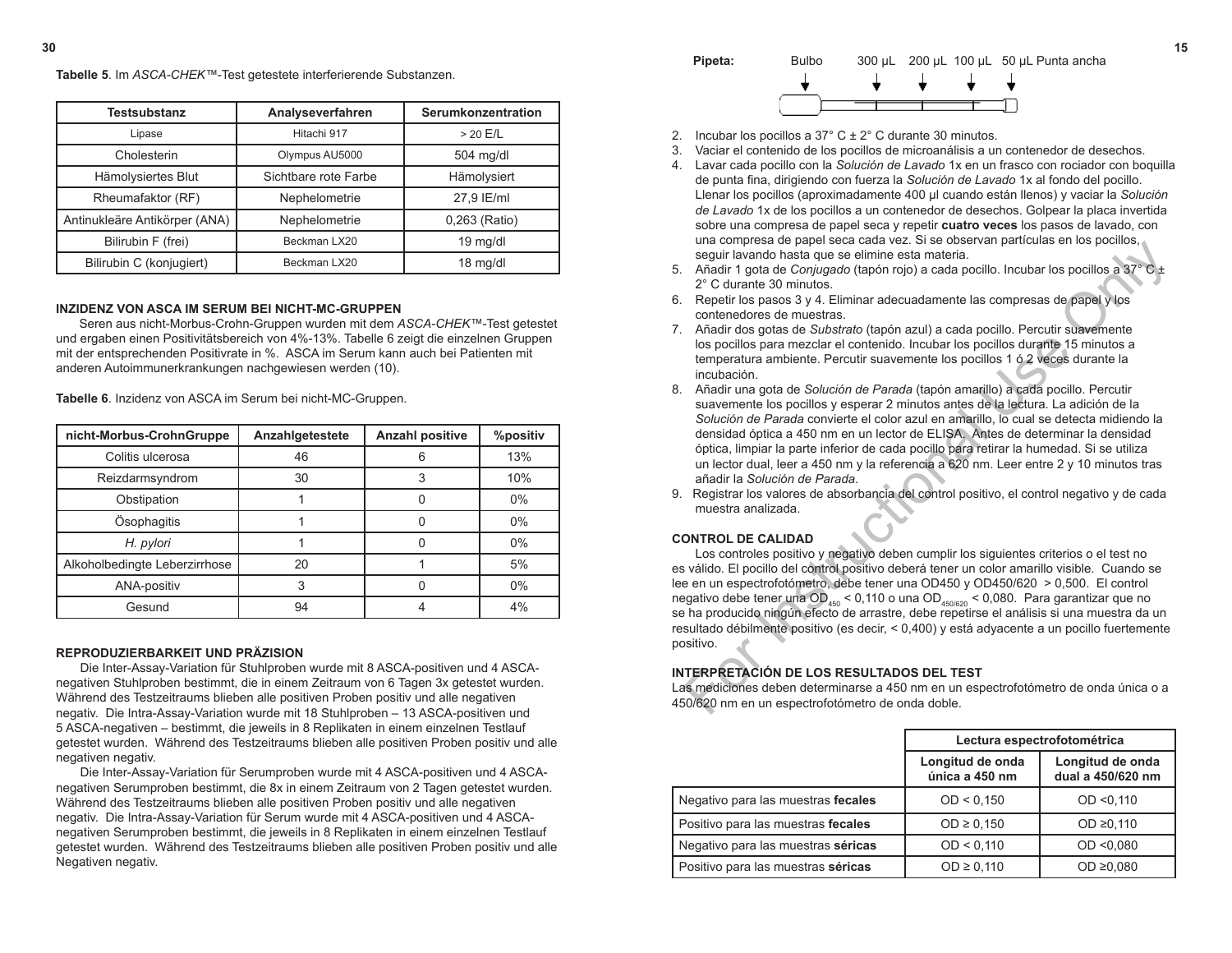

- 2. Incubar los pocillos a  $37^{\circ}$  C  $\pm$  2° C durante 30 minutos.
- 3. Vaciar el contenido de los pocillos de microanálisis a un contenedor de desechos.
- 4. Lavar cada pocillo con la *Solución de Lavado* 1x en un frasco con rociador con boquilla de punta fina, dirigiendo con fuerza la *Solución de Lavado* 1x al fondo del pocillo. Llenar los pocillos (aproximadamente 400 µl cuando están llenos) y vaciar la *Solución de Lavado* 1x de los pocillos a un contenedor de desechos. Golpear la placa invertida sobre una compresa de papel seca y repetir **cuatro veces** los pasos de lavado, con una compresa de papel seca cada vez. Si se observan partículas en los pocillos, seguir lavando hasta que se elimine esta materia.
- 5. Añadir 1 gota de *Conjugado* (tapón rojo) a cada pocillo. Incubar los pocillos a 37° C ± 2° C durante 30 minutos.
- 6. Repetir los pasos 3 y 4. Eliminar adecuadamente las compresas de papel y los contenedores de muestras.
- 7.Añadir dos gotas de *Substrato* (tapón azul) a cada pocillo. Percutir suavemente los pocillos para mezclar el contenido. Incubar los pocillos durante 15 minutos a temperatura ambiente. Percutir suavemente los pocillos 1 ó 2 veces durante la incubación.
- 8. Añadir una gota de *Solución de Parada* (tapón amarillo) a cada pocillo. Percutir suavemente los pocillos y esperar 2 minutos antes de la lectura. La adición de la *Solución de Parada* convierte el color azul en amarillo, lo cual se detecta midiendo la densidad óptica a 450 nm en un lector de ELISA. Antes de determinar la densidad óptica, limpiar la parte inferior de cada pocillo para retirar la humedad. Si se utiliza un lector dual, leer a 450 nm y la referencia a 620 nm. Leer entre 2 y 10 minutos tras añadir la *Solución de Parada*.
- 9. Registrar los valores de absorbancia del control positivo, el control negativo y de cada muestra analizada.

#### **CONTROL DE CALIDAD**

Los controles positivo y negativo deben cumplir los siguientes criterios o el test no es válido. El pocillo del control positivo deberá tener un color amarillo visible. Cuando se lee en un espectrofotómetro, debe tener una OD450 y OD450/620 > 0,500. El control negativo debe tener una OD<sub>450</sub> < 0,110 o una OD<sub>450/620</sub> < 0,080. Para garantizar que no se ha producido ningún efecto de arrastre, debe repetirse el análisis si una muestra da un resultado débilmente positivo (es decir, < 0,400) y está adyacente a un pocillo fuertemente positivo. en activitat en perei secte cause vez. Use osseveni panticulas en los pocinios and egalur lavando hasta que se elimine esta materia.<br>
2<sup>2</sup> C durante 30 minutos.<br>
Repetir los pasos 3 y 4. Eliminar adecuadamente las compre

#### **INTERPRETACIÓN DE LOS RESULTADOS DEL TEST**

Las mediciones deben determinarse a 450 nm en un espectrofotómetro de onda única o a 450/620 nm en un espectrofotómetro de onda doble.

|                                    | Lectura espectrofotométrica        |                                       |
|------------------------------------|------------------------------------|---------------------------------------|
|                                    | Longitud de onda<br>única a 450 nm | Longitud de onda<br>dual a 450/620 nm |
| Negativo para las muestras fecales | OD < 0.150                         | OD < 0.110                            |
| Positivo para las muestras fecales | $OD \ge 0,150$                     | OD ≥0,110                             |
| Negativo para las muestras séricas | OD < 0.110                         | OD < 0.080                            |
| Positivo para las muestras séricas | $OD \ge 0,110$                     | OD $\geq 0.080$                       |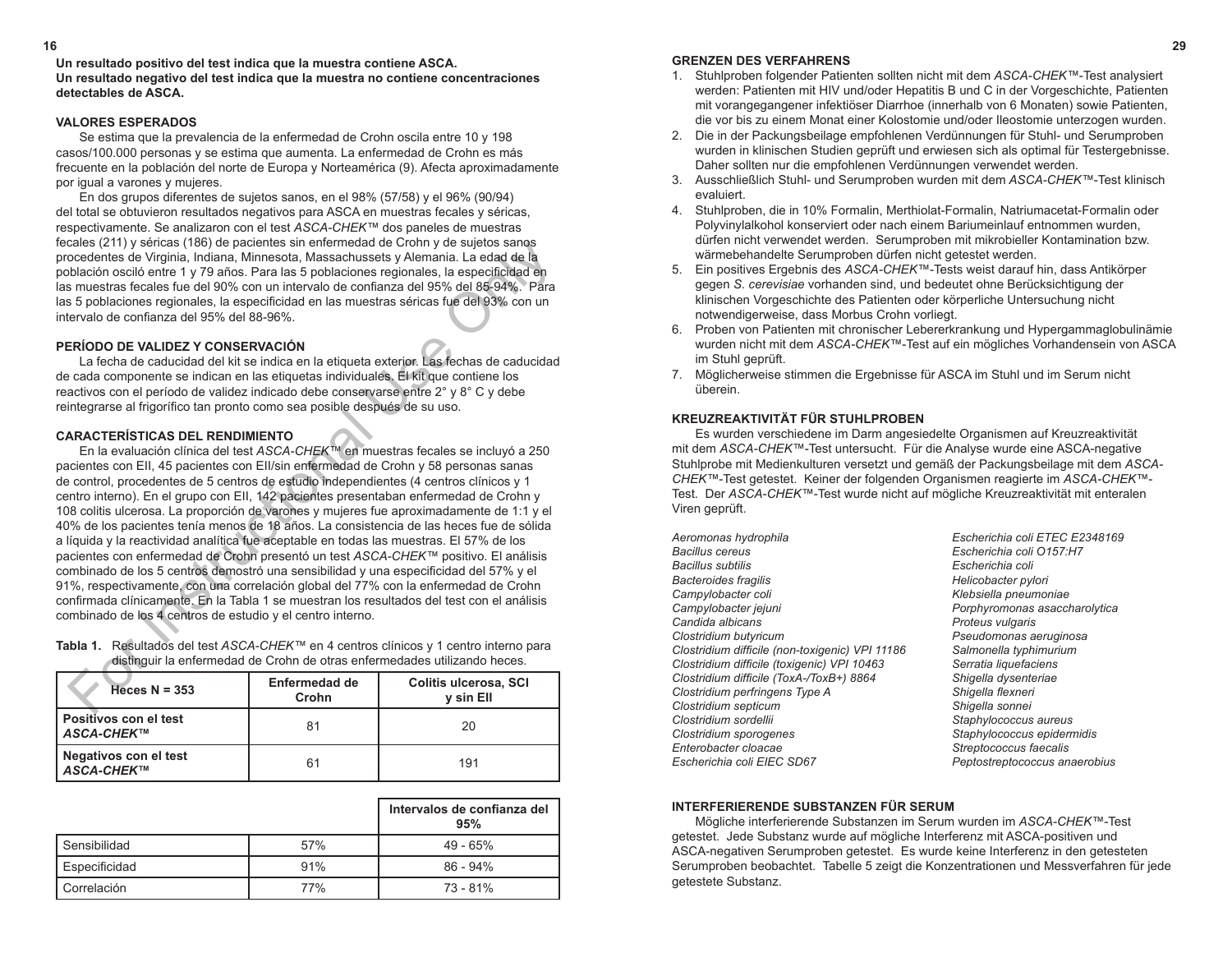**Un resultado positivo del test indica que la muestra contiene ASCA. Un resultado negativo del test indica que la muestra no contiene concentraciones detectables de ASCA.**

# **VALORES ESPERADOS**

Se estima que la prevalencia de la enfermedad de Crohn oscila entre 10 y 198 casos/100.000 personas y se estima que aumenta. La enfermedad de Crohn es más frecuente en la población del norte de Europa y Norteamérica (9). Afecta aproximadamente por igual a varones y mujeres.

En dos grupos diferentes de sujetos sanos, en el 98% (57/58) y el 96% (90/94) del total se obtuvieron resultados negativos para ASCA en muestras fecales y séricas, respectivamente. Se analizaron con el test *ASCA-CHEK™* dos paneles de muestras fecales (211) y séricas (186) de pacientes sin enfermedad de Crohn y de sujetos sanos procedentes de Virginia, Indiana, Minnesota, Massachussets y Alemania. La edad de la población osciló entre 1 y 79 años. Para las 5 poblaciones regionales, la especificidad en las muestras fecales fue del 90% con un intervalo de confianza del 95% del 85-94%. Para las 5 poblaciones regionales, la especificidad en las muestras séricas fue del 93% con un intervalo de confianza del 95% del 88-96%.

#### **PERÍODO DE VALIDEZ Y CONSERVACIÓN**

La fecha de caducidad del kit se indica en la etiqueta exterior. Las fechas de caducidad de cada componente se indican en las etiquetas individuales. El kit que contiene los reactivos con el período de validez indicado debe conservarse entre 2° y 8° C y debe reintegrarse al frigorífico tan pronto como sea posible después de su uso.

#### **CARACTERÍSTICAS DEL RENDIMIENTO**

En la evaluación clínica del test *ASCA-CHEK™* en muestras fecales se incluyó a 250 pacientes con EII, 45 pacientes con EII/sin enfermedad de Crohn y 58 personas sanas de control, procedentes de 5 centros de estudio independientes (4 centros clínicos y 1 centro interno). En el grupo con EII, 142 pacientes presentaban enfermedad de Crohn y 108 colitis ulcerosa. La proporción de varones y mujeres fue aproximadamente de 1:1 y el 40% de los pacientes tenía menos de 18 años. La consistencia de las heces fue de sólida a líquida y la reactividad analítica fue aceptable en todas las muestras. El 57% de los pacientes con enfermedad de Crohn presentó un test *ASCA-CHEK™* positivo. El análisis combinado de los 5 centros demostró una sensibilidad y una especificidad del 57% y el 91%, respectivamente, con una correlación global del 77% con la enfermedad de Crohn confirmada clínicamente. En la Tabla 1 se muestran los resultados del test con el análisis combinado de los 4 centros de estudio y el centro interno. cale (211) y sences it (169) de parceires sin entermedad de Croin y de Sujetos sanos<br>coedentes de Virginia, indiana, Minnesota, Massachussets y Alemania. La edad de la<br>bolación oció entre 1 y 79 años. Para las 5 poblacione

| uistinguir la chichhicuau de Cronn de Otras enfermeuaues utilizanuo rieces. |                        |                                    |  |
|-----------------------------------------------------------------------------|------------------------|------------------------------------|--|
| $Heces N = 353$                                                             | Enfermedad de<br>Crohn | Colitis ulcerosa, SCI<br>v sin Ell |  |
| l Positivos con el test<br>I <i>ASCA-CHEK</i> ™                             | 81                     | 20                                 |  |
| Negativos con el test<br>I <i>ASCA-CHEK</i> ™                               | 61                     | 191                                |  |

**Tabla 1.** Resultados del test *ASCA-CHEK™* en 4 centros clínicos y 1 centro interno para distinguir la enfermedad de Crohn de otras enfermedades utilizando heces.

|                |     | Intervalos de confianza del<br>95% |
|----------------|-----|------------------------------------|
| l Sensibilidad | 57% | 49 - 65%                           |
| Especificidad  | 91% | $86 - 94\%$                        |
| l Correlación  | 77% | 73 - 81%                           |

**16 29**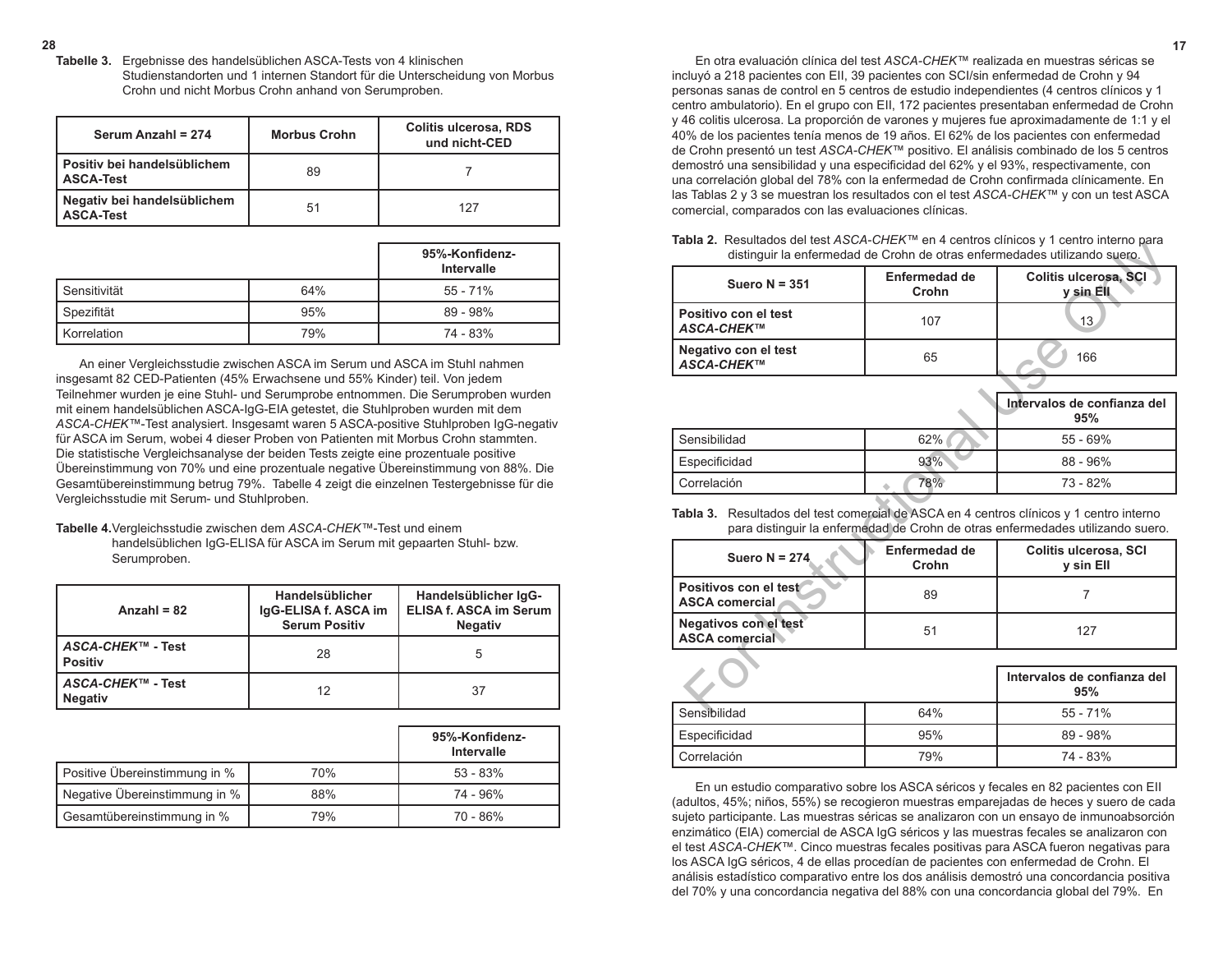En otra evaluación clínica del test *ASCA-CHEK™* realizada en muestras séricas se incluyó a 218 pacientes con EII, 39 pacientes con SCI/sin enfermedad de Crohn y 94 personas sanas de control en 5 centros de estudio independientes (4 centros clínicos y 1 centro ambulatorio). En el grupo con EII, 172 pacientes presentaban enfermedad de Crohn y 46 colitis ulcerosa. La proporción de varones y mujeres fue aproximadamente de 1:1 y el 40% de los pacientes tenía menos de 19 años. El 62% de los pacientes con enfermedad de Crohn presentó un test *ASCA-CHEK™* positivo. El análisis combinado de los 5 centros demostró una sensibilidad y una especificidad del 62% y el 93%, respectivamente, con una correlación global del 78% con la enfermedad de Crohn confirmada clínicamente. En las Tablas 2 y 3 se muestran los resultados con el test *ASCA-CHEK™* y con un test ASCA comercial, comparados con las evaluaciones clínicas.

**Tabla 2.** Resultados del test *ASCA-CHEK™* en 4 centros clínicos y 1 centro interno para distinguir la enfermedad de Crohn de otras enfermedades utilizando suero.

| <b>Table 2.</b> Nesultages get lest ASCA-CITER FOR HIGHING CITILCOS Y T CENTED INTERITO Data                                                                                 |                               | distinguir la enfermedad de Crohn de otras enfermedades utilizando suero. |  |
|------------------------------------------------------------------------------------------------------------------------------------------------------------------------------|-------------------------------|---------------------------------------------------------------------------|--|
| Suero $N = 351$                                                                                                                                                              | <b>Enfermedad de</b><br>Crohn | Colitis ulcerosa, SCI<br>y sin Ell                                        |  |
| Positivo con el test<br>ASCA-CHEK™                                                                                                                                           | 107                           | 13                                                                        |  |
| Negativo con el test<br><b>ASCA-CHEK™</b>                                                                                                                                    | 65                            | 166                                                                       |  |
|                                                                                                                                                                              |                               | Intervalos de confianza del<br>95%                                        |  |
| Sensibilidad                                                                                                                                                                 | 62%                           | $55 - 69%$                                                                |  |
| Especificidad                                                                                                                                                                | 93%                           | $88 - 96%$                                                                |  |
| Correlación                                                                                                                                                                  | 78%                           | 73 - 82%                                                                  |  |
| Resultados del test comercial de ASCA en 4 centros clínicos y 1 centro interno<br>Tabla 3.<br>para distinguir la enfermedad de Crohn de otras enfermedades utilizando suero. |                               |                                                                           |  |
| Suero $N = 274$                                                                                                                                                              | Enfermedad de<br>Crohn        | Colitis ulcerosa, SCI<br>y sin Ell                                        |  |
| Positivos con el test<br><b>ASCA comercial</b>                                                                                                                               | 89                            | $\overline{7}$                                                            |  |
| Negativos con el test<br><b>ASCA comercial</b>                                                                                                                               | 51                            | 127                                                                       |  |
|                                                                                                                                                                              |                               |                                                                           |  |
|                                                                                                                                                                              |                               | Intervalos de confianza del<br>95%                                        |  |
| <b>Sancihilidad</b>                                                                                                                                                          | 610 <sub>6</sub>              | 55 - 71%                                                                  |  |

|               |     | intervalos de confianza del<br>95% |
|---------------|-----|------------------------------------|
| Sensibilidad  | 62% | $55 - 69\%$                        |
| Especificidad | 93% | $88 - 96%$                         |
| Correlación   | 78% | 73 - 82%                           |

### **Tabla 3.** Resultados del test comercial de ASCA en 4 centros clínicos y 1 centro interno para distinguir la enfermedad de Crohn de otras enfermedades utilizando suero.

| Suero N = $274$                                | Enfermedad de<br>Crohn | Colitis ulcerosa, SCI<br>v sin Ell |
|------------------------------------------------|------------------------|------------------------------------|
| Positivos con el test<br><b>ASCA comercial</b> | 89                     |                                    |
| Negativos con el test<br><b>ASCA comercial</b> | 51                     | 127                                |

|               | Intervalos de confianza del<br>95% |            |
|---------------|------------------------------------|------------|
| Sensibilidad  | 64%                                | $55 - 71%$ |
| Especificidad | 95%                                | $89 - 98%$ |
| Correlación   | 79%                                | 74 - 83%   |

En un estudio comparativo sobre los ASCA séricos y fecales en 82 pacientes con EII (adultos, 45%; niños, 55%) se recogieron muestras emparejadas de heces y suero de cada sujeto participante. Las muestras séricas se analizaron con un ensayo de inmunoabsorción enzimático (EIA) comercial de ASCA IgG séricos y las muestras fecales se analizaron con el test *ASCA-CHEK™*. Cinco muestras fecales positivas para ASCA fueron negativas para los ASCA IgG séricos, 4 de ellas procedían de pacientes con enfermedad de Crohn. El análisis estadístico comparativo entre los dos análisis demostró una concordancia positiva del 70% y una concordancia negativa del 88% con una concordancia global del 79%. En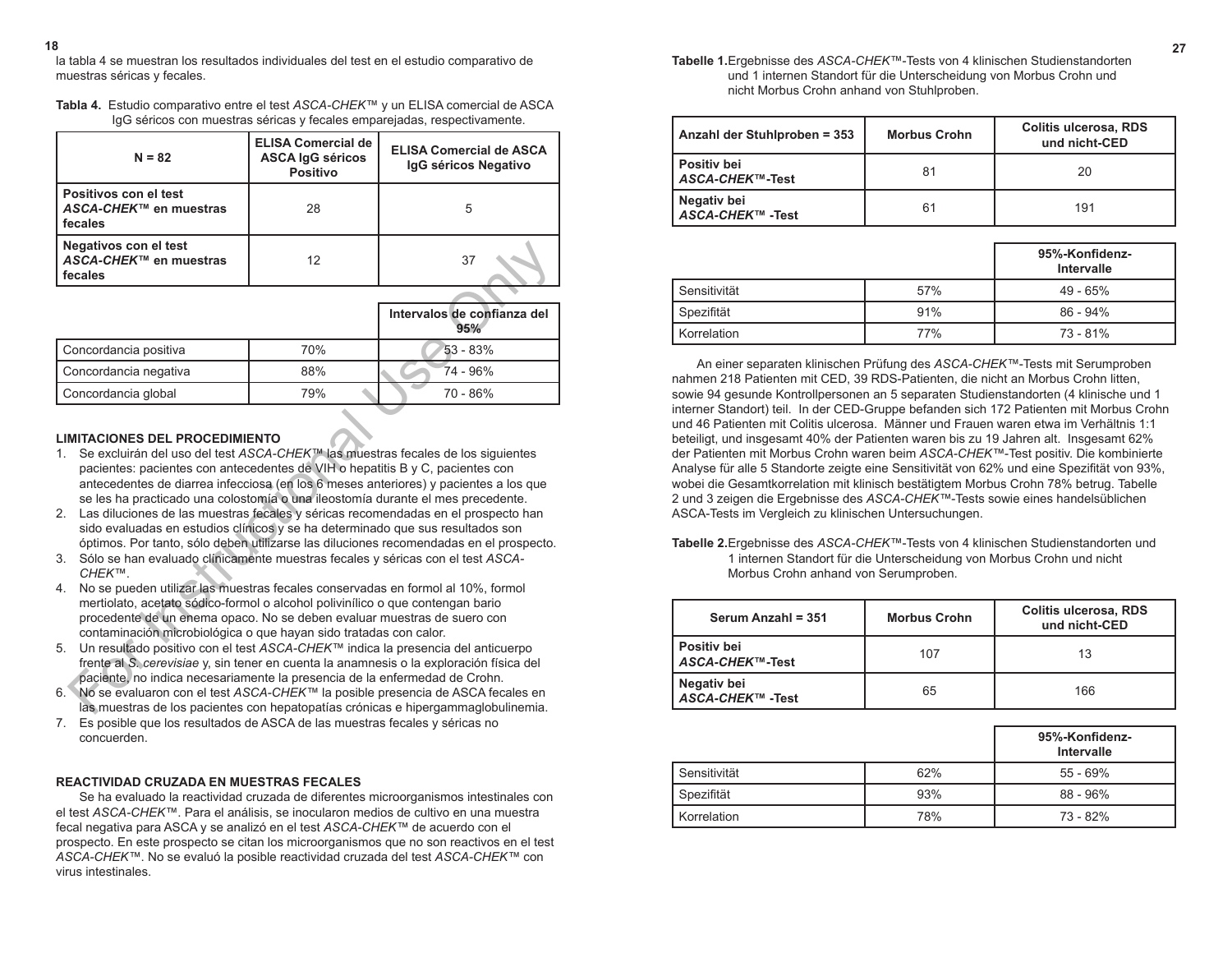la tabla 4 se muestran los resultados individuales del test en el estudio comparativo de muestras séricas y fecales. **18 27**

| Tabla 4. Estudio comparativo entre el test ASCA-CHEK™ y un ELISA comercial de ASCA |
|------------------------------------------------------------------------------------|
| IgG séricos con muestras séricas y fecales emparejadas, respectivamente.           |

| $N = 82$                                                   | <b>ELISA Comercial de</b><br><b>ASCA IgG séricos</b><br><b>Positivo</b> | <b>ELISA Comercial de ASCA</b><br>IgG séricos Negativo |
|------------------------------------------------------------|-------------------------------------------------------------------------|--------------------------------------------------------|
| Positivos con el test<br>ASCA-CHEK™ en muestras<br>fecales | 28                                                                      | 5                                                      |
| Negativos con el test<br>ASCA-CHEK™ en muestras<br>fecales | 12                                                                      | 37                                                     |

| Negativos con el test<br>ASCA-CHEK™ en muestras<br>fecales                                                                                                                                                                                                                                                                                                                                                                                                                                                                                                                                                                                                                                                                      | 12  | 37                                                                                |
|---------------------------------------------------------------------------------------------------------------------------------------------------------------------------------------------------------------------------------------------------------------------------------------------------------------------------------------------------------------------------------------------------------------------------------------------------------------------------------------------------------------------------------------------------------------------------------------------------------------------------------------------------------------------------------------------------------------------------------|-----|-----------------------------------------------------------------------------------|
|                                                                                                                                                                                                                                                                                                                                                                                                                                                                                                                                                                                                                                                                                                                                 |     |                                                                                   |
|                                                                                                                                                                                                                                                                                                                                                                                                                                                                                                                                                                                                                                                                                                                                 |     | Intervalos de confianza del<br>95%                                                |
| Concordancia positiva                                                                                                                                                                                                                                                                                                                                                                                                                                                                                                                                                                                                                                                                                                           | 70% | $53 - 83%$                                                                        |
| Concordancia negativa                                                                                                                                                                                                                                                                                                                                                                                                                                                                                                                                                                                                                                                                                                           | 88% | 74 - 96%                                                                          |
| Concordancia global                                                                                                                                                                                                                                                                                                                                                                                                                                                                                                                                                                                                                                                                                                             | 79% | 70 - 86%                                                                          |
| <b>LIMITACIONES DEL PROCEDIMIENTO</b>                                                                                                                                                                                                                                                                                                                                                                                                                                                                                                                                                                                                                                                                                           |     |                                                                                   |
| Se excluirán del uso del test ASCA-CHEK™ las muestras fecales de los siguientes<br>$1_{-}$<br>pacientes: pacientes con antecedentes de VIH o hepatitis B y C, pacientes con<br>antecedentes de diarrea infecciosa (en los 6 meses anteriores) y pacientes a los que<br>se les ha practicado una colostomía o una ileostomía durante el mes precedente.<br>Las diluciones de las muestras fecales y séricas recomendadas en el prospecto han<br>2.<br>sido evaluadas en estudios clínicos y se ha determinado que sus resultados son<br>óptimos. Por tanto, sólo deben utilizarse las diluciones recomendadas en el prospecto.<br>Sólo se han evaluado clínicamente muestras fecales y séricas con el test ASCA-<br>3.<br>CHEK™. |     |                                                                                   |
| No se pueden utilizar las muestras fecales conservadas en formol al 10%, formol<br>4.<br>mertiolato, acetato sódico-formol o alcohol polivinílico o que contengan bario<br>procedente de un enema opaco. No se deben evaluar muestras de suero con<br>contaminación microbiológica o que hayan sido tratadas con calor.<br>Un resultado positivo con el test ASCA-CHEK™ indica la presencia del anticuerpo<br>5.                                                                                                                                                                                                                                                                                                                |     |                                                                                   |
| frente al S. cerevisiae y, sin tener en cuenta la anamnesis o la exploración física del<br>paciente, no indica necesariamente la presencia de la enfermedad de Crohn.<br>No se evaluaron con el test ASCA-CHEK™ la posible presencia de ASCA fecales en<br>6.                                                                                                                                                                                                                                                                                                                                                                                                                                                                   |     | las muestras de los pacientes con hepatopatías crónicas e hipergammaglobulinemia. |

# **LIMITACIONES DEL PROCEDIMIENTO**

- 1. Se excluirán del uso del test *ASCA-CHEK™* las muestras fecales de los siguientes pacientes: pacientes con antecedentes de VIH o hepatitis B y C, pacientes con antecedentes de diarrea infecciosa (en los 6 meses anteriores) y pacientes a los que se les ha practicado una colostomía o una ileostomía durante el mes precedente.
- 2. Las diluciones de las muestras fecales y séricas recomendadas en el prospecto han sido evaluadas en estudios clínicos y se ha determinado que sus resultados son óptimos. Por tanto, sólo deben utilizarse las diluciones recomendadas en el prospecto.
- 3. Sólo se han evaluado clínicamente muestras fecales y séricas con el test *ASCA-CHEK™*.
- 4. No se pueden utilizar las muestras fecales conservadas en formol al 10%, formol mertiolato, acetato sódico-formol o alcohol polivinílico o que contengan bario procedente de un enema opaco. No se deben evaluar muestras de suero con contaminación microbiológica o que hayan sido tratadas con calor.
- 5. Un resultado positivo con el test *ASCA-CHEK™* indica la presencia del anticuerpo frente al *S. cerevisiae* y, sin tener en cuenta la anamnesis o la exploración física del paciente, no indica necesariamente la presencia de la enfermedad de Crohn.
- 6. No se evaluaron con el test *ASCA-CHEK™* la posible presencia de ASCA fecales en las muestras de los pacientes con hepatopatías crónicas e hipergammaglobulinemia.
- 7. Es posible que los resultados de ASCA de las muestras fecales y séricas no concuerden.

# **REACTIVIDAD CRUZADA EN MUESTRAS FECALES**

Se ha evaluado la reactividad cruzada de diferentes microorganismos intestinales con el test *ASCA-CHEK™*. Para el análisis, se inocularon medios de cultivo en una muestra fecal negativa para ASCA y se analizó en el test *ASCA-CHEK™* de acuerdo con el prospecto. En este prospecto se citan los microorganismos que no son reactivos en el test *ASCA-CHEK™*. No se evaluó la posible reactividad cruzada del test *ASCA-CHEK™* con virus intestinales.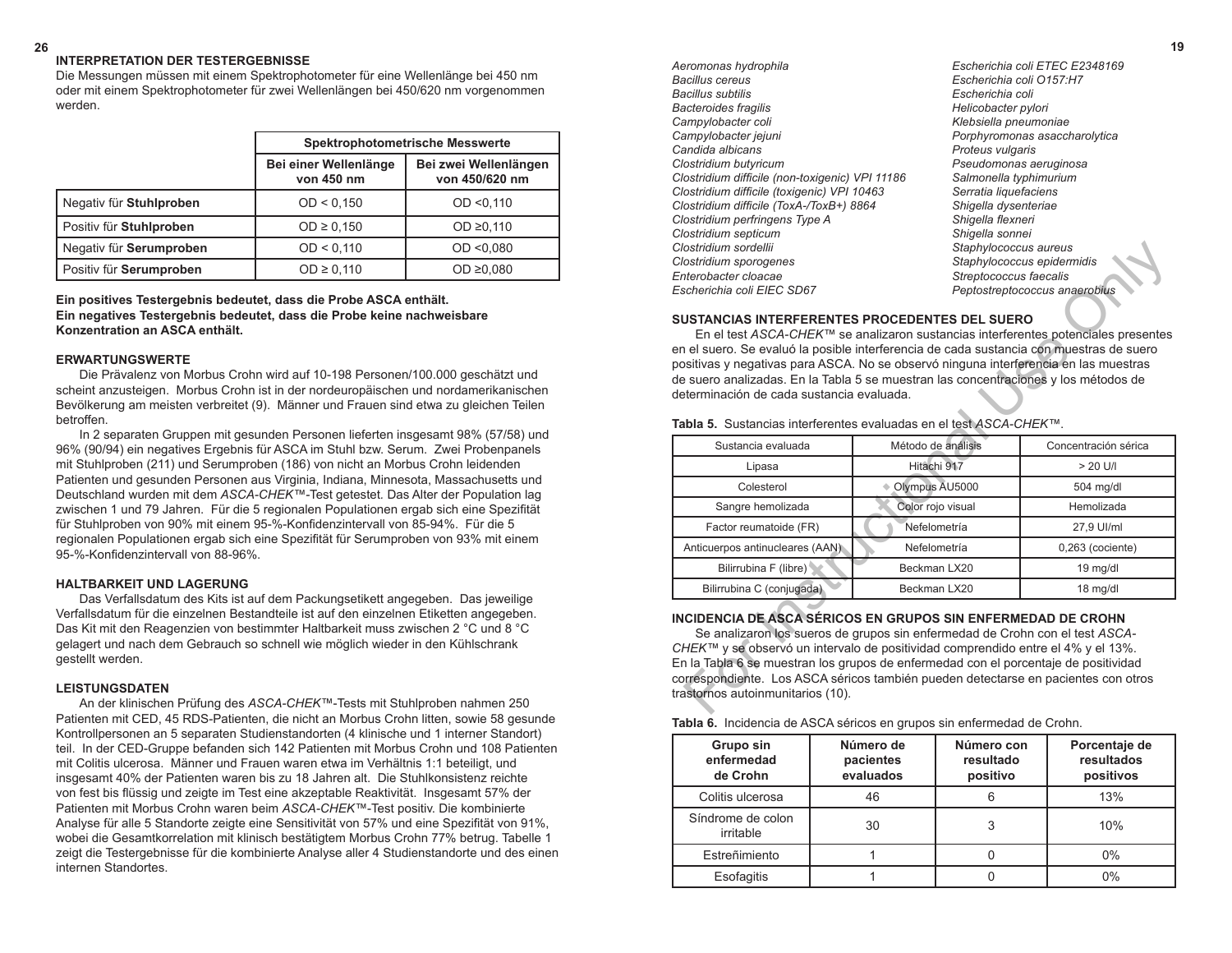*Aeromonas hydrophila Escherichia coli ETEC E2348169 Bacillus cereus Escherichia coli O157:H7 Bacteroides fragilis Helicobacter pylori Campylobacter coli Klebsiella pneumoniae Campylobacter jejuni Porphyromonas asaccharolytica Candida albicans Proteus vulgaris Clostridium butyricum Pseudomonas aeruginosa Clostridium difficile (non-toxigenic) VPI 11186 Salmonella typhimurium Clostridium difficile (toxigenic) VPI 10463 Serratia liquefaciens Clostridium difficile (ToxA-/ToxB+) 8864 Shigella dysenteriae Clostridium perfringens Type A Shigella flexneri Clostridium septicum Shigella sonnei* **Clostridium sordellii** Staphylococcus aureus<br>Staphylococcus aureus *Clostridium sporogenes Staphylococcus epidermidis Enterobacter cloacae Streptococcus faecalis Escherichia coli EIEC SD67 Peptostreptococcus anaerobius*

*Bacillus subtilis Escherichia coli*

### **SUSTANCIAS INTERFERENTES PROCEDENTES DEL SUERO**

| Clostridium sordellii                                                                                                                                                                                                                                                                                                                                                                                                 | Staphylococcus aureus                                                        |                               |
|-----------------------------------------------------------------------------------------------------------------------------------------------------------------------------------------------------------------------------------------------------------------------------------------------------------------------------------------------------------------------------------------------------------------------|------------------------------------------------------------------------------|-------------------------------|
| Clostridium sporogenes                                                                                                                                                                                                                                                                                                                                                                                                |                                                                              | Staphylococcus epidermidis    |
| Enterobacter cloacae                                                                                                                                                                                                                                                                                                                                                                                                  | Streptococcus faecalis                                                       |                               |
| Escherichia coli EIEC SD67                                                                                                                                                                                                                                                                                                                                                                                            |                                                                              | Peptostreptococcus anaerobius |
| <b>SUSTANCIAS INTERFERENTES PROCEDENTES DEL SUERO</b><br>En el test ASCA-CHEK™ se analizaron sustancias interferentes potenciales presentes<br>en el suero. Se evaluó la posible interferencia de cada sustancia con muestras de suero<br>positivas y negativas para ASCA. No se observó ninguna interferencia en las muestras<br>de suero analizadas. En la Tabla 5 se muestran las concentraciones y los métodos de |                                                                              |                               |
| determinación de cada sustancia evaluada.                                                                                                                                                                                                                                                                                                                                                                             |                                                                              |                               |
| Tabla 5. Sustancias interferentes evaluadas en el test ASCA-CHEK™.                                                                                                                                                                                                                                                                                                                                                    |                                                                              |                               |
| Sustancia evaluada                                                                                                                                                                                                                                                                                                                                                                                                    | Método de análisis                                                           | Concentración sérica          |
| Lipasa                                                                                                                                                                                                                                                                                                                                                                                                                | Hitachi 917                                                                  | $> 20$ U/I                    |
| Colesterol                                                                                                                                                                                                                                                                                                                                                                                                            | Olympus AU5000                                                               | 504 mg/dl                     |
| Sangre hemolizada                                                                                                                                                                                                                                                                                                                                                                                                     | Color rojo visual                                                            | Hemolizada                    |
| Factor reumatoide (FR)                                                                                                                                                                                                                                                                                                                                                                                                | Nefelometría                                                                 | 27,9 UI/ml                    |
| Anticuerpos antinucleares (AAN)                                                                                                                                                                                                                                                                                                                                                                                       | Nefelometría                                                                 | $0,263$ (cociente)            |
| Bilirrubina F (libre)                                                                                                                                                                                                                                                                                                                                                                                                 | Beckman LX20                                                                 | 19 mg/dl                      |
| Bilirrubina C (conjugada)                                                                                                                                                                                                                                                                                                                                                                                             | Beckman LX20                                                                 | 18 mg/dl                      |
| INCIDENCIA DE ASCA SÉRICOS EN GRUPOS SIN ENFERMEDAD DE CROHN<br>CHEK™ y se observó un intervalo de positividad comprendido entre el 4% y el 13%.<br>En la Tabla 6 se muestran los grupos de enfermedad con el porcentaje de positividad<br>correspondiente. Los ASCA séricos también pueden detectarse en pacientes con otros<br>trastornos autoinmunitarios (10).                                                    | Se analizaron los sueros de grupos sin enfermedad de Crohn con el test ASCA- |                               |

# **INCIDENCIA DE ASCA SÉRICOS EN GRUPOS SIN ENFERMEDAD DE CROHN**

| Tabla 6. Incidencia de ASCA séricos en grupos sin enfermedad de Crohn. |  |
|------------------------------------------------------------------------|--|
|------------------------------------------------------------------------|--|

| Grupo sin<br>enfermedad<br>de Crohn | Número de<br>pacientes<br>evaluados | Número con<br>resultado<br>positivo | Porcentaje de<br>resultados<br>positivos |
|-------------------------------------|-------------------------------------|-------------------------------------|------------------------------------------|
| Colitis ulcerosa                    | 46                                  |                                     | 13%                                      |
| Síndrome de colon<br>irritable      | 30                                  |                                     | 10%                                      |
| Estreñimiento                       |                                     |                                     | 0%                                       |
| Esofagitis                          |                                     |                                     | 0%                                       |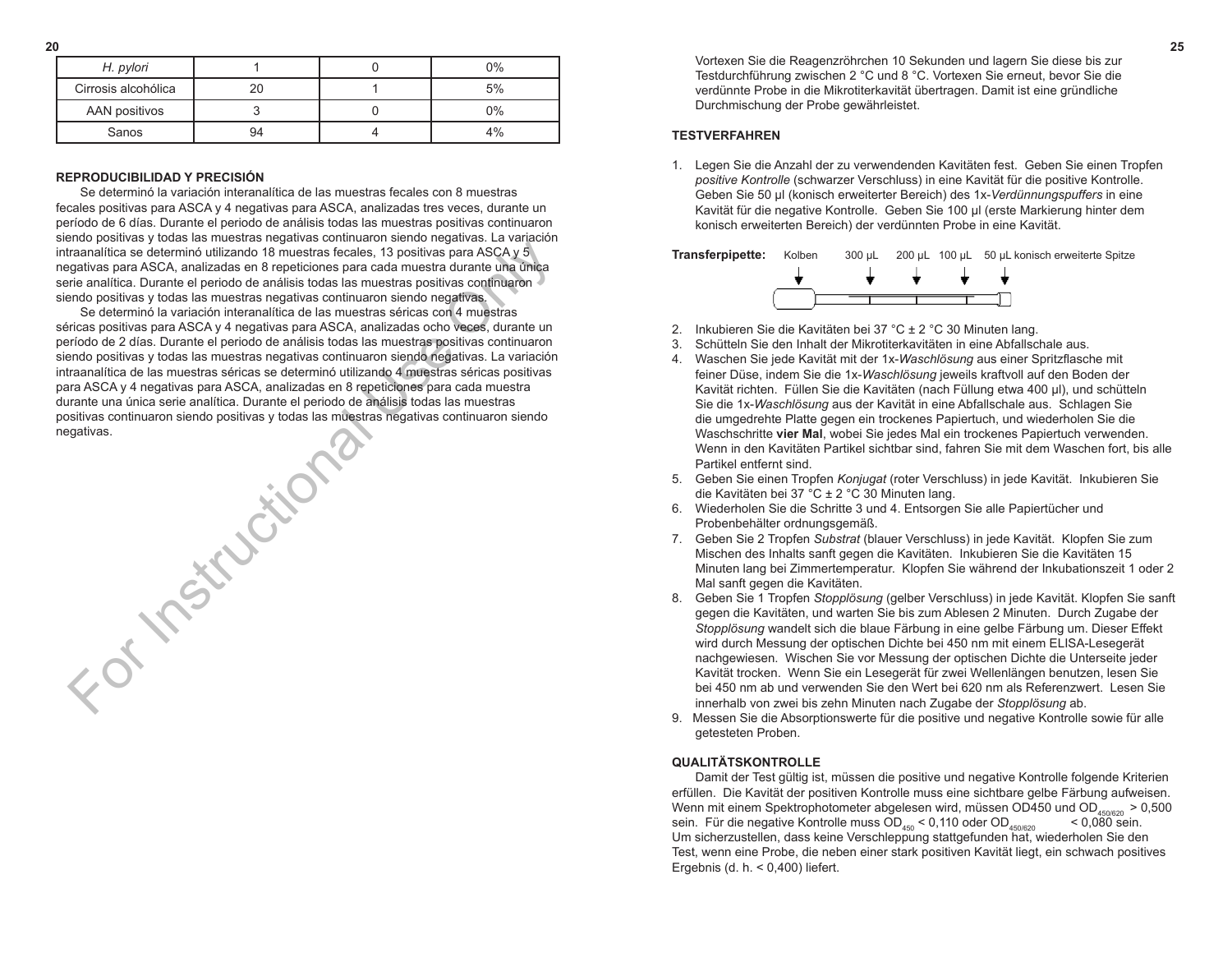| H. pylori           |    | $0\%$ |
|---------------------|----|-------|
| Cirrosis alcohólica |    | 5%    |
| AAN positivos       |    | 0%    |
| Sanos               | 94 |       |

### **REPRODUCIBILIDAD Y PRECISIÓN**

 Se determinó la variación interanalítica de las muestras fecales con 8 muestras fecales positivas para ASCA y 4 negativas para ASCA, analizadas tres veces, durante un período de 6 días. Durante el periodo de análisis todas las muestras positivas continuaron siendo positivas y todas las muestras negativas continuaron siendo negativas. La variación intraanalítica se determinó utilizando 18 muestras fecales, 13 positivas para ASCA y 5 negativas para ASCA, analizadas en 8 repeticiones para cada muestra durante una única serie analítica. Durante el periodo de análisis todas las muestras positivas continuaron siendo positivas y todas las muestras negativas continuaron siendo negativas.

 Se determinó la variación interanalítica de las muestras séricas con 4 muestras séricas positivas para ASCA y 4 negativas para ASCA, analizadas ocho veces, durante un período de 2 días. Durante el periodo de análisis todas las muestras positivas continuaron siendo positivas y todas las muestras negativas continuaron siendo negativas. La variación intraanalítica de las muestras séricas se determinó utilizando 4 muestras séricas positivas para ASCA y 4 negativas para ASCA, analizadas en 8 repeticiones para cada muestra durante una única serie analítica. Durante el periodo de análisis todas las muestras positivas continuaron siendo positivas y todas las muestras negativas continuaron siendo negativas.

**Sittle Street** 

**20 25**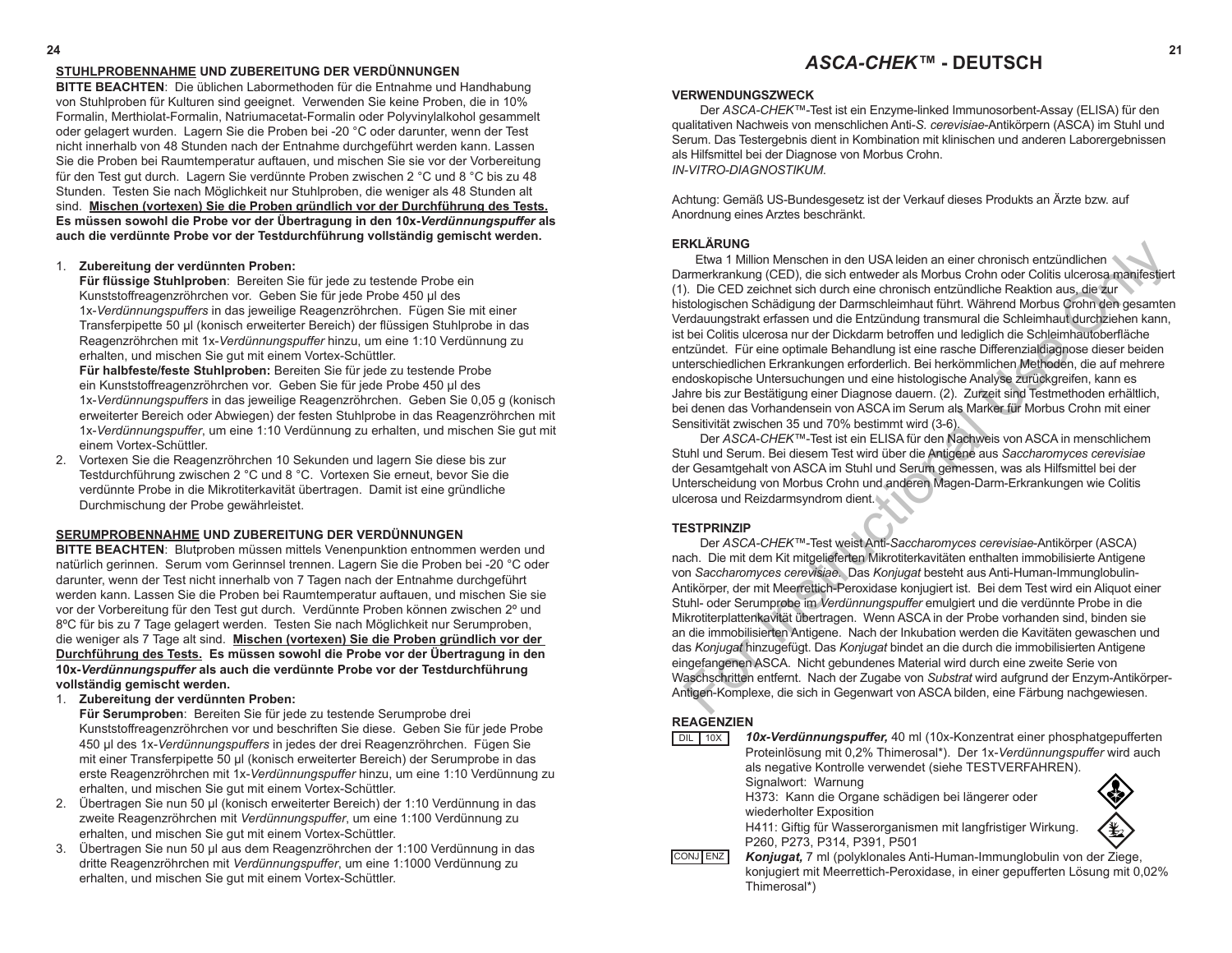#### *ASCA-CHEK™* **- DEUTSCH 24 21**

#### **VERWENDUNGSZWECK**

Der *ASCA-CHEK™*-Test ist ein Enzyme-linked Immunosorbent-Assay (ELISA) für den qualitativen Nachweis von menschlichen Anti-*S. cerevisiae*-Antikörpern (ASCA) im Stuhl und Serum. Das Testergebnis dient in Kombination mit klinischen und anderen Laborergebnissen als Hilfsmittel bei der Diagnose von Morbus Crohn. *IN-VITRO-DIAGNOSTIKUM*.

Achtung: Gemäß US-Bundesgesetz ist der Verkauf dieses Produkts an Ärzte bzw. auf Anordnung eines Arztes beschränkt.

# **ERKLÄRUNG**

Etwa 1 Million Menschen in den USA leiden an einer chronisch entzündlichen Darmerkrankung (CED), die sich entweder als Morbus Crohn oder Colitis ulcerosa manifestiert (1). Die CED zeichnet sich durch eine chronisch entzündliche Reaktion aus, die zur histologischen Schädigung der Darmschleimhaut führt. Während Morbus Crohn den gesamten Verdauungstrakt erfassen und die Entzündung transmural die Schleimhaut durchziehen kann, ist bei Colitis ulcerosa nur der Dickdarm betroffen und lediglich die Schleimhautoberfläche entzündet. Für eine optimale Behandlung ist eine rasche Differenzialdiagnose dieser beiden unterschiedlichen Erkrankungen erforderlich. Bei herkömmlichen Methoden, die auf mehrere endoskopische Untersuchungen und eine histologische Analyse zurückgreifen, kann es Jahre bis zur Bestätigung einer Diagnose dauern. (2). Zurzeit sind Testmethoden erhältlich, bei denen das Vorhandensein von ASCA im Serum als Marker für Morbus Crohn mit einer Sensitivität zwischen 35 und 70% bestimmt wird (3-6). **RARIANG**<br> **ENATION**<br> **ENATION**<br> **ENATION**<br> **ENATION**<br> **ENATION**<br> **ENATION**<br> **ENDERATION**<br> **ENDERATION**<br> **ENDERATION**<br> **ENDERATION**<br> **ENDERATION**<br> **ENDERATION**<br> **ENDERATION:**<br> **ENDERATION:**<br> **ENDERATION:**<br> **ENDERATION:**<br>

Der *ASCA*-*CHEK™*-Test ist ein ELISA für den Nachweis von ASCA in menschlichem Stuhl und Serum. Bei diesem Test wird über die Antigene aus *Saccharomyces cerevisiae* der Gesamtgehalt von ASCA im Stuhl und Serum gemessen, was als Hilfsmittel bei der Unterscheidung von Morbus Crohn und anderen Magen-Darm-Erkrankungen wie Colitis ulcerosa und Reizdarmsyndrom dient.

#### **TESTPRINZIP**

Der *ASCA-CHEK™*-Test weist Anti-*Saccharomyces cerevisiae*-Antikörper (ASCA) nach. Die mit dem Kit mitgelieferten Mikrotiterkavitäten enthalten immobilisierte Antigene von *Saccharomyces cerevisiae.* Das *Konjugat* besteht aus Anti-Human-Immunglobulin-Antikörper, der mit Meerrettich-Peroxidase konjugiert ist. Bei dem Test wird ein Aliquot einer Stuhl- oder Serumprobe im *Verdünnungspuffer* emulgiert und die verdünnte Probe in die Mikrotiterplattenkavität übertragen. Wenn ASCA in der Probe vorhanden sind, binden sie an die immobilisierten Antigene. Nach der Inkubation werden die Kavitäten gewaschen und das *Konjugat* hinzugefügt. Das *Konjugat* bindet an die durch die immobilisierten Antigene eingefangenen ASCA. Nicht gebundenes Material wird durch eine zweite Serie von Waschschritten entfernt. Nach der Zugabe von *Substrat* wird aufgrund der Enzym-Antikörper-Antigen-Komplexe, die sich in Gegenwart von ASCA bilden, eine Färbung nachgewiesen.

#### **REAGENZIEN**

| 10 <sub>X</sub> | 10x-Verdünnungspuffer, 40 ml (10x-Konzentrat einer phosphatgepufferten       |
|-----------------|------------------------------------------------------------------------------|
|                 | Proteinlösung mit 0.2% Thimerosal*). Der 1x-Verdünnungspuffer wird auch      |
|                 | als negative Kontrolle verwendet (siehe TESTVERFAHREN).                      |
|                 | Signalwort: Warnung                                                          |
|                 | H373: Kann die Organe schädigen bei längerer oder                            |
|                 | wiederholter Exposition                                                      |
|                 | чr.<br>H411: Giftig für Wasserorganismen mit langfristiger Wirkung.          |
|                 | P260, P273, P314, P391, P501                                                 |
| <b>IENZ</b>     | Konjugat, 7 ml (polyklonales Anti-Human-Immunglobulin von der Ziege,         |
|                 | konjugiert mit Meerrettich-Peroxidase, in einer gepufferten Lösung mit 0,02% |
|                 | Thimerosal*)                                                                 |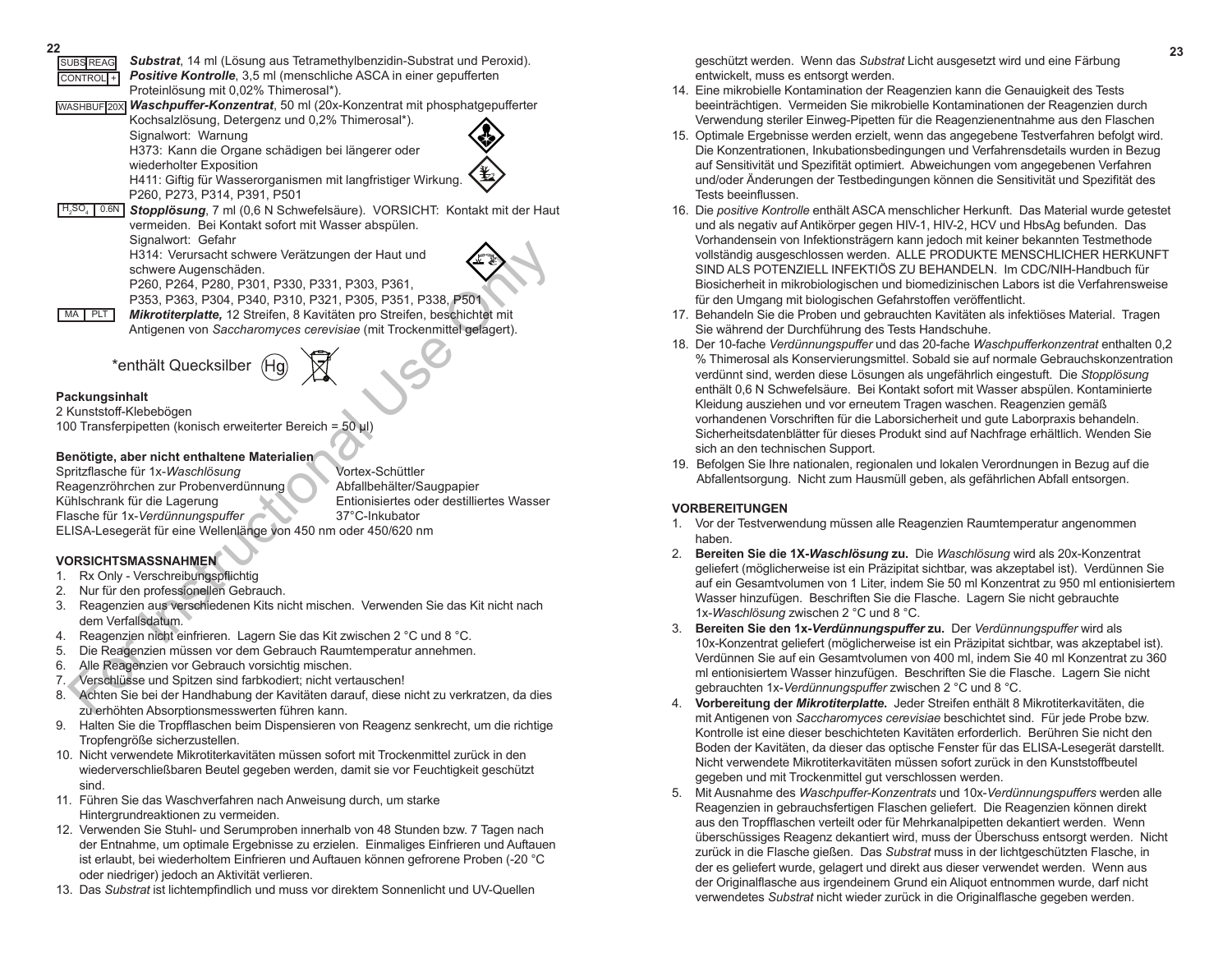| 22                                                                                                                                                     |  |
|--------------------------------------------------------------------------------------------------------------------------------------------------------|--|
| Substrat, 14 ml (Lösung aus Tetramethylbenzidin-Substrat und Peroxid).<br><b>SUBS REAG</b>                                                             |  |
| <b>Positive Kontrolle, 3,5 ml (menschliche ASCA in einer gepufferten</b><br>CONTROL <sup>+</sup><br>Proteinlösung mit 0,02% Thimerosal*).              |  |
| Waschpuffer-Konzentrat, 50 ml (20x-Konzentrat mit phosphatgepufferter<br>WASHBUF 20X                                                                   |  |
| Kochsalzlösung, Detergenz und 0,2% Thimerosal*).                                                                                                       |  |
| Signalwort: Warnung                                                                                                                                    |  |
| H373: Kann die Organe schädigen bei längerer oder                                                                                                      |  |
| wiederholter Exposition                                                                                                                                |  |
| H411: Giftig für Wasserorganismen mit langfristiger Wirkung.                                                                                           |  |
| P260, P273, P314, P391, P501                                                                                                                           |  |
| $H_2SO_4$ 0.6N Stopplösung, 7 ml (0,6 N Schwefelsäure). VORSICHT: Kontakt mit der Haut                                                                 |  |
| vermeiden. Bei Kontakt sofort mit Wasser abspülen.                                                                                                     |  |
| Signalwort: Gefahr                                                                                                                                     |  |
| H314: Verursacht schwere Verätzungen der Haut und<br>schwere Augenschäden.                                                                             |  |
| P260, P264, P280, P301, P330, P331, P303, P361,                                                                                                        |  |
| P353, P363, P304, P340, P310, P321, P305, P351, P338, P501                                                                                             |  |
| MA PLT<br>Mikrotiterplatte, 12 Streifen, 8 Kavitäten pro Streifen, beschichtet mit                                                                     |  |
| Antigenen von Saccharomyces cerevisiae (mit Trockenmittel gelagert).                                                                                   |  |
|                                                                                                                                                        |  |
| *enthält Quecksilber                                                                                                                                   |  |
|                                                                                                                                                        |  |
| Packungsinhalt                                                                                                                                         |  |
| 2 Kunststoff-Klebebögen                                                                                                                                |  |
| 100 Transferpipetten (konisch erweiterter Bereich = 50 µl)                                                                                             |  |
|                                                                                                                                                        |  |
| Benötigte, aber nicht enthaltene Materialien<br>Vortex-Schüttler                                                                                       |  |
| Spritzflasche für 1x-Waschlösung<br>Reagenzröhrchen zur Probenverdünnung<br>Abfallbehälter/Saugpapier                                                  |  |
| Kühlschrank für die Lagerung<br>Entionisiertes oder destilliertes Wasser                                                                               |  |
| Flasche für 1x-Verdünnungspuffer<br>37°C-Inkubator                                                                                                     |  |
| ELISA-Lesegerät für eine Wellenlänge von 450 nm oder 450/620 nm                                                                                        |  |
|                                                                                                                                                        |  |
| <b>VORSICHTSMASSNAHMEN</b>                                                                                                                             |  |
| 1. Rx Only - Verschreibungspflichtig                                                                                                                   |  |
| Nur für den professionellen Gebrauch.<br>2.                                                                                                            |  |
| Reagenzien aus verschiedenen Kits nicht mischen. Verwenden Sie das Kit nicht nach<br>3.                                                                |  |
| dem Verfallsdatum.                                                                                                                                     |  |
| Reagenzien nicht einfrieren. Lagern Sie das Kit zwischen 2 °C und 8 °C.<br>4.<br>Die Reagenzien müssen vor dem Gebrauch Raumtemperatur annehmen.<br>5. |  |
| Alle Reagenzien vor Gebrauch vorsichtig mischen.<br>6.                                                                                                 |  |
| Verschlüsse und Spitzen sind farbkodiert; nicht vertauschen!<br>7.                                                                                     |  |
| 8.<br>Achten Sie bei der Handhabung der Kavitäten darauf, diese nicht zu verkratzen, da dies                                                           |  |
| zu erhöhten Absorptionsmesswerten führen kann.                                                                                                         |  |

# **Packungsinhalt**

# **Benötigte, aber nicht enthaltene Materialien**

# **VORSICHTSMASSNAHMEN**

- 1. Rx Only Verschreibungspflichtig
- 2. Nur für den professionellen Gebrauch.
- 3. Reagenzien aus verschiedenen Kits nicht mischen. Verwenden Sie das Kit nicht nach dem Verfallsdatum.
- 4. Reagenzien nicht einfrieren. Lagern Sie das Kit zwischen 2 °C und 8 °C.
- 5. Die Reagenzien müssen vor dem Gebrauch Raumtemperatur annehmen.
- 6. Alle Reagenzien vor Gebrauch vorsichtig mischen.
- 7. Verschlüsse und Spitzen sind farbkodiert; nicht vertauschen!
- 8. Achten Sie bei der Handhabung der Kavitäten darauf, diese nicht zu verkratzen, da dies zu erhöhten Absorptionsmesswerten führen kann.
- 9. Halten Sie die Tropfflaschen beim Dispensieren von Reagenz senkrecht, um die richtige Tropfengröße sicherzustellen.
- 10. Nicht verwendete Mikrotiterkavitäten müssen sofort mit Trockenmittel zurück in den wiederverschließbaren Beutel gegeben werden, damit sie vor Feuchtigkeit geschützt sind.
- 11. Führen Sie das Waschverfahren nach Anweisung durch, um starke Hintergrundreaktionen zu vermeiden.
- 12. Verwenden Sie Stuhl- und Serumproben innerhalb von 48 Stunden bzw. 7 Tagen nach der Entnahme, um optimale Ergebnisse zu erzielen. Einmaliges Einfrieren und Auftauen ist erlaubt, bei wiederholtem Einfrieren und Auftauen können gefrorene Proben (-20 °C oder niedriger) jedoch an Aktivität verlieren.
- 13. Das *Substrat* ist lichtempfindlich und muss vor direktem Sonnenlicht und UV-Quellen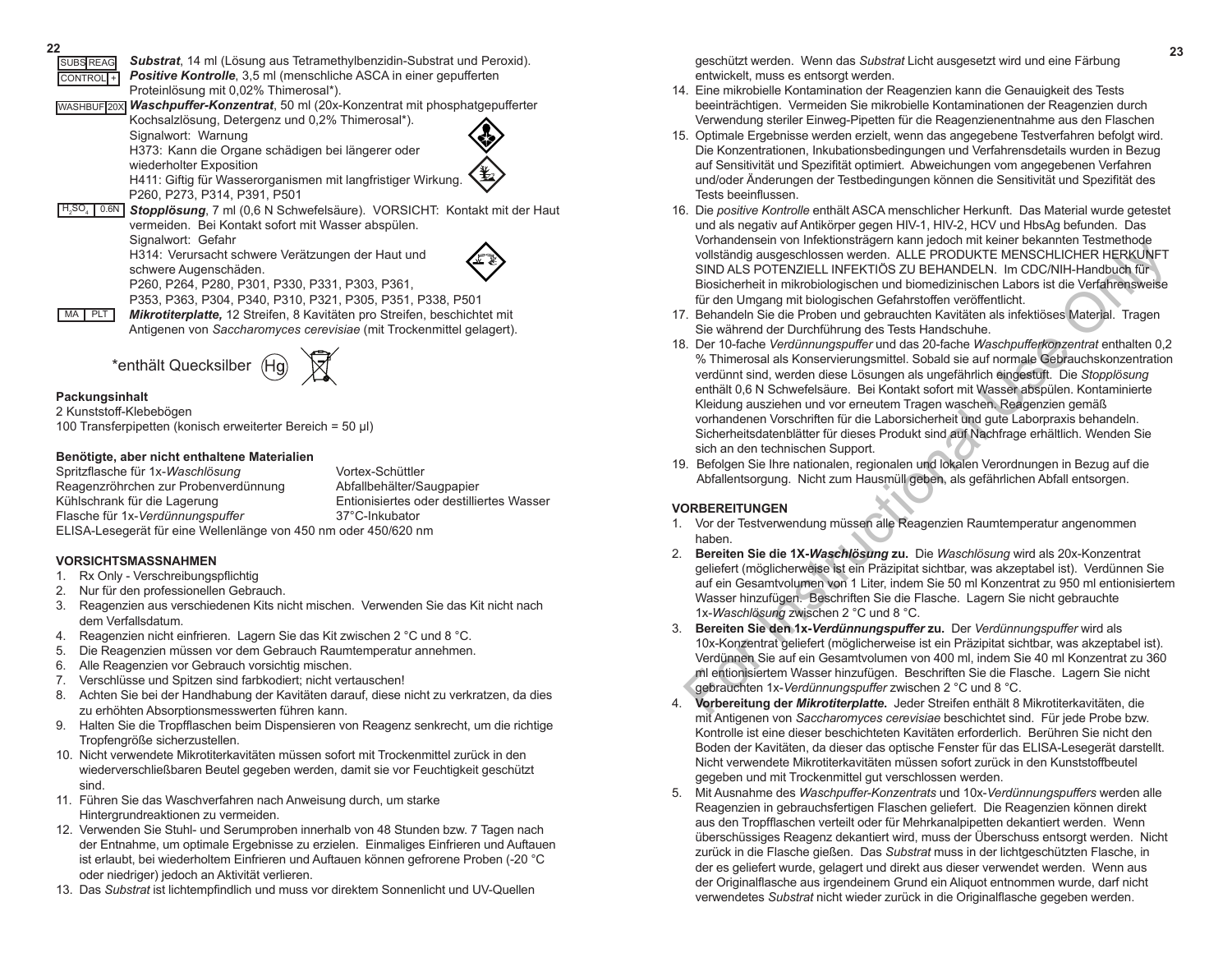geschützt werden. Wenn das *Substrat* Licht ausgesetzt wird und eine Färbung **<sup>22</sup> <sup>23</sup>** SUBS REAG entwickelt, muss es entsorgt werden.

- 14. Eine mikrobielle Kontamination der Reagenzien kann die Genauigkeit des Tests beeinträchtigen. Vermeiden Sie mikrobielle Kontaminationen der Reagenzien durch Verwendung steriler Einweg-Pipetten für die Reagenzienentnahme aus den Flaschen
- 15. Optimale Ergebnisse werden erzielt, wenn das angegebene Testverfahren befolgt wird. Die Konzentrationen, Inkubationsbedingungen und Verfahrensdetails wurden in Bezug auf Sensitivität und Spezifität optimiert. Abweichungen vom angegebenen Verfahren und/oder Änderungen der Testbedingungen können die Sensitivität und Spezifität des Tests beeinflussen.
- 16. Die *positive Kontrolle* enthält ASCA menschlicher Herkunft. Das Material wurde getestet und als negativ auf Antikörper gegen HIV-1, HIV-2, HCV und HbsAg befunden. Das Vorhandensein von Infektionsträgern kann jedoch mit keiner bekannten Testmethode vollständig ausgeschlossen werden. ALLE PRODUKTE MENSCHLICHER HERKUNFT SIND ALS POTENZIELL INFEKTIÖS ZU BEHANDELN. Im CDC/NIH-Handbuch für Biosicherheit in mikrobiologischen und biomedizinischen Labors ist die Verfahrensweise für den Umgang mit biologischen Gefahrstoffen veröffentlicht.
- 17. Behandeln Sie die Proben und gebrauchten Kavitäten als infektiöses Material. Tragen Sie während der Durchführung des Tests Handschuhe.
- 18. Der 10-fache *Verdünnungspuffer* und das 20-fache *Waschpufferkonzentrat* enthalten 0,2 % Thimerosal als Konservierungsmittel. Sobald sie auf normale Gebrauchskonzentration verdünnt sind, werden diese Lösungen als ungefährlich eingestuft. Die *Stopplösung* enthält 0,6 N Schwefelsäure. Bei Kontakt sofort mit Wasser abspülen. Kontaminierte Kleidung ausziehen und vor erneutem Tragen waschen. Reagenzien gemäß vorhandenen Vorschriften für die Laborsicherheit und gute Laborpraxis behandeln. Sicherheitsdatenblätter für dieses Produkt sind auf Nachfrage erhältlich. Wenden Sie sich an den technischen Support. vollatiandel ausgeschlossen werden. ALLE PRODUKTE MENSCHLICHER HERNUME<br>Vollatiandig ausgeschlossen werden. ALLE PRODUKTE MENSCHLICHER HERNUMET<br>SIND ALS POTENZIELL INFERTIOS 20 BEHANDELN. Im CDC/NIH-Handbuch für<br>Biosicherhe
- 19. Befolgen Sie Ihre nationalen, regionalen und lokalen Verordnungen in Bezug auf die Abfallentsorgung. Nicht zum Hausmüll geben, als gefährlichen Abfall entsorgen.

#### **VORBEREITUNGEN**

- 1. Vor der Testverwendung müssen alle Reagenzien Raumtemperatur angenommen haben.
- 2. **Bereiten Sie die 1X-***Waschlösung* **zu.** Die *Waschlösung* wird als 20x-Konzentrat geliefert (möglicherweise ist ein Präzipitat sichtbar, was akzeptabel ist). Verdünnen Sie auf ein Gesamtvolumen von 1 Liter, indem Sie 50 ml Konzentrat zu 950 ml entionisiertem Wasser hinzufügen. Beschriften Sie die Flasche. Lagern Sie nicht gebrauchte 1x-*Waschlösung* zwischen 2 °C und 8 °C.
- 3. **Bereiten Sie den 1x-***Verdünnungspuffer* **zu.** Der *Verdünnungspuffer* wird als 10x-Konzentrat geliefert (möglicherweise ist ein Präzipitat sichtbar, was akzeptabel ist). Verdünnen Sie auf ein Gesamtvolumen von 400 ml, indem Sie 40 ml Konzentrat zu 360 ml entionisiertem Wasser hinzufügen. Beschriften Sie die Flasche. Lagern Sie nicht gebrauchten 1x-*Verdünnungspuffer* zwischen 2 °C und 8 °C.
- 4. **Vorbereitung der** *Mikrotiterplatte***.** Jeder Streifen enthält 8 Mikrotiterkavitäten, die mit Antigenen von *Saccharomyces cerevisiae* beschichtet sind. Für jede Probe bzw. Kontrolle ist eine dieser beschichteten Kavitäten erforderlich. Berühren Sie nicht den Boden der Kavitäten, da dieser das optische Fenster für das ELISA-Lesegerät darstellt. Nicht verwendete Mikrotiterkavitäten müssen sofort zurück in den Kunststoffbeutel gegeben und mit Trockenmittel gut verschlossen werden.
- 5. Mit Ausnahme des *Waschpuffer-Konzentrats* und 10x-*Verdünnungspuffers* werden alle Reagenzien in gebrauchsfertigen Flaschen geliefert. Die Reagenzien können direkt aus den Tropfflaschen verteilt oder für Mehrkanalpipetten dekantiert werden. Wenn überschüssiges Reagenz dekantiert wird, muss der Überschuss entsorgt werden. Nicht zurück in die Flasche gießen. Das *Substrat* muss in der lichtgeschützten Flasche, in der es geliefert wurde, gelagert und direkt aus dieser verwendet werden. Wenn aus der Originalflasche aus irgendeinem Grund ein Aliquot entnommen wurde, darf nicht verwendetes *Substrat* nicht wieder zurück in die Originalflasche gegeben werden.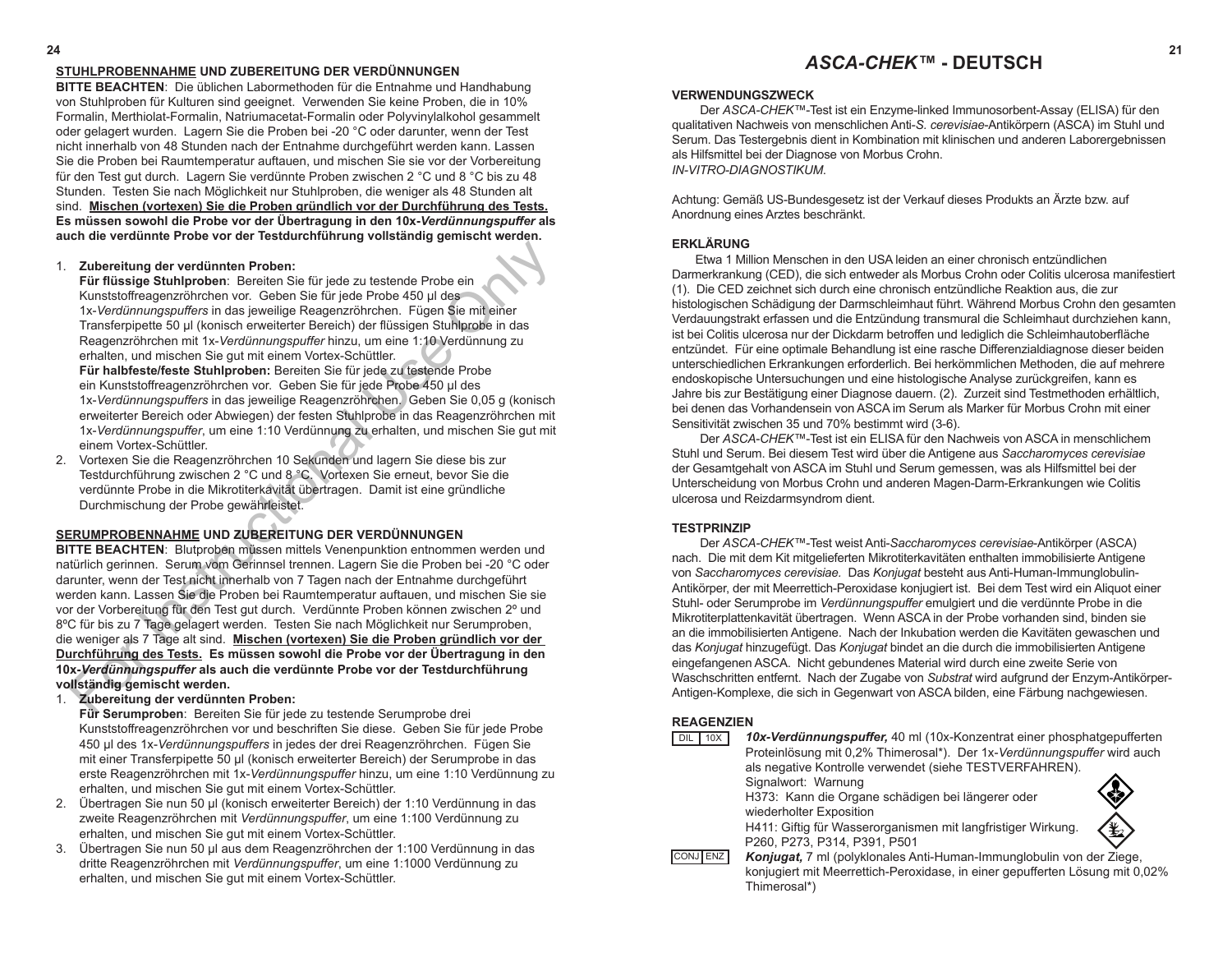# **STUHLPROBENNAHME UND ZUBEREITUNG DER VERDÜNNUNGEN**

**BITTE BEACHTEN**: Die üblichen Labormethoden für die Entnahme und Handhabung von Stuhlproben für Kulturen sind geeignet. Verwenden Sie keine Proben, die in 10% Formalin, Merthiolat-Formalin, Natriumacetat-Formalin oder Polyvinylalkohol gesammelt oder gelagert wurden. Lagern Sie die Proben bei -20 °C oder darunter, wenn der Test nicht innerhalb von 48 Stunden nach der Entnahme durchgeführt werden kann. Lassen Sie die Proben bei Raumtemperatur auftauen, und mischen Sie sie vor der Vorbereitung für den Test gut durch. Lagern Sie verdünnte Proben zwischen 2 °C und 8 °C bis zu 48 Stunden. Testen Sie nach Möglichkeit nur Stuhlproben, die weniger als 48 Stunden alt sind. **Mischen (vortexen) Sie die Proben gründlich vor der Durchführung des Tests. Es müssen sowohl die Probe vor der Übertragung in den 10x-***Verdünnungspuffer* **als auch die verdünnte Probe vor der Testdurchführung vollständig gemischt werden.** 

### 1. **Zubereitung der verdünnten Proben:**

**Für flüssige Stuhlproben**: Bereiten Sie für jede zu testende Probe ein Kunststoffreagenzröhrchen vor. Geben Sie für jede Probe 450 µl des 1x-*Verdünnungspuffers* in das jeweilige Reagenzröhrchen. Fügen Sie mit einer Transferpipette 50 µl (konisch erweiterter Bereich) der flüssigen Stuhlprobe in das Reagenzröhrchen mit 1x-*Verdünnungspuffer* hinzu, um eine 1:10 Verdünnung zu erhalten, und mischen Sie gut mit einem Vortex-Schüttler.

**Für halbfeste/feste Stuhlproben:** Bereiten Sie für jede zu testende Probe ein Kunststoffreagenzröhrchen vor. Geben Sie für jede Probe 450 µl des 1x-*Verdünnungspuffers* in das jeweilige Reagenzröhrchen. Geben Sie 0,05 g (konisch erweiterter Bereich oder Abwiegen) der festen Stuhlprobe in das Reagenzröhrchen mit 1x-*Verdünnungspuffer*, um eine 1:10 Verdünnung zu erhalten, und mischen Sie gut mit einem Vortex-Schüttler.

2. Vortexen Sie die Reagenzröhrchen 10 Sekunden und lagern Sie diese bis zur Testdurchführung zwischen 2 °C und 8 °C. Vortexen Sie erneut, bevor Sie die verdünnte Probe in die Mikrotiterkavität übertragen. Damit ist eine gründliche Durchmischung der Probe gewährleistet.

# **SERUMPROBENNAHME UND ZUBEREITUNG DER VERDÜNNUNGEN**

**BITTE BEACHTEN**: Blutproben müssen mittels Venenpunktion entnommen werden und natürlich gerinnen. Serum vom Gerinnsel trennen. Lagern Sie die Proben bei -20 °C oder darunter, wenn der Test nicht innerhalb von 7 Tagen nach der Entnahme durchgeführt werden kann. Lassen Sie die Proben bei Raumtemperatur auftauen, und mischen Sie sie vor der Vorbereitung für den Test gut durch. Verdünnte Proben können zwischen 2º und 8ºC für bis zu 7 Tage gelagert werden. Testen Sie nach Möglichkeit nur Serumproben, die weniger als 7 Tage alt sind. **Mischen (vortexen) Sie die Proben gründlich vor der Durchführung des Tests. Es müssen sowohl die Probe vor der Übertragung in den 10x-***Verdünnungspuffer* **als auch die verdünnte Probe vor der Testdurchführung vollständig gemischt werden. Zubereitung der verdünnten Proben:**<br>
Für flüsstige Stuhlproben: Bereiten Sie für jede zu testende Probe ein Kunstatoffreeqenzröhnchen vor. Geben Sie für jede Probe 450 jul des<br>
Yu-Verdünnungspuffers in das jeweilige Reage

- 1. **Zubereitung der verdünnten Proben: Für Serumproben**: Bereiten Sie für jede zu testende Serumprobe drei Kunststoffreagenzröhrchen vor und beschriften Sie diese. Geben Sie für jede Probe 450 µl des 1x-*Verdünnungspuffers* in jedes der drei Reagenzröhrchen. Fügen Sie mit einer Transferpipette 50 µl (konisch erweiterter Bereich) der Serumprobe in das erste Reagenzröhrchen mit 1x-*Verdünnungspuffer* hinzu, um eine 1:10 Verdünnung zu erhalten, und mischen Sie gut mit einem Vortex-Schüttler.
- 2. Übertragen Sie nun 50 µl (konisch erweiterter Bereich) der 1:10 Verdünnung in das zweite Reagenzröhrchen mit *Verdünnungspuffer*, um eine 1:100 Verdünnung zu erhalten, und mischen Sie gut mit einem Vortex-Schüttler.
- 3. Übertragen Sie nun 50 µl aus dem Reagenzröhrchen der 1:100 Verdünnung in das dritte Reagenzröhrchen mit *Verdünnungspuffer*, um eine 1:1000 Verdünnung zu erhalten, und mischen Sie gut mit einem Vortex-Schüttler.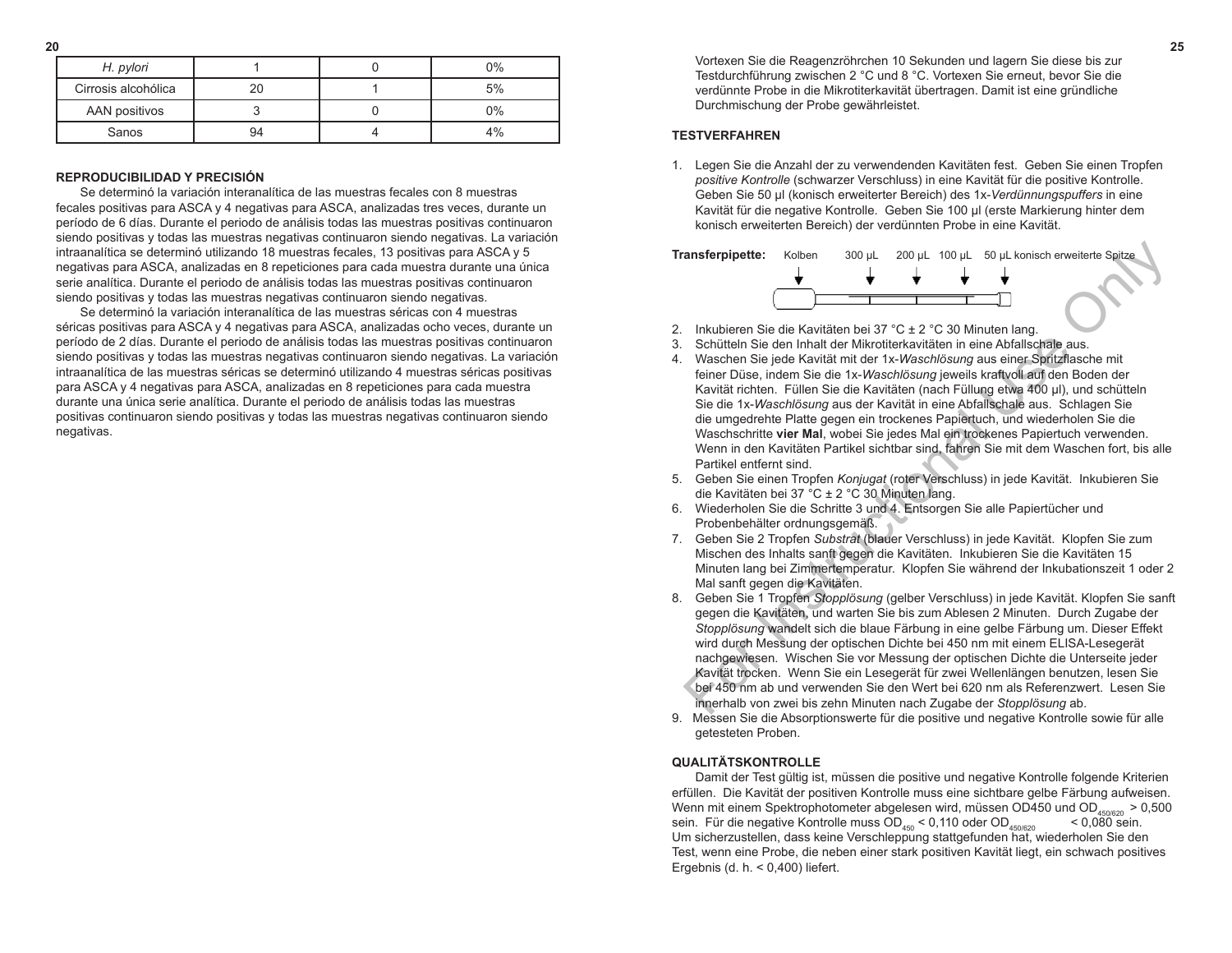**20 25** Vortexen Sie die Reagenzröhrchen 10 Sekunden und lagern Sie diese bis zur Testdurchführung zwischen 2 °C und 8 °C. Vortexen Sie erneut, bevor Sie die verdünnte Probe in die Mikrotiterkavität übertragen. Damit ist eine gründliche Durchmischung der Probe gewährleistet.

### **TESTVERFAHREN**

1. Legen Sie die Anzahl der zu verwendenden Kavitäten fest. Geben Sie einen Tropfen *positive Kontrolle* (schwarzer Verschluss) in eine Kavität für die positive Kontrolle. Geben Sie 50 µl (konisch erweiterter Bereich) des 1x-*Verdünnungspuffers* in eine Kavität für die negative Kontrolle. Geben Sie 100 µl (erste Markierung hinter dem konisch erweiterten Bereich) der verdünnten Probe in eine Kavität.



- 2. Inkubieren Sie die Kavitäten bei 37 °C ± 2 °C 30 Minuten lang.
- 3. Schütteln Sie den Inhalt der Mikrotiterkavitäten in eine Abfallschale aus.
- 4. Waschen Sie jede Kavität mit der 1x-*Waschlösung* aus einer Spritzflasche mit feiner Düse, indem Sie die 1x-*Waschlösung* jeweils kraftvoll auf den Boden der Kavität richten. Füllen Sie die Kavitäten (nach Füllung etwa 400 µl), und schütteln Sie die 1x-*Waschlösung* aus der Kavität in eine Abfallschale aus. Schlagen Sie die umgedrehte Platte gegen ein trockenes Papiertuch, und wiederholen Sie die Waschschritte **vier Mal**, wobei Sie jedes Mal ein trockenes Papiertuch verwenden. Wenn in den Kavitäten Partikel sichtbar sind, fahren Sie mit dem Waschen fort, bis alle Partikel entfernt sind. **Example the Solution of the Constrainer of the Solution Solution Solution Solution Side (Market Spitzer)<br>
For Instruction Side of Instruction Side of the Instruction in the Abrilator Market Constrainer Constrainer Spin M**
- 5. Geben Sie einen Tropfen *Konjugat* (roter Verschluss) in jede Kavität. Inkubieren Sie die Kavitäten bei 37 °C ± 2 °C 30 Minuten lang.
- 6. Wiederholen Sie die Schritte 3 und 4. Entsorgen Sie alle Papiertücher und Probenbehälter ordnungsgemäß.
- 7.Geben Sie 2 Tropfen *Substrat* (blauer Verschluss) in jede Kavität. Klopfen Sie zum Mischen des Inhalts sanft gegen die Kavitäten. Inkubieren Sie die Kavitäten 15 Minuten lang bei Zimmertemperatur. Klopfen Sie während der Inkubationszeit 1 oder 2 Mal sanft gegen die Kavitäten.
- 8. Geben Sie 1 Tropfen *Stopplösung* (gelber Verschluss) in jede Kavität. Klopfen Sie sanft gegen die Kavitäten, und warten Sie bis zum Ablesen 2 Minuten. Durch Zugabe der *Stopplösung* wandelt sich die blaue Färbung in eine gelbe Färbung um. Dieser Effekt wird durch Messung der optischen Dichte bei 450 nm mit einem ELISA-Lesegerät nachgewiesen. Wischen Sie vor Messung der optischen Dichte die Unterseite jeder Kavität trocken. Wenn Sie ein Lesegerät für zwei Wellenlängen benutzen, lesen Sie bei 450 nm ab und verwenden Sie den Wert bei 620 nm als Referenzwert. Lesen Sie innerhalb von zwei bis zehn Minuten nach Zugabe der *Stopplösung* ab.
- 9. Messen Sie die Absorptionswerte für die positive und negative Kontrolle sowie für alle getesteten Proben.

### **QUALITÄTSKONTROLLE**

Damit der Test gültig ist, müssen die positive und negative Kontrolle folgende Kriterien erfüllen. Die Kavität der positiven Kontrolle muss eine sichtbare gelbe Färbung aufweisen. Wenn mit einem Spektrophotometer abgelesen wird, müssen OD450 und OD<sub>450/620</sub> > 0,500<br>sein. Für die negative Kontrolle muss OD<sub>162</sub> < 0,110 oder OD<sub>150000</sub> < 0,080 sein. sein. Für die negative Kontrolle muss  $OD_{450}$  < 0,110 oder  $OD_{450/620}$ Um sicherzustellen, dass keine Verschleppung stattgefunden hat, wiederholen Sie den Test, wenn eine Probe, die neben einer stark positiven Kavität liegt, ein schwach positives Ergebnis (d. h.  $<$  0,400) liefert.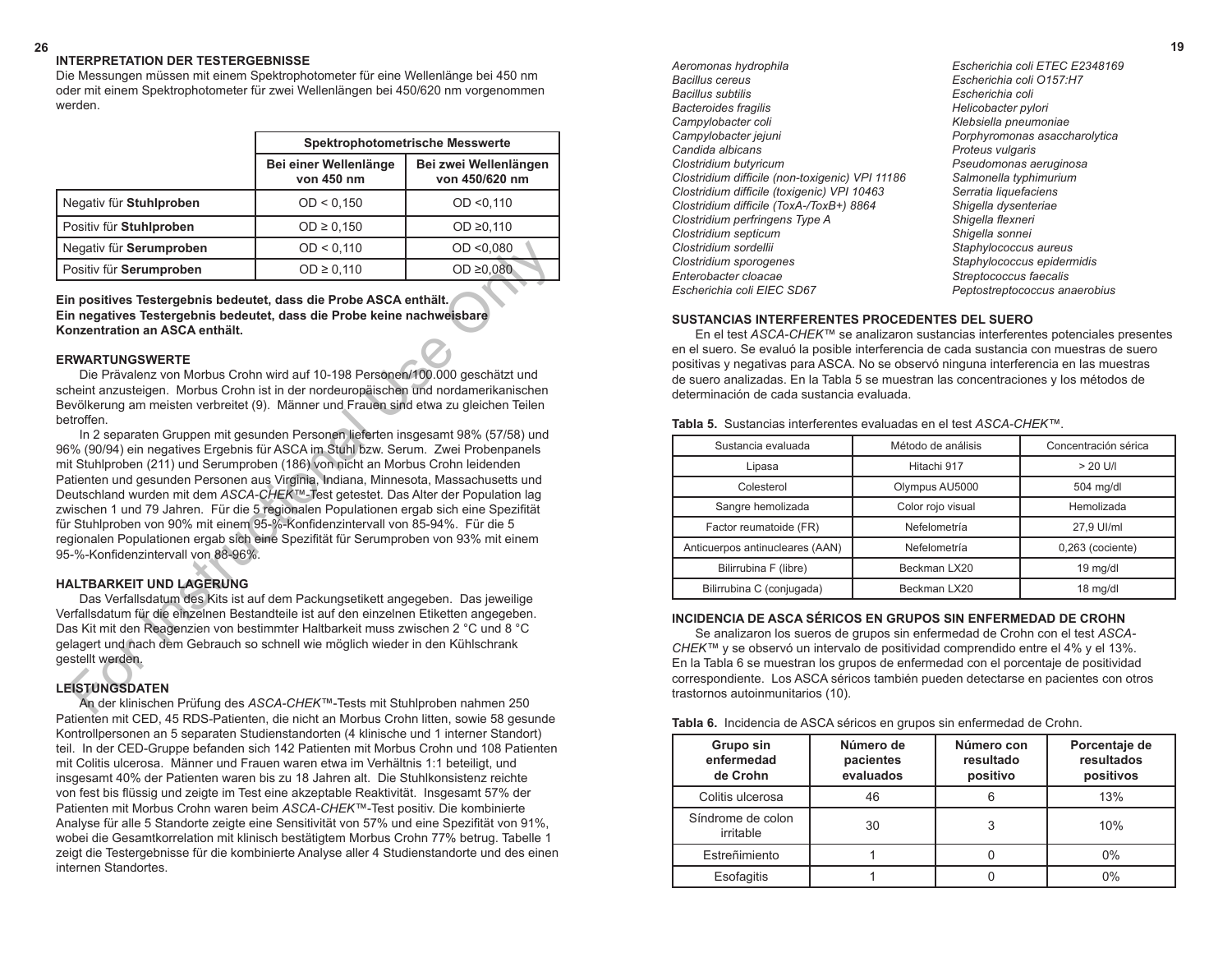#### **26 19 INTERPRETATION DER TESTERGEBNISSE**

Die Messungen müssen mit einem Spektrophotometer für eine Wellenlänge bei 450 nm oder mit einem Spektrophotometer für zwei Wellenlängen bei 450/620 nm vorgenommen werden.

|                         | <b>Spektrophotometrische Messwerte</b> |                                         |
|-------------------------|----------------------------------------|-----------------------------------------|
|                         | Bei einer Wellenlänge<br>von 450 nm    | Bei zwei Wellenlängen<br>von 450/620 nm |
| Negativ für Stuhlproben | OD < 0.150                             | OD < 0.110                              |
| Positiv für Stuhlproben | OD ≥ 0,150                             | OD $\geq$ 0.110                         |
| Negativ für Serumproben | OD < 0,110                             | OD < 0.080                              |
| Positiv für Serumproben | $OD \ge 0,110$                         | OD $\geq 0.080$                         |

**Ein positives Testergebnis bedeutet, dass die Probe ASCA enthält. Ein negatives Testergebnis bedeutet, dass die Probe keine nachweisbare Konzentration an ASCA enthält.**

#### **ERWARTUNGSWERTE**

Die Prävalenz von Morbus Crohn wird auf 10-198 Personen/100.000 geschätzt und scheint anzusteigen. Morbus Crohn ist in der nordeuropäischen und nordamerikanischen Bevölkerung am meisten verbreitet (9). Männer und Frauen sind etwa zu gleichen Teilen betroffen.

In 2 separaten Gruppen mit gesunden Personen lieferten insgesamt 98% (57/58) und 96% (90/94) ein negatives Ergebnis für ASCA im Stuhl bzw. Serum. Zwei Probenpanels mit Stuhlproben (211) und Serumproben (186) von nicht an Morbus Crohn leidenden Patienten und gesunden Personen aus Virginia, Indiana, Minnesota, Massachusetts und Deutschland wurden mit dem *ASCA-CHEK™-*Test getestet*.* Das Alter der Population lag zwischen 1 und 79 Jahren. Für die 5 regionalen Populationen ergab sich eine Spezifität für Stuhlproben von 90% mit einem 95-%-Konfidenzintervall von 85-94%. Für die 5 regionalen Populationen ergab sich eine Spezifität für Serumproben von 93% mit einem 95-%-Konfidenzintervall von 88-96%. Example of Strumproben<br>
For Institute Considering the Section Book of the Consideration and ASCA enthaint.<br>
The positive Setergebnis bedeutet, dass die Probe ASCA enthält.<br>
The parameterism and SCA enthält.<br>
The parameter

#### **HALTBARKEIT UND LAGERUNG**

Das Verfallsdatum des Kits ist auf dem Packungsetikett angegeben. Das jeweilige Verfallsdatum für die einzelnen Bestandteile ist auf den einzelnen Etiketten angegeben. Das Kit mit den Reagenzien von bestimmter Haltbarkeit muss zwischen 2 °C und 8 °C gelagert und nach dem Gebrauch so schnell wie möglich wieder in den Kühlschrank gestellt werden.

#### **LEISTUNGSDATEN**

An der klinischen Prüfung des *ASCA-CHEK™*-Tests mit Stuhlproben nahmen 250 Patienten mit CED, 45 RDS-Patienten, die nicht an Morbus Crohn litten, sowie 58 gesunde Kontrollpersonen an 5 separaten Studienstandorten (4 klinische und 1 interner Standort) teil. In der CED-Gruppe befanden sich 142 Patienten mit Morbus Crohn und 108 Patienten mit Colitis ulcerosa. Männer und Frauen waren etwa im Verhältnis 1:1 beteiligt, und insgesamt 40% der Patienten waren bis zu 18 Jahren alt. Die Stuhlkonsistenz reichte von fest bis flüssig und zeigte im Test eine akzeptable Reaktivität. Insgesamt 57% der Patienten mit Morbus Crohn waren beim *ASCA-CHEK™*-Test positiv. Die kombinierte Analyse für alle 5 Standorte zeigte eine Sensitivität von 57% und eine Spezifität von 91%, wobei die Gesamtkorrelation mit klinisch bestätigtem Morbus Crohn 77% betrug. Tabelle 1 zeigt die Testergebnisse für die kombinierte Analyse aller 4 Studienstandorte und des einen internen Standortes.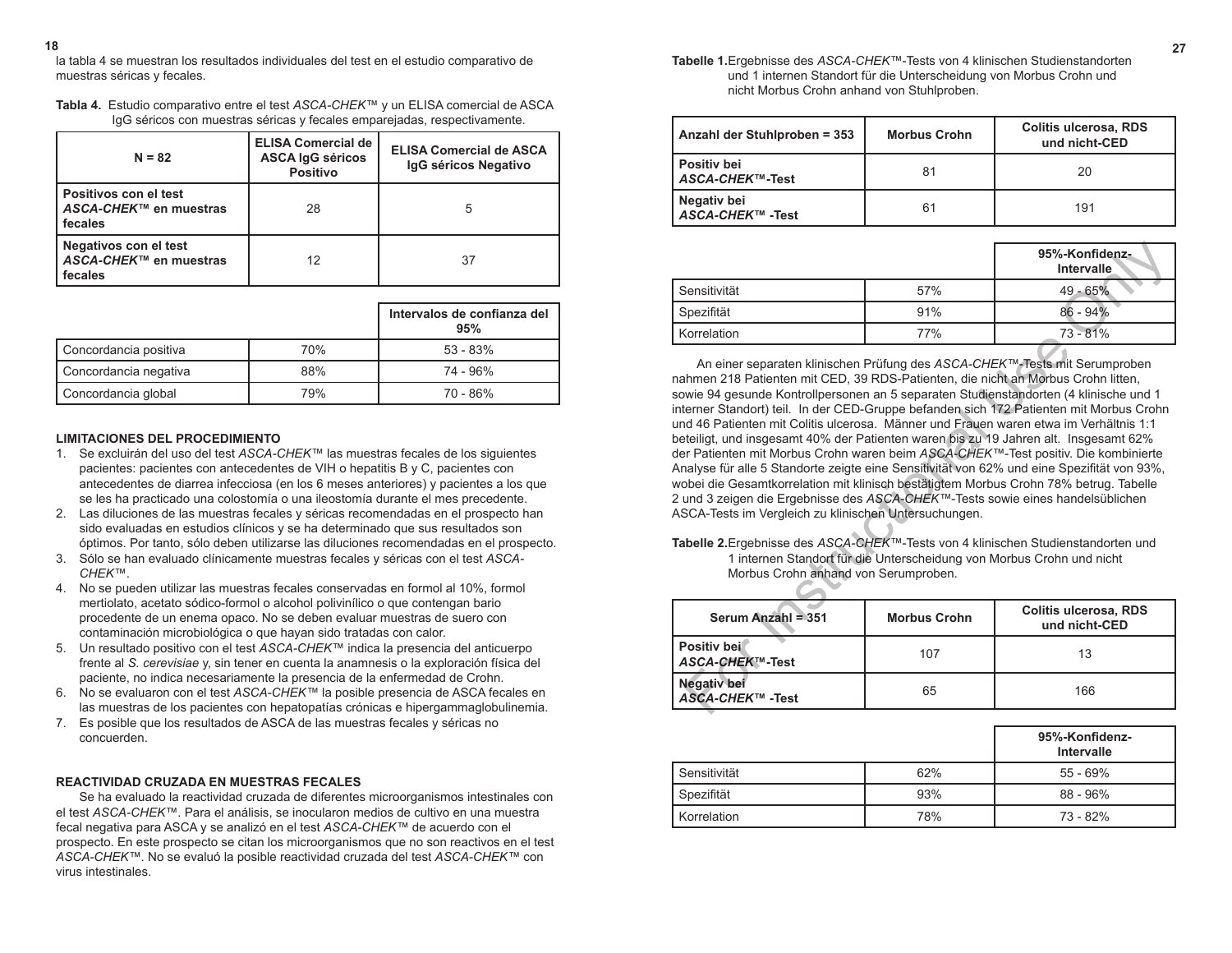**18 27 Tabelle 1.**Ergebnisse des *ASCA-CHEK™*-Tests von 4 klinischen Studienstandorten und 1 internen Standort für die Unterscheidung von Morbus Crohn und nicht Morbus Crohn anhand von Stuhlproben.

| Anzahl der Stuhlproben = 353    | <b>Morbus Crohn</b> | <b>Colitis ulcerosa, RDS</b><br>und nicht-CED |
|---------------------------------|---------------------|-----------------------------------------------|
| Positiv bei<br>ASCA-CHEK™-Test  | 81                  | 20                                            |
| Negativ bei<br>ASCA-CHEK™ -Test | 61                  | 191                                           |

|                |     | 95%-Konfidenz-<br>Intervalle |
|----------------|-----|------------------------------|
| l Sensitivität | 57% | $49 - 65%$                   |
| Spezifität     | 91% | $86 - 94\%$                  |
| Korrelation    | 77% | $73 - 81%$                   |

An einer separaten klinischen Prüfung des *ASCA-CHEK™*-Tests mit Serumproben nahmen 218 Patienten mit CED, 39 RDS-Patienten, die nicht an Morbus Crohn litten, sowie 94 gesunde Kontrollpersonen an 5 separaten Studienstandorten (4 klinische und 1 interner Standort) teil. In der CED-Gruppe befanden sich 172 Patienten mit Morbus Crohn und 46 Patienten mit Colitis ulcerosa. Männer und Frauen waren etwa im Verhältnis 1:1 beteiligt, und insgesamt 40% der Patienten waren bis zu 19 Jahren alt. Insgesamt 62% der Patienten mit Morbus Crohn waren beim *ASCA-CHEK™*-Test positiv. Die kombinierte Analyse für alle 5 Standorte zeigte eine Sensitivität von 62% und eine Spezifität von 93%, wobei die Gesamtkorrelation mit klinisch bestätigtem Morbus Crohn 78% betrug. Tabelle 2 und 3 zeigen die Ergebnisse des *ASCA-CHEK™*-Tests sowie eines handelsüblichen ASCA-Tests im Vergleich zu klinischen Untersuchungen. Sensitivität  $57\%$ <br>  $49-65\%$ <br>
Spezifität  $57\%$ <br>
Spezifität  $57\%$ <br>
An einer separaten kiinischen Prüfung des ASCA-CHEK<sup>m</sup>-Tests mit Serumproben<br>
Am einer separaten kiinischen Prüfung des ASCA-CHEK<sup>m</sup>-Tests mit Serumpro

**Tabelle 2.**Ergebnisse des *ASCA-CHEK™*-Tests von 4 klinischen Studienstandorten und 1 internen Standort für die Unterscheidung von Morbus Crohn und nicht Morbus Crohn anhand von Serumproben.

| Serum Anzahl = 351                     | <b>Morbus Crohn</b> | <b>Colitis ulcerosa, RDS</b><br>und nicht-CED |
|----------------------------------------|---------------------|-----------------------------------------------|
| Positiv bei<br>ASCA-CHEK™-Test         | 107                 | 13                                            |
| <b>Negativ bei</b><br>ASCA-CHEK™ -Test | 65                  | 166                                           |

|                |     | 95%-Konfidenz-<br><b>Intervalle</b> |
|----------------|-----|-------------------------------------|
| l Sensitivität | 62% | $55 - 69%$                          |
| l Spezifität   | 93% | $88 - 96\%$                         |
| Korrelation    | 78% | 73 - 82%                            |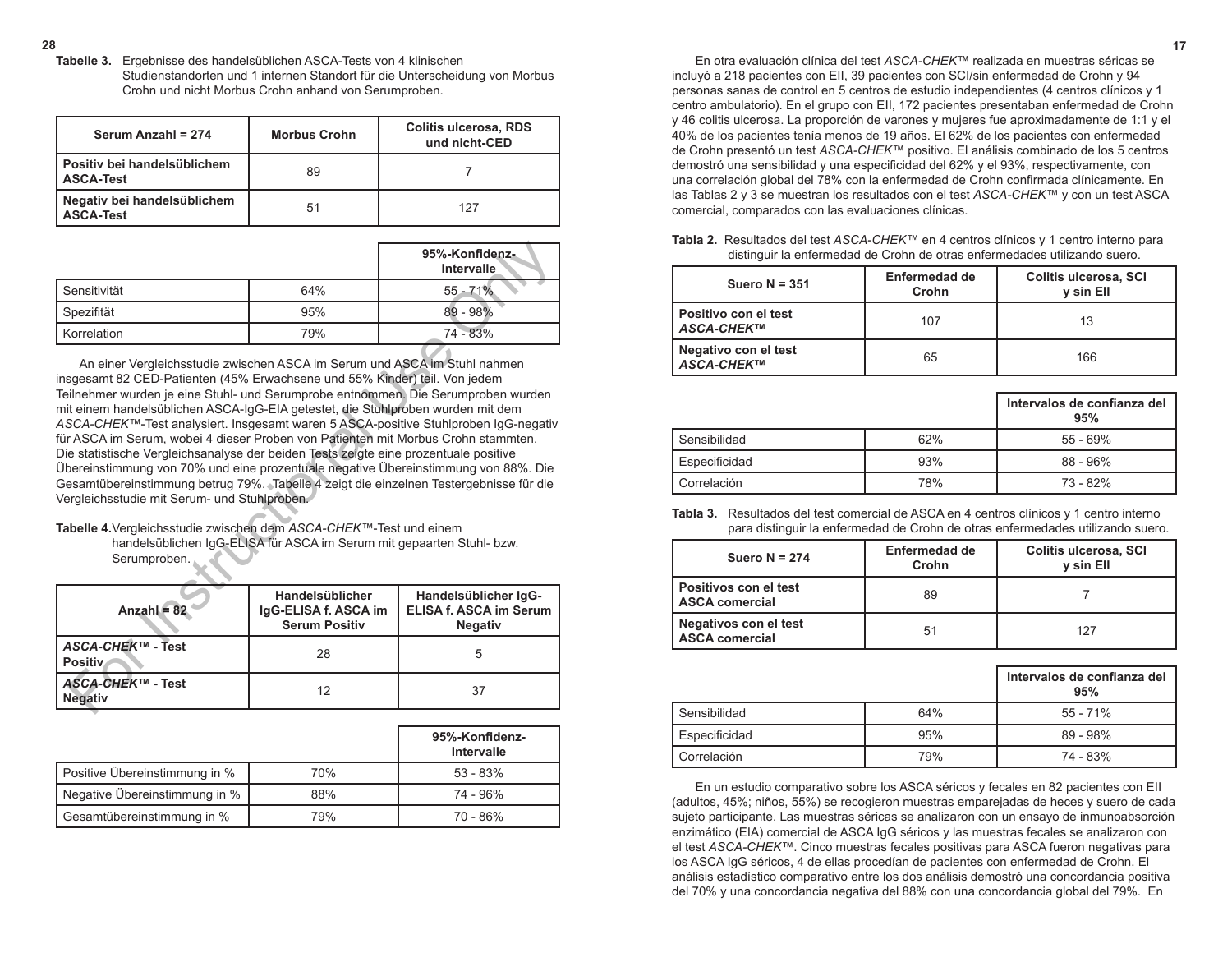**28 17 Tabelle 3.** Ergebnisse des handelsüblichen ASCA-Tests von 4 klinischen Studienstandorten und 1 internen Standort für die Unterscheidung von Morbus Crohn und nicht Morbus Crohn anhand von Serumproben.

| Serum Anzahl = 274                              | <b>Morbus Crohn</b> | <b>Colitis ulcerosa, RDS</b><br>und nicht-CED |
|-------------------------------------------------|---------------------|-----------------------------------------------|
| l Positiv bei handelsüblichem<br>ASCA-Test      | 89                  |                                               |
| Negativ bei handelsüblichem<br><b>ASCA-Test</b> | 51                  | 127                                           |

|              |     | 95%-Konfidenz-<br>Intervalle |
|--------------|-----|------------------------------|
| Sensitivität | 64% | $55 - 71%$                   |
| Spezifität   | 95% | $-98%$<br>89                 |
| Korrelation  | 79% | 74 - 83%                     |

An einer Vergleichsstudie zwischen ASCA im Serum und ASCA im Stuhl nahmen insgesamt 82 CED-Patienten (45% Erwachsene und 55% Kinder) teil. Von jedem Teilnehmer wurden je eine Stuhl- und Serumprobe entnommen. Die Serumproben wurden mit einem handelsüblichen ASCA-IgG-EIA getestet, die Stuhlproben wurden mit dem *ASCA-CHEK™*-Test analysiert. Insgesamt waren 5 ASCA-positive Stuhlproben IgG-negativ für ASCA im Serum, wobei 4 dieser Proben von Patienten mit Morbus Crohn stammten. Die statistische Vergleichsanalyse der beiden Tests zeigte eine prozentuale positive Übereinstimmung von 70% und eine prozentuale negative Übereinstimmung von 88%. Die Gesamtübereinstimmung betrug 79%. Tabelle 4 zeigt die einzelnen Testergebnisse für die Vergleichsstudie mit Serum- und Stuhlproben. Sensitivität  $64\%$ <br>
Sensitivität hervalle hervalististutie  $64\%$ <br>
Sensitivität bestämnt attack tietaal hervalle sensitivität sensitivität sensitivität sensitivität sensitivität sensitivität sensitivität sensitivität sen

**Tabelle 4.**Vergleichsstudie zwischen dem *ASCA-CHEK™*-Test und einem handelsüblichen IgG-ELISA für ASCA im Serum mit gepaarten Stuhl- bzw. Serumproben.

| Anzahl = $82$                               | Handelsüblicher<br>IgG-ELISA f. ASCA im<br><b>Serum Positiv</b> | Handelsüblicher IgG-<br><b>ELISA f. ASCA im Serum</b><br><b>Negativ</b> |
|---------------------------------------------|-----------------------------------------------------------------|-------------------------------------------------------------------------|
| <i>ASCA-CHEK</i> ™ - Test<br><b>Positiv</b> | 28                                                              |                                                                         |
| ASCA-CHEK™ - Test<br><b>Negativ</b>         | 12                                                              | 37                                                                      |

|                               |     | 95%-Konfidenz-<br>Intervalle |
|-------------------------------|-----|------------------------------|
| Positive Übereinstimmung in % | 70% | $53 - 83%$                   |
| Negative Übereinstimmung in % | 88% | 74 - 96%                     |
| Gesamtübereinstimmung in %    | 79% | 70 - 86%                     |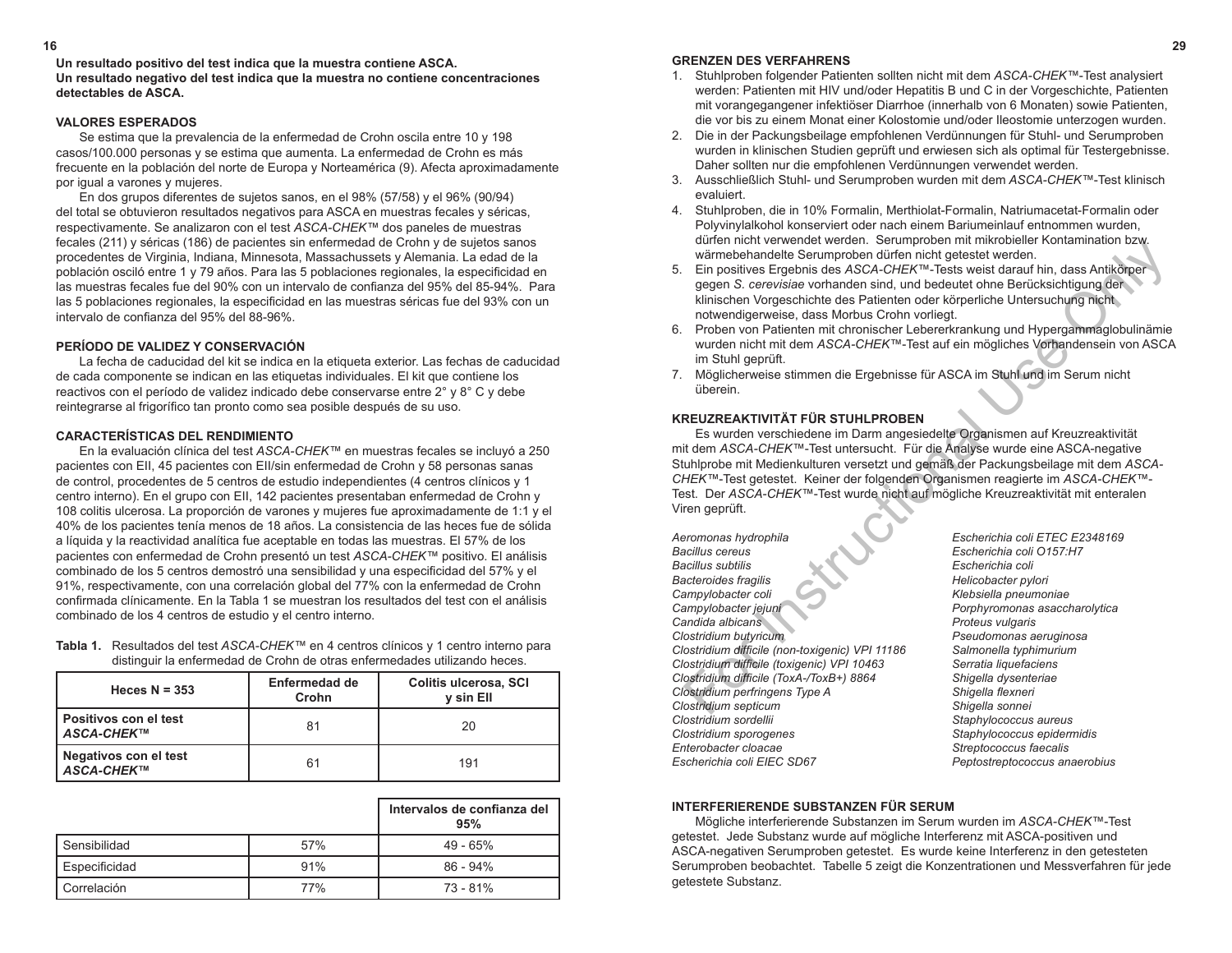#### **GRENZEN DES VERFAHRENS**

- 1. Stuhlproben folgender Patienten sollten nicht mit dem *ASCA-CHEK™*-Test analysiert werden: Patienten mit HIV und/oder Hepatitis B und C in der Vorgeschichte, Patienten mit vorangegangener infektiöser Diarrhoe (innerhalb von 6 Monaten) sowie Patienten, die vor bis zu einem Monat einer Kolostomie und/oder Ileostomie unterzogen wurden.
- 2. Die in der Packungsbeilage empfohlenen Verdünnungen für Stuhl- und Serumproben wurden in klinischen Studien geprüft und erwiesen sich als optimal für Testergebnisse. Daher sollten nur die empfohlenen Verdünnungen verwendet werden.
- 3. Ausschließlich Stuhl- und Serumproben wurden mit dem *ASCA-CHEK™*-Test klinisch evaluiert.
- 4. Stuhlproben, die in 10% Formalin, Merthiolat-Formalin, Natriumacetat-Formalin oder Polyvinylalkohol konserviert oder nach einem Bariumeinlauf entnommen wurden, dürfen nicht verwendet werden. Serumproben mit mikrobieller Kontamination bzw. wärmebehandelte Serumproben dürfen nicht getestet werden.
- 5. Ein positives Ergebnis des *ASCA-CHEK™*-Tests weist darauf hin, dass Antikörper gegen *S. cerevisiae* vorhanden sind, und bedeutet ohne Berücksichtigung der klinischen Vorgeschichte des Patienten oder körperliche Untersuchung nicht notwendigerweise, dass Morbus Crohn vorliegt.
- 6. Proben von Patienten mit chronischer Lebererkrankung und Hypergammaglobulinämie wurden nicht mit dem *ASCA-CHEK™*-Test auf ein mögliches Vorhandensein von ASCA im Stuhl geprüft.
- 7. Möglicherweise stimmen die Ergebnisse für ASCA im Stuhl und im Serum nicht überein.

# **KREUZREAKTIVITÄT FÜR STUHLPROBEN**

Es wurden verschiedene im Darm angesiedelte Organismen auf Kreuzreaktivität mit dem *ASCA-CHEK™*-Test untersucht. Für die Analyse wurde eine ASCA-negative Stuhlprobe mit Medienkulturen versetzt und gemäß der Packungsbeilage mit dem *ASCA-CHEK™*-Test getestet. Keiner der folgenden Organismen reagierte im *ASCA-CHEK™*- Test. Der *ASCA-CHEK™*-Test wurde nicht auf mögliche Kreuzreaktivität mit enteralen Viren geprüft. warmebehandelte Serumproben dürfen nicht getestel werden.<br>
warmebehandelte Serumproben dürfen nicht getestel werden.<br>
Ein positives Ergebnis des ASCA-CHEK<sup>TM</sup>-Tests weist darauf inn, das Antikörper<br>
egegen S. cerevisiae vo

*Aeromonas hydrophila Escherichia coli ETEC E2348169 Bacillus cereus Escherichia coli O157:H7 Bacteroides fragilis Helicobacter pylori Campylobacter coli Klebsiella pneumoniae Campylobacter jejuni Porphyromonas asaccharolytica* **Candida albicans Candida albicans Proteus vulgaris** *Clostridium butyricum Pseudomonas aeruginosa Clostridium difficile (non-toxigenic) VPI 11186 Salmonella typhimurium Clostridium difficile (toxigenic) VPI 10463 Serratia liquefaciens Clostridium difficile (ToxA-/ToxB+) 8864 Shigella dysenteriae Clostridium perfringens Type A Shigella flexneri Clostridium septicum Shigella sonnei Clostridium sordellii Staphylococcus aureus Clostridium sporogenes Staphylococcus epidermidis Enterobacter cloacae Streptococcus faecalis*

*Bacillus subtilis Escherichia coli Escherichia coli EIEC SD67 Peptostreptococcus anaerobius*

#### **INTERFERIERENDE SUBSTANZEN FÜR SERUM**

Mögliche interferierende Substanzen im Serum wurden im *ASCA-CHEK™*-Test getestet. Jede Substanz wurde auf mögliche Interferenz mit ASCA-positiven und ASCA-negativen Serumproben getestet. Es wurde keine Interferenz in den getesteten Serumproben beobachtet. Tabelle 5 zeigt die Konzentrationen und Messverfahren für jede getestete Substanz.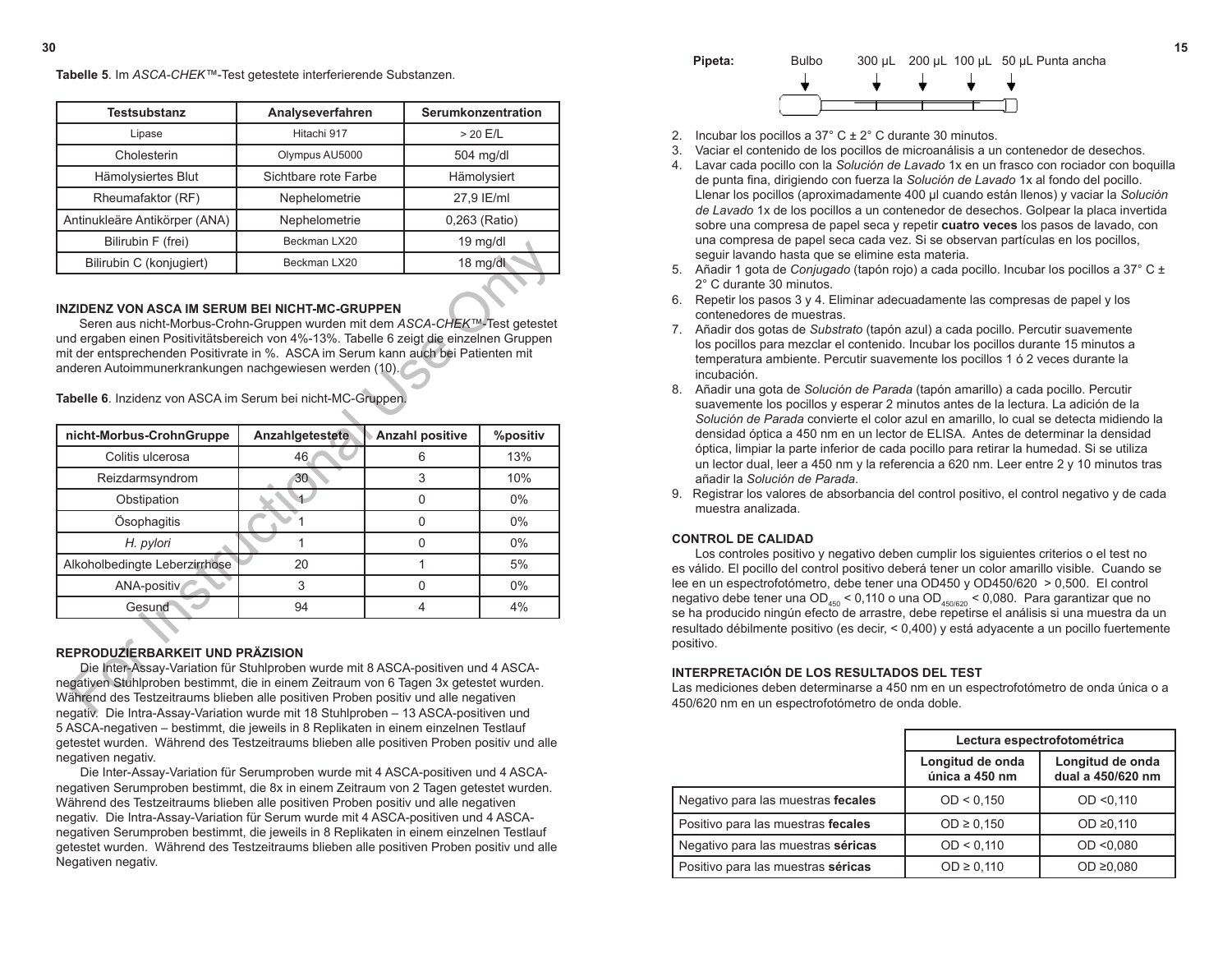**Testsubstanz Analyseverfahren Serumkonzentration** Lipase  $\vert$  Hitachi 917  $\vert$  > 20 E/L Cholesterin **Cholesterin Cholesterin Cholesterin C** Hämolysiertes Blut Sichtbare rote Farbe Hämolysiert Rheumafaktor (RF)  $\vert$  Nephelometrie  $\vert$  27,9 IE/ml Antinukleäre Antikörper (ANA) | Nephelometrie | 0,263 (Ratio) Bilirubin F (frei) | Beckman LX20 | 19 mg/dl Bilirubin C (konjugiert)  $\qquad$  Beckman LX20 18 mg/dl

**Tabelle 5**. Im *ASCA-CHEK™*-Test getestete interferierende Substanzen.

#### **INZIDENZ VON ASCA IM SERUM BEI NICHT-MC-GRUPPEN**

| BIIIUDIII F (IIEI)                                                                                                                                                                                                                                                                                                                                                                                                                         | Beckman LXZU    |  |                        | <u>ia mar</u> ui |
|--------------------------------------------------------------------------------------------------------------------------------------------------------------------------------------------------------------------------------------------------------------------------------------------------------------------------------------------------------------------------------------------------------------------------------------------|-----------------|--|------------------------|------------------|
| Bilirubin C (konjugiert)                                                                                                                                                                                                                                                                                                                                                                                                                   | Beckman LX20    |  |                        | 18 mg/dl         |
| INZIDENZ VON ASCA IM SERUM BEI NICHT-MC-GRUPPEN<br>Seren aus nicht-Morbus-Crohn-Gruppen wurden mit dem ASCA-CHEK™-Test getestet<br>und ergaben einen Positivitätsbereich von 4%-13%. Tabelle 6 zeigt die einzelnen Gruppen<br>mit der entsprechenden Positivrate in %. ASCA im Serum kann auch bei Patienten mit<br>anderen Autoimmunerkrankungen nachgewiesen werden (10).<br>Tabelle 6. Inzidenz von ASCA im Serum bei nicht-MC-Gruppen. |                 |  |                        |                  |
| nicht-Morbus-CrohnGruppe                                                                                                                                                                                                                                                                                                                                                                                                                   | Anzahlgetestete |  | <b>Anzahl positive</b> | %positiv         |
| Colitis ulcerosa                                                                                                                                                                                                                                                                                                                                                                                                                           | 46              |  | 6                      | 13%              |
| Reizdarmsyndrom                                                                                                                                                                                                                                                                                                                                                                                                                            | 30              |  | 3                      | 10%              |
| Obstipation                                                                                                                                                                                                                                                                                                                                                                                                                                |                 |  | $\Omega$               | $0\%$            |
| Ösophagitis                                                                                                                                                                                                                                                                                                                                                                                                                                | 1               |  | 0                      | $0\%$            |
| H. pylori                                                                                                                                                                                                                                                                                                                                                                                                                                  | 1               |  | 0                      | $0\%$            |
| Alkoholbedingte Leberzirrhose                                                                                                                                                                                                                                                                                                                                                                                                              | 20              |  | 1                      | 5%               |
| ANA-positiv                                                                                                                                                                                                                                                                                                                                                                                                                                | 3               |  | $\Omega$               | $0\%$            |
| Gesund                                                                                                                                                                                                                                                                                                                                                                                                                                     | 94              |  | 4                      | 4%               |
| REPRODUZIERBARKEIT UND PRÄZISION<br>Die Inter-Assay-Variation für Stuhlproben wurde mit 8 ASCA-positiven und 4 ASCA-<br>negativen Stuhlproben bestimmt, die in einem Zeitraum von 6 Tagen 3x getestet wurden.<br>Während des Testzeitraums blieben alle positiven Proben positiv und alle negativen<br>negative Die Intra-Assay-Variation wurde mit 18 Stubloroben – 13 ASCA-positiven und                                                 |                 |  |                        |                  |

#### **REPRODUZIERBARKEIT UND PRÄZISION**

 Die Inter-Assay-Variation für Stuhlproben wurde mit 8 ASCA-positiven und 4 ASCAnegativen Stuhlproben bestimmt, die in einem Zeitraum von 6 Tagen 3x getestet wurden. Während des Testzeitraums blieben alle positiven Proben positiv und alle negativen negativ. Die Intra-Assay-Variation wurde mit 18 Stuhlproben – 13 ASCA-positiven und 5 ASCA-negativen – bestimmt, die jeweils in 8 Replikaten in einem einzelnen Testlauf getestet wurden. Während des Testzeitraums blieben alle positiven Proben positiv und alle negativen negativ.

 Die Inter-Assay-Variation für Serumproben wurde mit 4 ASCA-positiven und 4 ASCAnegativen Serumproben bestimmt, die 8x in einem Zeitraum von 2 Tagen getestet wurden. Während des Testzeitraums blieben alle positiven Proben positiv und alle negativen negativ. Die Intra-Assay-Variation für Serum wurde mit 4 ASCA-positiven und 4 ASCAnegativen Serumproben bestimmt, die jeweils in 8 Replikaten in einem einzelnen Testlauf getestet wurden. Während des Testzeitraums blieben alle positiven Proben positiv und alle Negativen negativ.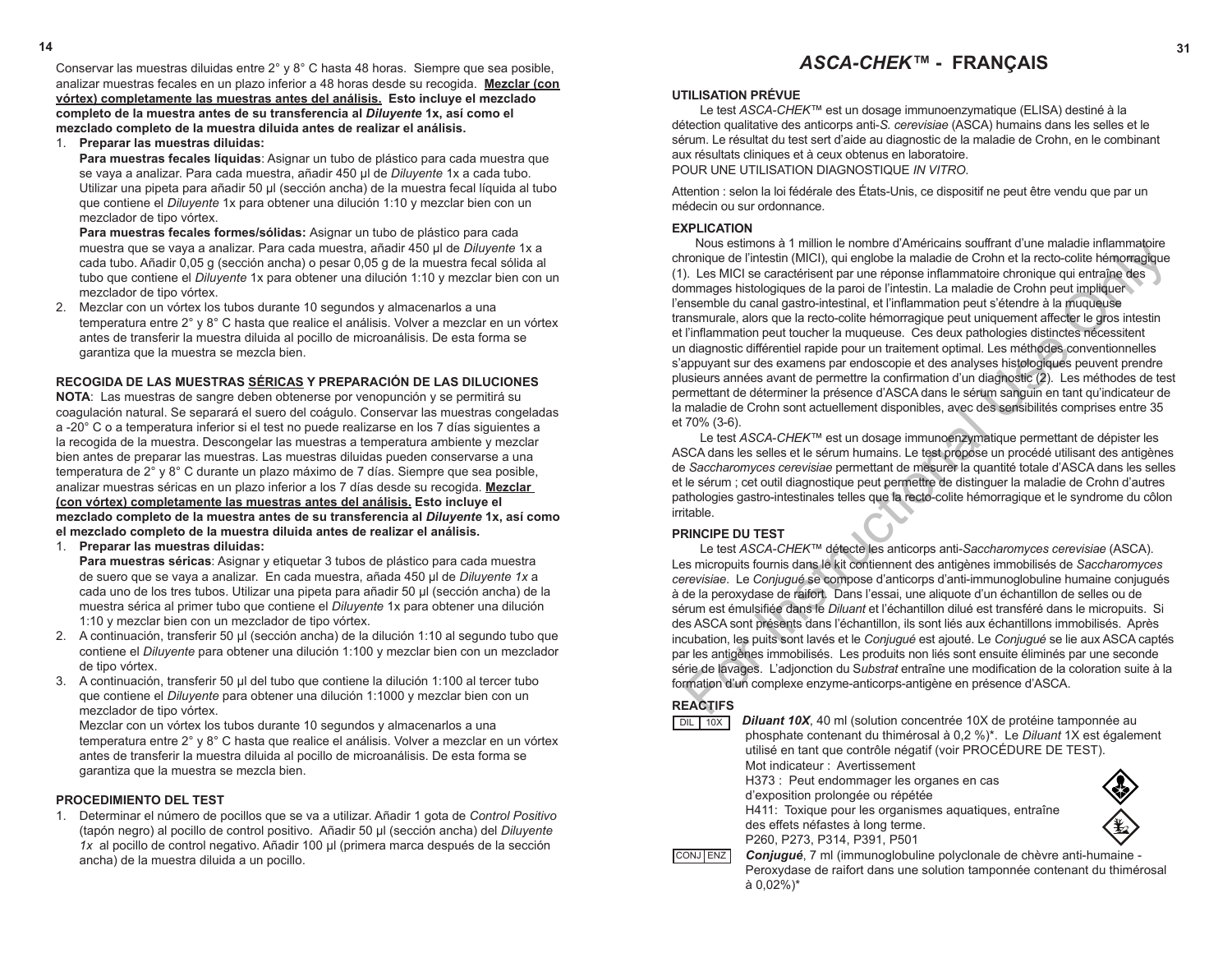# **14 31** *ASCA-CHEK™* **- FRANÇAIS**

#### **UTILISATION PRÉVUE**

Le test *ASCA-CHEK™* est un dosage immunoenzymatique (ELISA) destiné à la détection qualitative des anticorps anti-*S. cerevisiae* (ASCA) humains dans les selles et le sérum. Le résultat du test sert d'aide au diagnostic de la maladie de Crohn, en le combinant aux résultats cliniques et à ceux obtenus en laboratoire. POUR UNE UTILISATION DIAGNOSTIQUE *IN VITRO*.

Attention : selon la loi fédérale des États-Unis, ce dispositif ne peut être vendu que par un médecin ou sur ordonnance.

#### **EXPLICATION**

Nous estimons à 1 million le nombre d'Américains souffrant d'une maladie inflammatoire chronique de l'intestin (MICI), qui englobe la maladie de Crohn et la recto-colite hémorragique (1). Les MICI se caractérisent par une réponse inflammatoire chronique qui entraîne des dommages histologiques de la paroi de l'intestin. La maladie de Crohn peut impliquer l'ensemble du canal gastro-intestinal, et l'inflammation peut s'étendre à la muqueuse transmurale, alors que la recto-colite hémorragique peut uniquement affecter le gros intestin et l'inflammation peut toucher la muqueuse. Ces deux pathologies distinctes nécessitent un diagnostic différentiel rapide pour un traitement optimal. Les méthodes conventionnelles s'appuyant sur des examens par endoscopie et des analyses histologiques peuvent prendre plusieurs années avant de permettre la confirmation d'un diagnostic (2). Les méthodes de test permettant de déterminer la présence d'ASCA dans le sérum sanguin en tant qu'indicateur de la maladie de Crohn sont actuellement disponibles, avec des sensibilités comprises entre 35 et 70% (3-6). Nous estimons a 1 million in enomine d'Amendams sourrant d'une maladie intilammatione de l'intestin (MICI), qui englobe la maladie de Crohn et la recto-colite hémoragique<br>
D. Les MICI se carcatérisent par une réponse infi

Le test *ASCA*-*CHEK™* est un dosage immunoenzymatique permettant de dépister les ASCA dans les selles et le sérum humains. Le test propose un procédé utilisant des antigènes de *Saccharomyces cerevisiae* permettant de mesurer la quantité totale d'ASCA dans les selles et le sérum ; cet outil diagnostique peut permettre de distinguer la maladie de Crohn d'autres pathologies gastro-intestinales telles que la recto-colite hémorragique et le syndrome du côlon irritable.

### **PRINCIPE DU TEST**

Le test *ASCA-CHEK™* détecte les anticorps anti-*Saccharomyces cerevisiae* (ASCA). Les micropuits fournis dans le kit contiennent des antigènes immobilisés de *Saccharomyces cerevisiae*. Le *Conjugué* se compose d'anticorps d'anti-immunoglobuline humaine conjugués à de la peroxydase de raifort. Dans l'essai, une aliquote d'un échantillon de selles ou de sérum est émulsifiée dans le *Diluant* et l'échantillon dilué est transféré dans le micropuits. Si des ASCA sont présents dans l'échantillon, ils sont liés aux échantillons immobilisés. Après incubation, les puits sont lavés et le *Conjugué* est ajouté. Le *Conjugué* se lie aux ASCA captés par les antigènes immobilisés. Les produits non liés sont ensuite éliminés par une seconde série de lavages. L'adjonction du S*ubstrat* entraîne une modification de la coloration suite à la formation d'un complexe enzyme-anticorps-antigène en présence d'ASCA.

# **REACTIFS**

*Diluant 10X*, 40 ml (solution concentrée 10X de protéine tamponnée au phosphate contenant du thimérosal à 0,2 %)\*. Le *Diluant* 1X est également utilisé en tant que contrôle négatif (voir PROCÉDURE DE TEST). Mot indicateur : Avertissement H373 : Peut endommager les organes en cas d'exposition prolongée ou répétée H411: Toxique pour les organismes aquatiques, entraîne des effets néfastes à long terme. P260, P273, P314, P391, P501 *Conjugué*, 7 ml (immunoglobuline polyclonale de chèvre anti-humaine - Peroxydase de raifort dans une solution tamponnée contenant du thimérosal à 0,02%)\* DIL 10X CONJ ENZ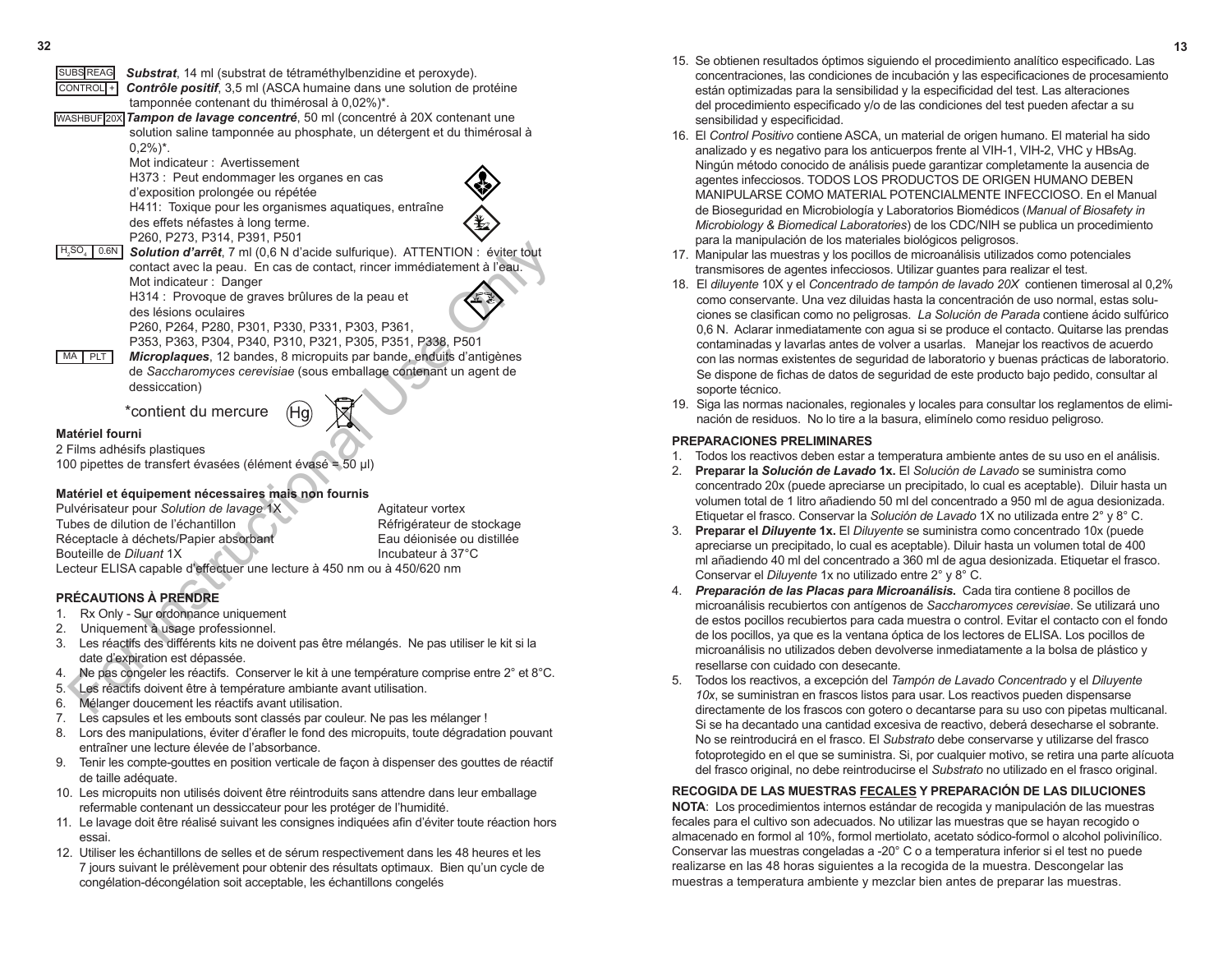| <b>SUBS REAG</b><br>CONTROL <sup>+</sup> | Substrat, 14 ml (substrat de tétraméthylbenzidine et peroxyde).<br>Contrôle positif, 3,5 ml (ASCA humaine dans une solution de protéine<br>tamponnée contenant du thimérosal à 0,02%)*.<br>WASHBUF 20X Tampon de lavage concentré, 50 ml (concentré à 20X contenant une<br>solution saline tamponnée au phosphate, un détergent et du thimérosal à<br>$0.2\%)^*$ .                                             |                                                                                                  |
|------------------------------------------|----------------------------------------------------------------------------------------------------------------------------------------------------------------------------------------------------------------------------------------------------------------------------------------------------------------------------------------------------------------------------------------------------------------|--------------------------------------------------------------------------------------------------|
| H <sub>2</sub> SO <sub>4</sub><br>0.6N   | Mot indicateur: Avertissement<br>H373 : Peut endommager les organes en cas<br>d'exposition prolongée ou répétée<br>H411: Toxique pour les organismes aquatiques, entraîne<br>des effets néfastes à long terme.<br>P260, P273, P314, P391, P501<br><b>Solution d'arrêt</b> , 7 ml (0,6 N d'acide sulfurique). ATTENTION : éviter tout<br>contact avec la peau. En cas de contact, rincer immédiatement à l'eau. |                                                                                                  |
| MA<br>PLT                                | Mot indicateur: Danger<br>H314 : Provoque de graves brûlures de la peau et<br>des lésions oculaires<br>P260, P264, P280, P301, P330, P331, P303, P361,<br>P353, P363, P304, P340, P310, P321, P305, P351, P338, P501<br>Microplaques, 12 bandes, 8 micropuits par bande, enduits d'antigènes<br>de Saccharomyces cerevisiae (sous emballage contenant un agent de<br>dessiccation)                             |                                                                                                  |
|                                          | *contient du mercure                                                                                                                                                                                                                                                                                                                                                                                           |                                                                                                  |
| Matériel fourni                          | 2 Films adhésifs plastiques<br>100 pipettes de transfert évasées (élément évasé = 50 µl)                                                                                                                                                                                                                                                                                                                       |                                                                                                  |
|                                          | Matériel et équipement nécessaires mais non fournis                                                                                                                                                                                                                                                                                                                                                            |                                                                                                  |
| Bouteille de Diluant 1X                  | Pulvérisateur pour Solution de lavage 1X<br>Tubes de dilution de l'échantillon<br>Réceptacle à déchets/Papier absorbant<br>Lecteur ELISA capable d'effectuer une lecture à 450 nm ou à 450/620 nm                                                                                                                                                                                                              | Agitateur vortex<br>Réfrigérateur de stockage<br>Eau déionisée ou distillée<br>Incubateur à 37°C |
|                                          | <b>PRÉCAUTIONS À PRENDRE</b>                                                                                                                                                                                                                                                                                                                                                                                   |                                                                                                  |
| 1.                                       | Rx Only - Sur ordonnance uniquement                                                                                                                                                                                                                                                                                                                                                                            |                                                                                                  |
| 2.<br>З.                                 | Uniquement à usage professionnel.<br>Les réactifs des différents kits ne doivent pas être mélangés. Ne pas utiliser le kit si la                                                                                                                                                                                                                                                                               |                                                                                                  |
|                                          | date d'expiration est dépassée.                                                                                                                                                                                                                                                                                                                                                                                |                                                                                                  |
| 4.                                       | Ne pas congeler les réactifs. Conserver le kit à une température comprise entre 2° et 8°C.                                                                                                                                                                                                                                                                                                                     |                                                                                                  |
| $5. \ \ddot$                             | Les réactifs doivent être à température ambiante avant utilisation.                                                                                                                                                                                                                                                                                                                                            |                                                                                                  |
| 6.                                       | Mélanger doucement les réactifs avant utilisation.                                                                                                                                                                                                                                                                                                                                                             |                                                                                                  |

# **Matériel et équipement nécessaires mais non fournis**

# **PRÉCAUTIONS À PRENDRE**

- 1. Rx Only Sur ordonnance uniquement<br>2. Uniquement à usage professionnel
- Uniquement à usage professionnel.
- 3. Les réactifs des différents kits ne doivent pas être mélangés. Ne pas utiliser le kit si la date d'expiration est dépassée.
- 4. Ne pas congeler les réactifs. Conserver le kit à une température comprise entre 2° et 8°C.
- 5. Les réactifs doivent être à température ambiante avant utilisation.
- 6. Mélanger doucement les réactifs avant utilisation.
- 7. Les capsules et les embouts sont classés par couleur. Ne pas les mélanger !
- 8. Lors des manipulations, éviter d'érafler le fond des micropuits, toute dégradation pouvant entraîner une lecture élevée de l'absorbance.
- 9. Tenir les compte-gouttes en position verticale de façon à dispenser des gouttes de réactif de taille adéquate.
- 10. Les micropuits non utilisés doivent être réintroduits sans attendre dans leur emballage refermable contenant un dessiccateur pour les protéger de l'humidité.
- 11. Le lavage doit être réalisé suivant les consignes indiquées afin d'éviter toute réaction hors essai.
- 12. Utiliser les échantillons de selles et de sérum respectivement dans les 48 heures et les 7 jours suivant le prélèvement pour obtenir des résultats optimaux. Bien qu'un cycle de congélation-décongélation soit acceptable, les échantillons congelés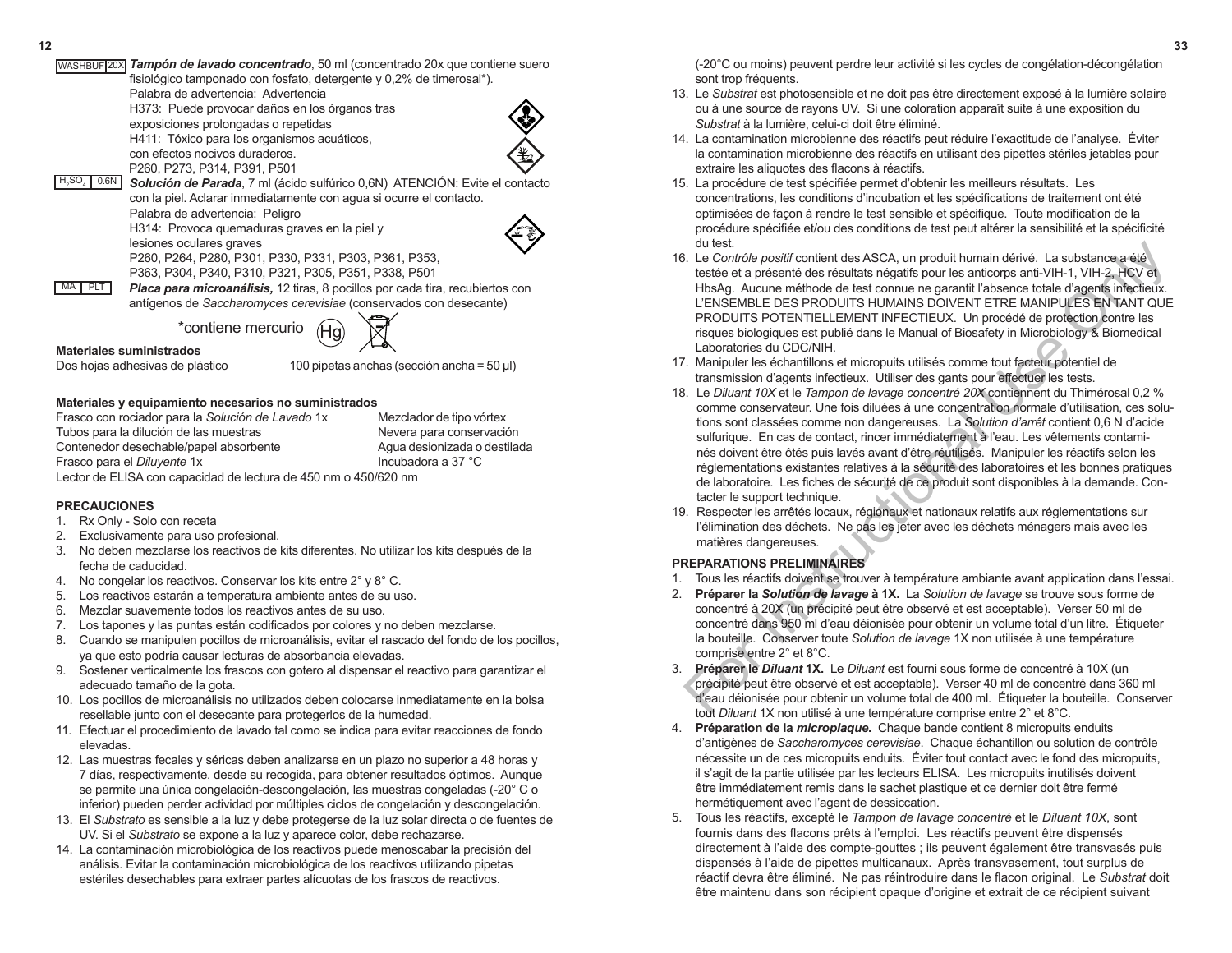(-20°C ou moins) peuvent perdre leur activité si les cycles de congélation-décongélation sont trop fréquents.

- 13. Le *Substrat* est photosensible et ne doit pas être directement exposé à la lumière solaire ou à une source de rayons UV. Si une coloration apparaît suite à une exposition du *Substrat* à la lumière, celui-ci doit être éliminé.
- 14. La contamination microbienne des réactifs peut réduire l'exactitude de l'analyse. Éviter la contamination microbienne des réactifs en utilisant des pipettes stériles jetables pour extraire les aliquotes des flacons à réactifs.
- 15. La procédure de test spécifiée permet d'obtenir les meilleurs résultats. Les concentrations, les conditions d'incubation et les spécifications de traitement ont été optimisées de façon à rendre le test sensible et spécifique. Toute modification de la procédure spécifiée et/ou des conditions de test peut altérer la sensibilité et la spécificité du test.
- 16. Le *Contrôle positif* contient des ASCA, un produit humain dérivé. La substance a été testée et a présenté des résultats négatifs pour les anticorps anti-VIH-1, VIH-2, HCV et HbsAg. Aucune méthode de test connue ne garantit l'absence totale d'agents infectieux. L'ENSEMBLE DES PRODUITS HUMAINS DOIVENT ETRE MANIPULES EN TANT QUE PRODUITS POTENTIELLEMENT INFECTIEUX. Un procédé de protection contre les risques biologiques est publié dans le Manual of Biosafety in Microbiology & Biomedical Laboratories du CDC/NIH.
- 17. Manipuler les échantillons et micropuits utilisés comme tout facteur potentiel de transmission d'agents infectieux. Utiliser des gants pour effectuer les tests.
- 18. Le *Diluant 10X* et le *Tampon de lavage concentré 20X* contiennent du Thimérosal 0,2 % comme conservateur. Une fois diluées à une concentration normale d'utilisation, ces solutions sont classées comme non dangereuses. La *Solution d'arrêt* contient 0,6 N d'acide sulfurique. En cas de contact, rincer immédiatement à l'eau. Les vêtements contaminés doivent être ôtés puis lavés avant d'être réutilisés. Manipuler les réactifs selon les réglementations existantes relatives à la sécurité des laboratoires et les bonnes pratiques de laboratoire. Les fiches de sécurité de ce produit sont disponibles à la demande. Contacter le support technique. outest.<br>
Le Contrôle positif contient des ASCA, un produit humain dérivé. La substance a été<br>
tels de a présenté des résultas hegátis pour les anticorps anti-VH-1, VH-2, HCV et<br>
LE-NGEMBLE DES PRODUITS HUMAINS DOIVENT ETRE
- 19. Respecter les arrêtés locaux, régionaux et nationaux relatifs aux réglementations sur l'élimination des déchets. Ne pas les jeter avec les déchets ménagers mais avec les matières dangereuses.

# **PREPARATIONS PRELIMINAIRES**

- 1. Tous les réactifs doivent se trouver à température ambiante avant application dans l'essai.
- 2. **Préparer la** *Solution de lavage* **à 1X.** La *Solution de lavage* se trouve sous forme de concentré à 20X (un précipité peut être observé et est acceptable). Verser 50 ml de concentré dans 950 ml d'eau déionisée pour obtenir un volume total d'un litre. Étiqueter la bouteille. Conserver toute *Solution de lavage* 1X non utilisée à une température comprise entre 2° et 8°C.
- 3. **Préparer le** *Diluant* **1X.** Le *Diluant* est fourni sous forme de concentré à 10X (un précipité peut être observé et est acceptable). Verser 40 ml de concentré dans 360 ml d'eau déionisée pour obtenir un volume total de 400 ml. Étiqueter la bouteille. Conserver tout *Diluant* 1X non utilisé à une température comprise entre 2° et 8°C.
- 4. **Préparation de la** *microplaque***.** Chaque bande contient 8 micropuits enduits d'antigènes de *Saccharomyces cerevisiae*. Chaque échantillon ou solution de contrôle nécessite un de ces micropuits enduits. Éviter tout contact avec le fond des micropuits, il s'agit de la partie utilisée par les lecteurs ELISA. Les micropuits inutilisés doivent être immédiatement remis dans le sachet plastique et ce dernier doit être fermé hermétiquement avec l'agent de dessiccation.
- 5. Tous les réactifs, excepté le *Tampon de lavage concentré* et le *Diluant 10X*, sont fournis dans des flacons prêts à l'emploi. Les réactifs peuvent être dispensés directement à l'aide des compte-gouttes ; ils peuvent également être transvasés puis dispensés à l'aide de pipettes multicanaux. Après transvasement, tout surplus de réactif devra être éliminé. Ne pas réintroduire dans le flacon original. Le *Substrat* doit être maintenu dans son récipient opaque d'origine et extrait de ce récipient suivant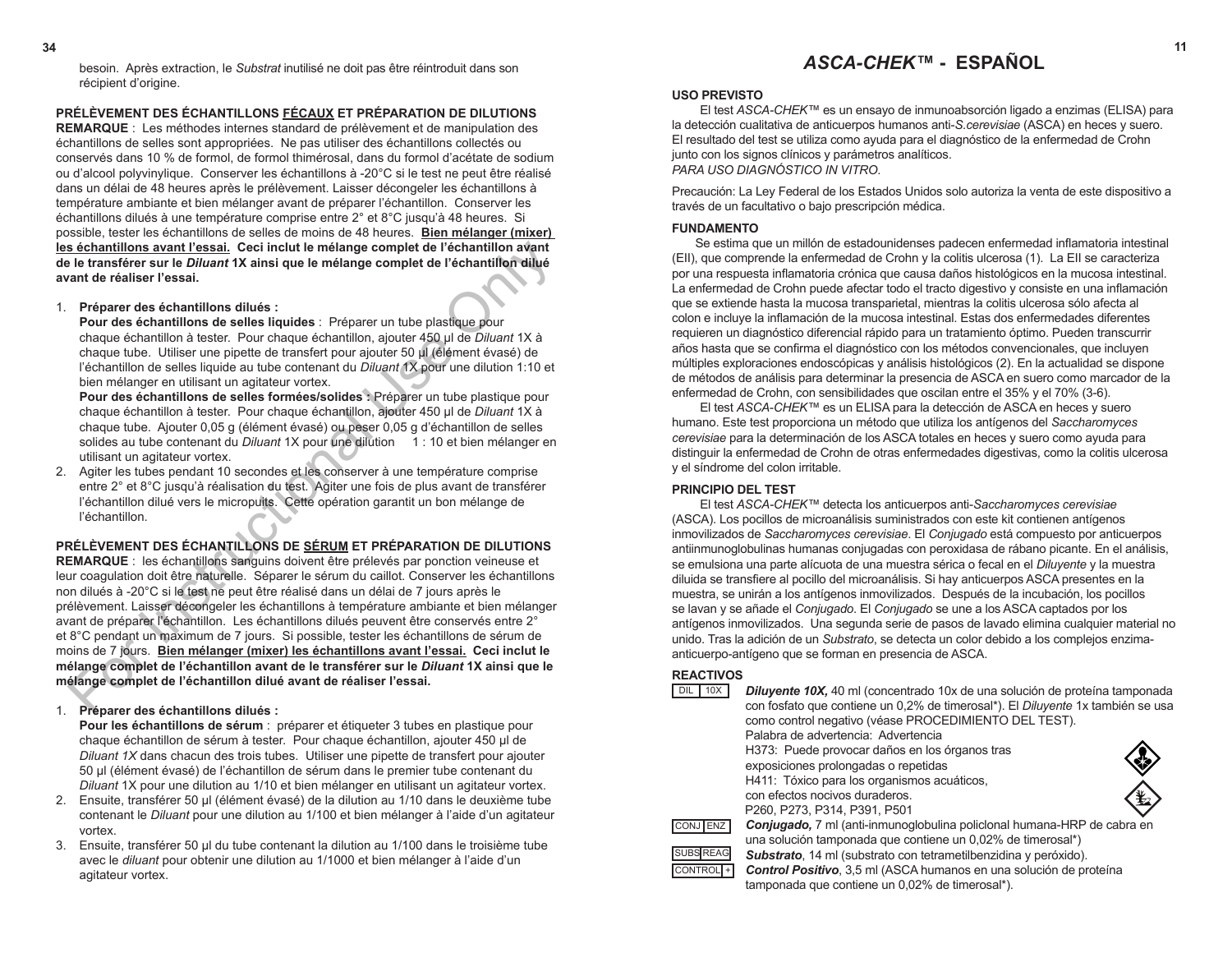besoin. Après extraction, le *Substrat* inutilisé ne doit pas être réintroduit dans son récipient d'origine.

**PRÉLÈVEMENT DES ÉCHANTILLONS FÉCAUX ET PRÉPARATION DE DILUTIONS REMARQUE** : Les méthodes internes standard de prélèvement et de manipulation des échantillons de selles sont appropriées. Ne pas utiliser des échantillons collectés ou conservés dans 10 % de formol, de formol thimérosal, dans du formol d'acétate de sodium ou d'alcool polyvinylique. Conserver les échantillons à -20°C si le test ne peut être réalisé dans un délai de 48 heures après le prélèvement. Laisser décongeler les échantillons à température ambiante et bien mélanger avant de préparer l'échantillon. Conserver les échantillons dilués à une température comprise entre 2° et 8°C jusqu'à 48 heures. Si possible, tester les échantillons de selles de moins de 48 heures. **Bien mélanger (mixer) les échantillons avant l'essai. Ceci inclut le mélange complet de l'échantillon avant de le transférer sur le** *Diluant* **1X ainsi que le mélange complet de l'échantillon dilué avant de réaliser l'essai.** 

#### 1. **Préparer des échantillons dilués :**

**Pour des échantillons de selles liquides** : Préparer un tube plastique pour chaque échantillon à tester. Pour chaque échantillon, ajouter 450 µl de *Diluant* 1X à chaque tube. Utiliser une pipette de transfert pour ajouter 50 µl (élément évasé) de l'échantillon de selles liquide au tube contenant du *Diluant* 1X pour une dilution 1:10 et bien mélanger en utilisant un agitateur vortex.

**Pour des échantillons de selles formées/solides :** Préparer un tube plastique pour chaque échantillon à tester. Pour chaque échantillon, ajouter 450 µl de *Diluant* 1X à chaque tube. Ajouter 0,05 g (élément évasé) ou peser 0,05 g d'échantillon de selles solides au tube contenant du *Diluant* 1X pour une dilution 1 : 10 et bien mélanger en utilisant un agitateur vortex.

2. Agiter les tubes pendant 10 secondes et les conserver à une température comprise entre 2° et 8°C jusqu'à réalisation du test. Agiter une fois de plus avant de transférer l'échantillon dilué vers le micropuits. Cette opération garantit un bon mélange de l'échantillon.

**PRÉLÈVEMENT DES ÉCHANTILLONS DE SÉRUM ET PRÉPARATION DE DILUTIONS REMARQUE** : les échantillons sanguins doivent être prélevés par ponction veineuse et leur coagulation doit être naturelle. Séparer le sérum du caillot. Conserver les échantillons non dilués à -20°C si le test ne peut être réalisé dans un délai de 7 jours après le prélèvement. Laisser décongeler les échantillons à température ambiante et bien mélanger avant de préparer l'échantillon. Les échantillons dilués peuvent être conservés entre 2° et 8°C pendant un maximum de 7 jours. Si possible, tester les échantillons de sérum de moins de 7 jours. **Bien mélanger (mixer) les échantillons avant l'essai. Ceci inclut le mélange complet de l'échantillon avant de le transférer sur le** *Diluant* **1X ainsi que le mélange complet de l'échantillon dilué avant de réaliser l'essai.**  s échamillions avant l'essai, Ceci inclut le mélange complet de l'échantillion avant<br>le le transférer sur le Diluant 1X ainsi que le mélange complet de l'échantillon d'ant<br>de réaliser l'essai.<br>Préparer des échantillons dil

- 1. **Préparer des échantillons dilués : Pour les échantillons de sérum** : préparer et étiqueter 3 tubes en plastique pour chaque échantillon de sérum à tester. Pour chaque échantillon, ajouter 450 µl de *Diluant 1X* dans chacun des trois tubes. Utiliser une pipette de transfert pour ajouter 50 µl (élément évasé) de l'échantillon de sérum dans le premier tube contenant du *Diluant* 1X pour une dilution au 1/10 et bien mélanger en utilisant un agitateur vortex.
- 2. Ensuite, transférer 50 µl (élément évasé) de la dilution au 1/10 dans le deuxième tube contenant le *Diluant* pour une dilution au 1/100 et bien mélanger à l'aide d'un agitateur vortex.
- 3. Ensuite, transférer 50 µl du tube contenant la dilution au 1/100 dans le troisième tube avec le *diluant* pour obtenir une dilution au 1/1000 et bien mélanger à l'aide d'un agitateur vortex.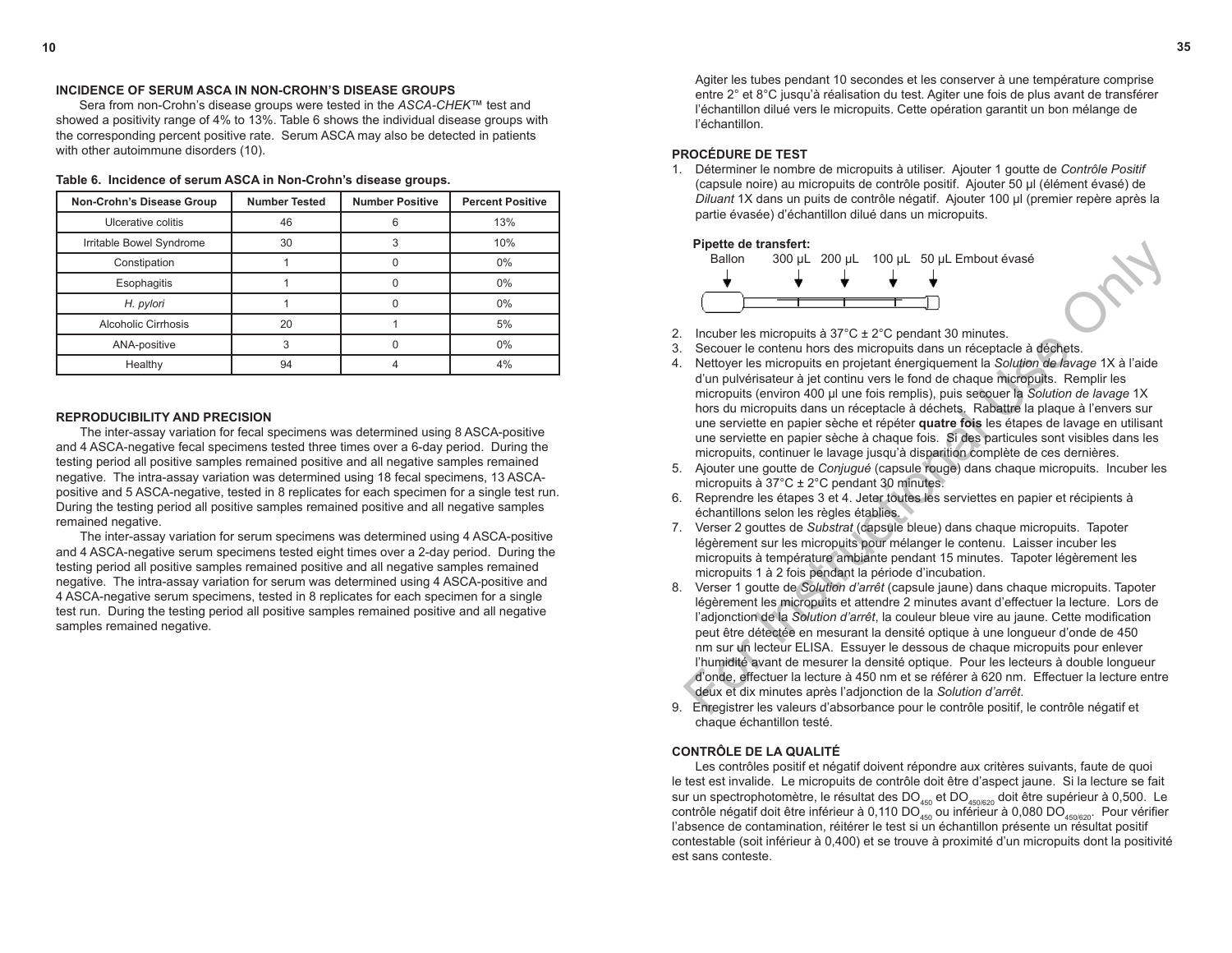Agiter les tubes pendant 10 secondes et les conserver à une température comprise entre 2° et 8°C jusqu'à réalisation du test. Agiter une fois de plus avant de transférer l'échantillon dilué vers le micropuits. Cette opération garantit un bon mélange de l'échantillon.

# **PROCÉDURE DE TEST**

1. Déterminer le nombre de micropuits à utiliser. Ajouter 1 goutte de *Contrôle Positif* (capsule noire) au micropuits de contrôle positif. Ajouter 50 µl (élément évasé) de *Diluant* 1X dans un puits de contrôle négatif. Ajouter 100 µl (premier repère après la partie évasée) d'échantillon dilué dans un micropuits.



- 2. Incuber les micropuits à  $37^{\circ}$ C  $\pm$  2 $^{\circ}$ C pendant 30 minutes.<br>3. Secouer le contenu hors des micropuits dans un réceptac
- 3. Secouer le contenu hors des micropuits dans un réceptacle à déchets.
- 4. Nettoyer les micropuits en projetant énergiquement la *Solution de lavage* 1X à l'aide d'un pulvérisateur à jet continu vers le fond de chaque micropuits. Remplir les micropuits (environ 400 µl une fois remplis), puis secouer la *Solution de lavage* 1X hors du micropuits dans un réceptacle à déchets. Rabattre la plaque à l'envers sur une serviette en papier sèche et répéter **quatre fois** les étapes de lavage en utilisant une serviette en papier sèche à chaque fois. Si des particules sont visibles dans les micropuits, continuer le lavage jusqu'à disparition complète de ces dernières.
- 5. Ajouter une goutte de *Conjugué* (capsule rouge) dans chaque micropuits. Incuber les micropuits à 37°C ± 2°C pendant 30 minutes.
- 6. Reprendre les étapes 3 et 4. Jeter toutes les serviettes en papier et récipients à échantillons selon les règles établies.
- 7.Verser 2 gouttes de *Substrat* (capsule bleue) dans chaque micropuits. Tapoter légèrement sur les micropuits pour mélanger le contenu. Laisser incuber les micropuits à température ambiante pendant 15 minutes. Tapoter légèrement les micropuits 1 à 2 fois pendant la période d'incubation.
- 8. Verser 1 goutte de *Solution d'arrêt* (capsule jaune) dans chaque micropuits. Tapoter légèrement les micropuits et attendre 2 minutes avant d'effectuer la lecture. Lors de l'adjonction de la *Solution d'arrêt*, la couleur bleue vire au jaune. Cette modification peut être détectée en mesurant la densité optique à une longueur d'onde de 450 nm sur un lecteur ELISA. Essuyer le dessous de chaque micropuits pour enlever l'humidité avant de mesurer la densité optique. Pour les lecteurs à double longueur d'onde, effectuer la lecture à 450 nm et se référer à 620 nm. Effectuer la lecture entre deux et dix minutes après l'adjonction de la *Solution d'arrêt*. **Pipet de transferit.**<br> **Ealion and transferition**<br> **Ealion and transferition**<br> **Ealion 300 µL 200 µL 100 µL 50 µL Embout évasé<br>
Secoure le contenu hors des micropolis dans un réceptace à déchets.<br>
Nettoyer les micropolis**
- 9. Enregistrer les valeurs d'absorbance pour le contrôle positif, le contrôle négatif et chaque échantillon testé.

#### **CONTRÔLE DE LA QUALITÉ**

Les contrôles positif et négatif doivent répondre aux critères suivants, faute de quoi le test est invalide. Le micropuits de contrôle doit être d'aspect jaune. Si la lecture se fait sur un spectrophotomètre, le résultat des DO $_{\rm 450}$  et DO $_{\rm 450620}$  doit être supérieur à 0,500. Le contrôle négatif doit être inférieur à 0,110 DO<sub>450</sub> ou inférieur à 0,080 DO<sub>450/620</sub>. Pour vérifier l'absence de contamination, réitérer le test si un échantillon présente un résultat positif contestable (soit inférieur à 0,400) et se trouve à proximité d'un micropuits dont la positivité est sans conteste.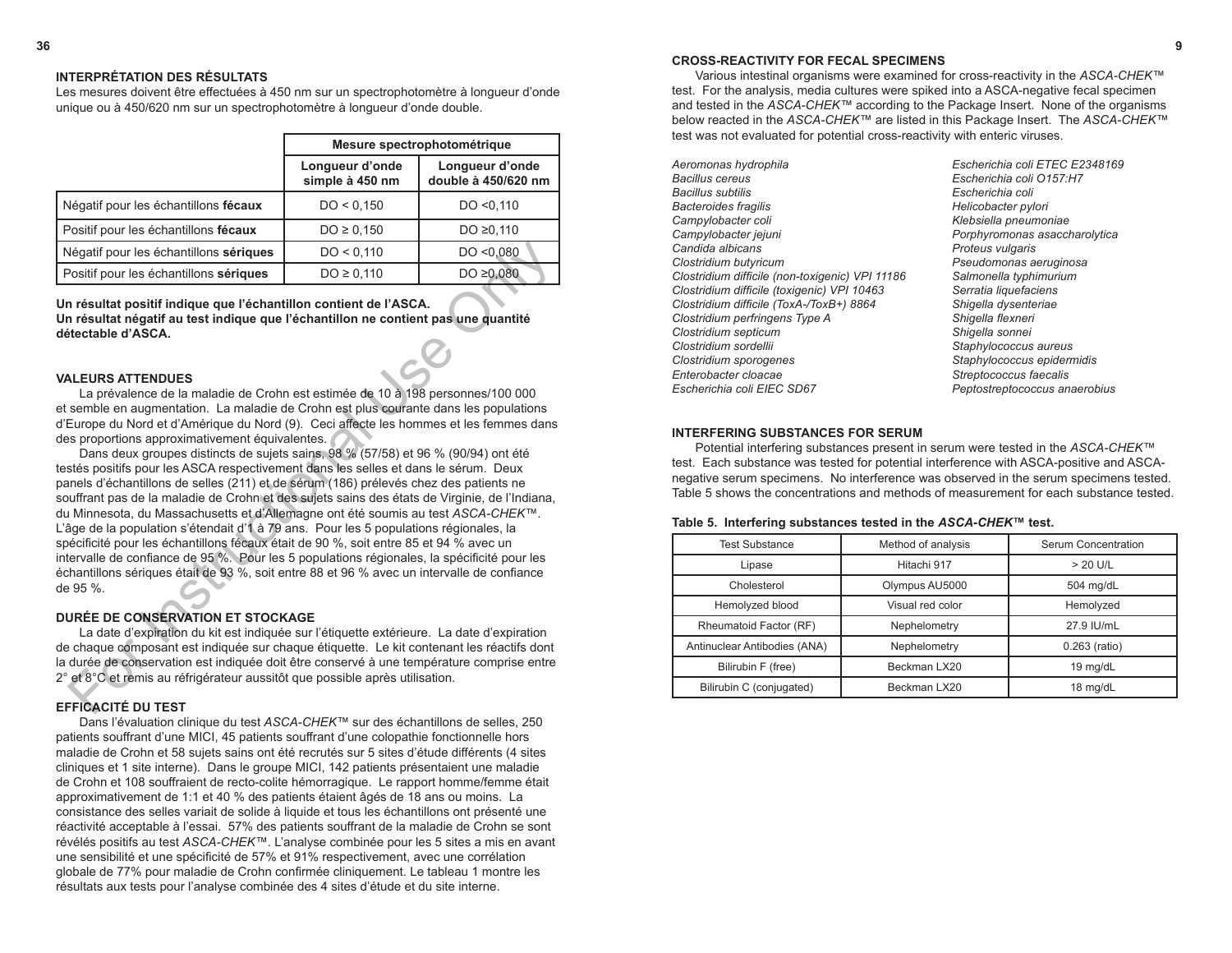#### **INTERPRÉTATION DES RÉSULTATS**

Les mesures doivent être effectuées à 450 nm sur un spectrophotomètre à longueur d'onde unique ou à 450/620 nm sur un spectrophotomètre à longueur d'onde double.

|                                        | Mesure spectrophotométrique        |                                        |  |
|----------------------------------------|------------------------------------|----------------------------------------|--|
|                                        | Longueur d'onde<br>simple à 450 nm | Longueur d'onde<br>double à 450/620 nm |  |
| Négatif pour les échantillons fécaux   | DO < 0.150                         | DO < 0.110                             |  |
| Positif pour les échantillons fécaux   | $DO \ge 0,150$                     | DO ≥0,110                              |  |
| Négatif pour les échantillons sériques | DO < 0,110                         | DO < 0.080                             |  |
| Positif pour les échantillons sériques | $DO \ge 0,110$                     | DO $\geq 0.080$                        |  |

**Un résultat positif indique que l'échantillon contient de l'ASCA. Un résultat négatif au test indique que l'échantillon ne contient pas une quantité détectable d'ASCA.**

#### **VALEURS ATTENDUES**

La prévalence de la maladie de Crohn est estimée de 10 à 198 personnes/100 000 et semble en augmentation. La maladie de Crohn est plus courante dans les populations d'Europe du Nord et d'Amérique du Nord (9). Ceci affecte les hommes et les femmes dans des proportions approximativement équivalentes.

Dans deux groupes distincts de sujets sains, 98 % (57/58) et 96 % (90/94) ont été testés positifs pour les ASCA respectivement dans les selles et dans le sérum. Deux panels d'échantillons de selles (211) et de sérum (186) prélevés chez des patients ne souffrant pas de la maladie de Crohn et des sujets sains des états de Virginie, de l'Indiana, du Minnesota, du Massachusetts et d'Allemagne ont été soumis au test *ASCA-CHEK™*. L'âge de la population s'étendait d'1 à 79 ans. Pour les 5 populations régionales, la spécificité pour les échantillons fécaux était de 90 %, soit entre 85 et 94 % avec un intervalle de confiance de 95 %. Pour les 5 populations régionales, la spécificité pour les échantillons sériques était de 93 %, soit entre 88 et 96 % avec un intervalle de confiance de 95 %. Negatif pour les échantillons sériques<br>
Do <0,110 Do <0,080<br>
Dositif pour les échantillons sériques<br>
Do ≥0,110 Do ≥0,080<br>
Trésultat positif indique que l'échantillon contient de l'ASCA.<br>
NEEURS ATTENDUES<br>
La prévalence de

# **DURÉE DE CONSERVATION ET STOCKAGE**

La date d'expiration du kit est indiquée sur l'étiquette extérieure. La date d'expiration de chaque composant est indiquée sur chaque étiquette. Le kit contenant les réactifs dont la durée de conservation est indiquée doit être conservé à une température comprise entre 2° et 8°C et remis au réfrigérateur aussitôt que possible après utilisation.

# **EFFICACITÉ DU TEST**

Dans l'évaluation clinique du test *ASCA-CHEK™* sur des échantillons de selles, 250 patients souffrant d'une MICI, 45 patients souffrant d'une colopathie fonctionnelle hors maladie de Crohn et 58 sujets sains ont été recrutés sur 5 sites d'étude différents (4 sites cliniques et 1 site interne). Dans le groupe MICI, 142 patients présentaient une maladie de Crohn et 108 souffraient de recto-colite hémorragique. Le rapport homme/femme était approximativement de 1:1 et 40 % des patients étaient âgés de 18 ans ou moins. La consistance des selles variait de solide à liquide et tous les échantillons ont présenté une réactivité acceptable à l'essai. 57% des patients souffrant de la maladie de Crohn se sont révélés positifs au test *ASCA-CHEK™*. L'analyse combinée pour les 5 sites a mis en avant une sensibilité et une spécificité de 57% et 91% respectivement, avec une corrélation globale de 77% pour maladie de Crohn confirmée cliniquement. Le tableau 1 montre les résultats aux tests pour l'analyse combinée des 4 sites d'étude et du site interne.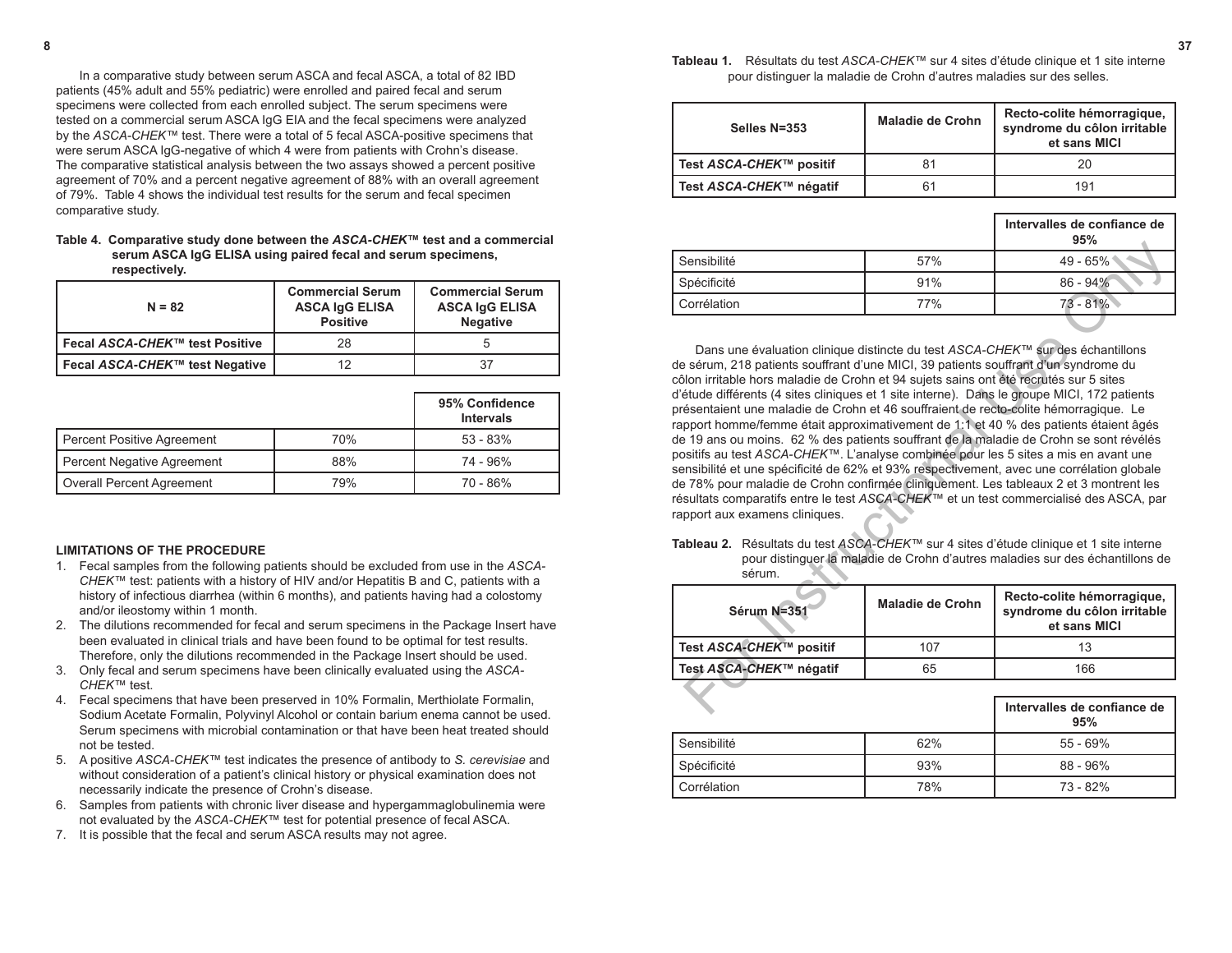**8 37 Tableau 1.** Résultats du test *ASCA-CHEK™* sur 4 sites d'étude clinique et 1 site interne pour distinguer la maladie de Crohn d'autres maladies sur des selles.

| Selles N=353            | <b>Maladie de Crohn</b> | Recto-colite hémorragique,<br>syndrome du côlon irritable<br>et sans MICI |
|-------------------------|-------------------------|---------------------------------------------------------------------------|
| Test ASCA-CHEK™ positif | 81                      | 20                                                                        |
| Test ASCA-CHEK™ négatif | 61                      | 191                                                                       |

|             |     | Intervalles de confiance de<br>95% |
|-------------|-----|------------------------------------|
| Sensibilité | 57% | $49 - 65%$                         |
| Spécificité | 91% | $86 - 94%$                         |
| Corrélation | 77% | $73 - 81%$                         |

Dans une évaluation clinique distincte du test *ASCA-CHEK™* sur des échantillons de sérum, 218 patients souffrant d'une MICI, 39 patients souffrant d'un syndrome du côlon irritable hors maladie de Crohn et 94 sujets sains ont été recrutés sur 5 sites d'étude différents (4 sites cliniques et 1 site interne). Dans le groupe MICI, 172 patients présentaient une maladie de Crohn et 46 souffraient de recto-colite hémorragique. Le rapport homme/femme était approximativement de 1:1 et 40 % des patients étaient âgés de 19 ans ou moins. 62 % des patients souffrant de la maladie de Crohn se sont révélés positifs au test *ASCA-CHEK™*. L'analyse combinée pour les 5 sites a mis en avant une sensibilité et une spécificité de 62% et 93% respectivement, avec une corrélation globale de 78% pour maladie de Crohn confirmée cliniquement. Les tableaux 2 et 3 montrent les résultats comparatifs entre le test *ASCA-CHEK™* et un test commercialisé des ASCA, par rapport aux examens cliniques. Sensibilité  $\frac{97\%}{49.68\%}$ <br>
Spécificité  $\frac{91\%}{77\%}$   $\frac{49.65\%}{78.81\%}$ <br>
Dans une évaluation clinique distincte du test ASCA-CHEK<sup>m</sup> sur des Agademillons<br>
sérum, 218 patients souffrant d'une MICI, 39 patients so

**Tableau 2.** Résultats du test *ASCA-CHEK™* sur 4 sites d'étude clinique et 1 site interne pour distinguer la maladie de Crohn d'autres maladies sur des échantillons de sérum.

| Sérum N=351             | <b>Maladie de Crohn</b> | Recto-colite hémorragique,<br>syndrome du côlon irritable<br>et sans MICI |
|-------------------------|-------------------------|---------------------------------------------------------------------------|
| Test ASCA-CHEK™ positif | 107                     |                                                                           |
| Test ASCA-CHEK™ négatif | 65                      | 166                                                                       |

|               |     | Intervalles de confiance de<br>95% |
|---------------|-----|------------------------------------|
| l Sensibilité | 62% | $55 - 69%$                         |
| Spécificité   | 93% | $88 - 96%$                         |
| Corrélation   | 78% | 73 - 82%                           |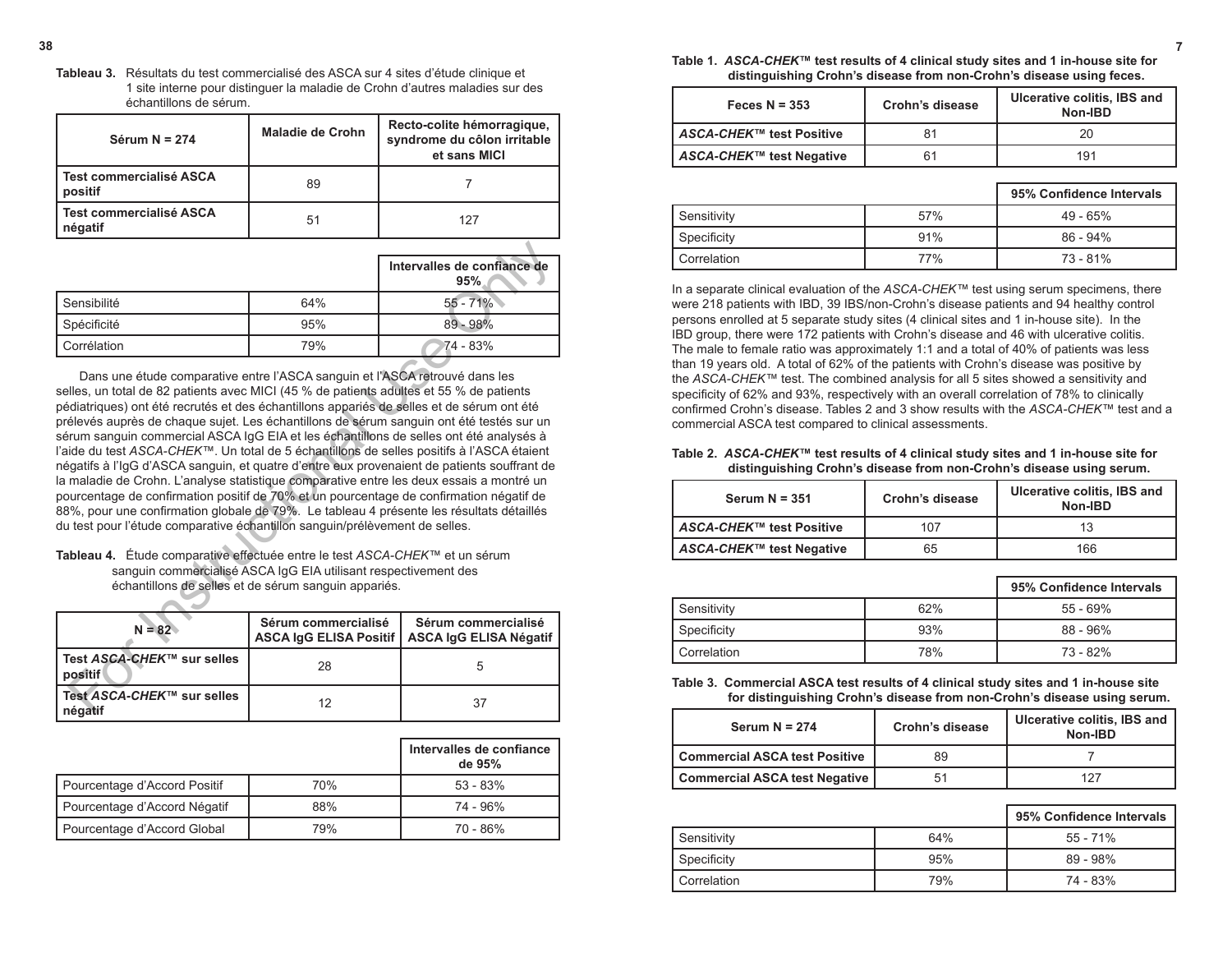**Tableau 3.** Résultats du test commercialisé des ASCA sur 4 sites d'étude clinique et 1 site interne pour distinguer la maladie de Crohn d'autres maladies sur des échantillons de sérum.

| Sérum $N = 274$                      | <b>Maladie de Crohn</b> | Recto-colite hémorragique,<br>syndrome du côlon irritable<br>et sans MICI |
|--------------------------------------|-------------------------|---------------------------------------------------------------------------|
| l Test commercialisé ASCA<br>positif | 89                      |                                                                           |
| l Test commercialisé ASCA<br>négatif | 51                      | 127                                                                       |

|               |     | Intervalles de confiance de<br>95% |
|---------------|-----|------------------------------------|
| Sensibilité   | 64% | $55 - 71%$                         |
| Spécificité   | 95% | $89 - 98%$                         |
| l Corrélation | 79% | 74 - 83%                           |

Dans une étude comparative entre l'ASCA sanguin et l'ASCA retrouvé dans les selles, un total de 82 patients avec MICI (45 % de patients adultes et 55 % de patients pédiatriques) ont été recrutés et des échantillons appariés de selles et de sérum ont été prélevés auprès de chaque sujet. Les échantillons de sérum sanguin ont été testés sur un sérum sanguin commercial ASCA IgG EIA et les échantillons de selles ont été analysés à l'aide du test *ASCA-CHEK™*. Un total de 5 échantillons de selles positifs à l'ASCA étaient négatifs à l'IgG d'ASCA sanguin, et quatre d'entre eux provenaient de patients souffrant de la maladie de Crohn. L'analyse statistique comparative entre les deux essais a montré un pourcentage de confirmation positif de 70% et un pourcentage de confirmation négatif de 88%, pour une confirmation globale de 79%. Le tableau 4 présente les résultats détaillés du test pour l'étude comparative échantillon sanguin/prélèvement de selles. **Example 11**<br> **Example 12**<br> **Example 12**<br> **Example 12**<br> **Example 12**<br> **Example 12**<br> **Example 12**<br> **Example 12**<br> **Example 12**<br> **Example 12**<br> **Example 12**<br> **Example 12**<br> **Example 12**<br> **Example 12**<br> **Example 12**<br> **Example 12** 

**Tableau 4.** Étude comparative effectuée entre le test *ASCA-CHEK™* et un sérum sanguin commercialisé ASCA IgG EIA utilisant respectivement des échantillons de selles et de sérum sanguin appariés.

| $N = 82$                                        | Sérum commercialisé | Sérum commercialisé<br>ASCA IgG ELISA Positif   ASCA IgG ELISA Négatif |
|-------------------------------------------------|---------------------|------------------------------------------------------------------------|
| l Test <i>ASCA-CHEK</i> ™ sur selles<br>positif | 28                  |                                                                        |
| l Test <i>ASCA-CHEK</i> ™ sur selles<br>négatif | 12                  | 37                                                                     |

|                              |     | Intervalles de confiance<br>de 95% |
|------------------------------|-----|------------------------------------|
| Pourcentage d'Accord Positif | 70% | $53 - 83%$                         |
| Pourcentage d'Accord Négatif | 88% | 74 - 96%                           |
| Pourcentage d'Accord Global  | 79% | 70 - 86%                           |

**38 7**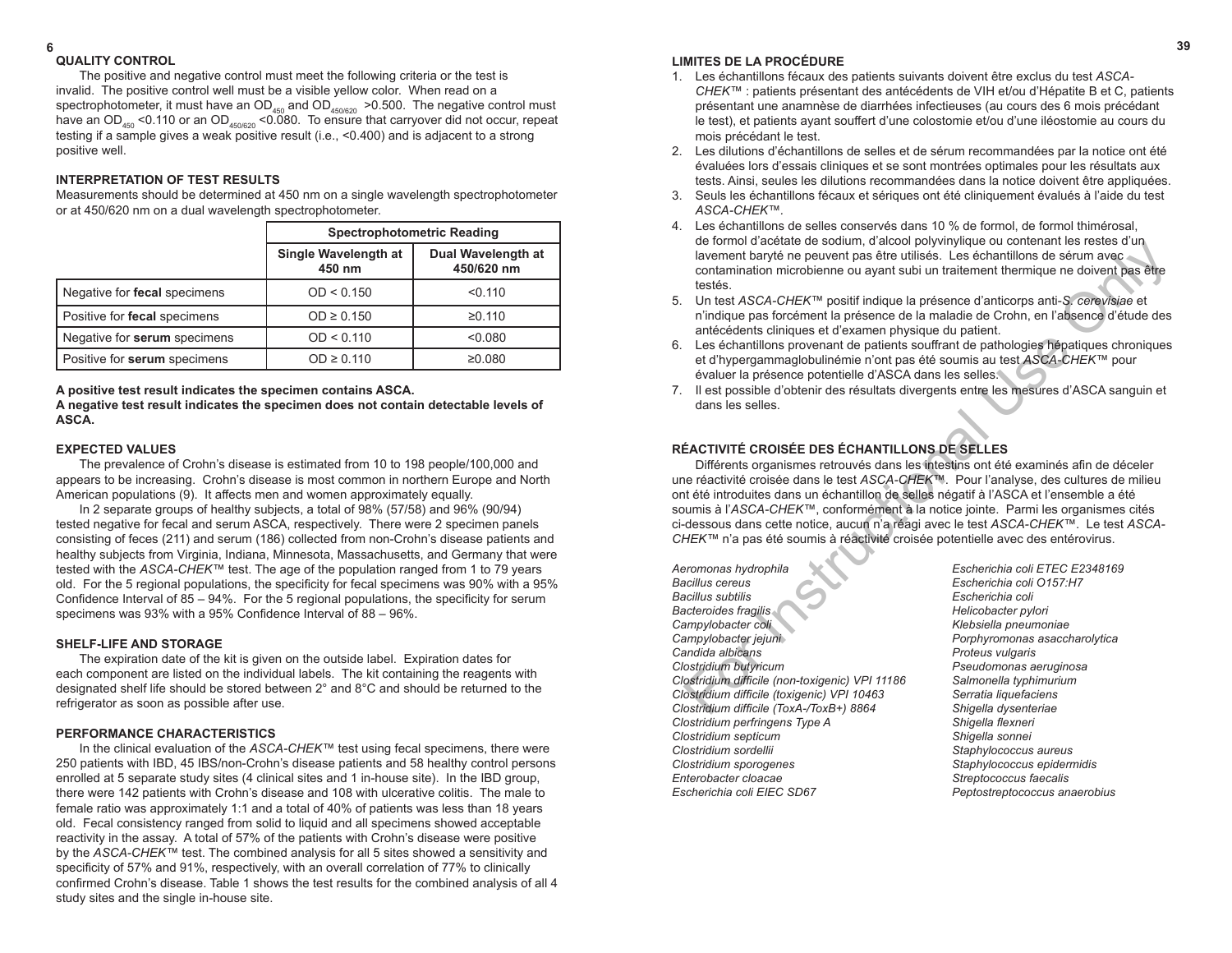# **6 39 LIMITES DE LA PROCÉDURE**

- Les échantillons fécaux des patients suivants doivent être exclus du test *ASCA-CHEK™* : patients présentant des antécédents de VIH et/ou d'Hépatite B et C, patients présentant une anamnèse de diarrhées infectieuses (au cours des 6 mois précédant le test), et patients ayant souffert d'une colostomie et/ou d'une iléostomie au cours du mois précédant le test.
- 2. Les dilutions d'échantillons de selles et de sérum recommandées par la notice ont été évaluées lors d'essais cliniques et se sont montrées optimales pour les résultats aux tests. Ainsi, seules les dilutions recommandées dans la notice doivent être appliquées.
- 3. Seuls les échantillons fécaux et sériques ont été cliniquement évalués à l'aide du test *ASCA-CHEK™.*
- 4. Les échantillons de selles conservés dans 10 % de formol, de formol thimérosal, de formol d'acétate de sodium, d'alcool polyvinylique ou contenant les restes d'un lavement baryté ne peuvent pas être utilisés. Les échantillons de sérum avec contamination microbienne ou ayant subi un traitement thermique ne doivent pas être testés.
- 5. Un test *ASCA-CHEK™* positif indique la présence d'anticorps anti-*S. cerevisiae* et n'indique pas forcément la présence de la maladie de Crohn, en l'absence d'étude des antécédents cliniques et d'examen physique du patient.
- 6. Les échantillons provenant de patients souffrant de pathologies hépatiques chroniques et d'hypergammaglobulinémie n'ont pas été soumis au test *ASCA-CHEK™* pour évaluer la présence potentielle d'ASCA dans les selles.
- 7. Il est possible d'obtenir des résultats divergents entre les mesures d'ASCA sanguin et dans les selles.

# **RÉACTIVITÉ CROISÉE DES ÉCHANTILLONS DE SELLES**

Différents organismes retrouvés dans les intestins ont été examinés afin de déceler une réactivité croisée dans le test *ASCA-CHEK™*. Pour l'analyse, des cultures de milieu ont été introduites dans un échantillon de selles négatif à l'ASCA et l'ensemble a été soumis à l'*ASCA-CHEK™*, conformément à la notice jointe. Parmi les organismes cités ci-dessous dans cette notice, aucun n'a réagi avec le test *ASCA-CHEK™*. Le test *ASCA-CHEK™* n'a pas été soumis à réactivité croisée potentielle avec des entérovirus. Le tourino decrease to solution and the serves that the serves the serves of the laternal interaction and the serves of the serves of the serves of the serves of the serves of the serves of the serves of the serves of the

*Aeromonas hydrophila Escherichia coli ETEC E2348169 Bacillus cereus Escherichia coli O157:H7 Bacillus subtilis Escherichia coli* **Bacteroides fragilis Helicobacter pylori** *Campylobacter coli Klebsiella pneumoniae Campylobacter jejuni Porphyromonas asaccharolytica Candida albicans Proteus vulgaris Clostridium butyricum Pseudomonas aeruginosa Clostridium difficile (non-toxigenic) VPI 11186 Salmonella typhimurium Clostridium difficile (toxigenic) VPI 10463 Serratia liquefaciens Clostridium difficile (ToxA-/ToxB+) 8864 Shigella dysenteriae Clostridium perfringens Type A Shigella flexneri Clostridium septicum Shigella sonnei Clostridium sordellii Staphylococcus aureus Clostridium sporogenes Staphylococcus epidermidis Enterobacter cloacae Streptococcus faecalis Escherichia coli EIEC SD67 Peptostreptococcus anaerobius*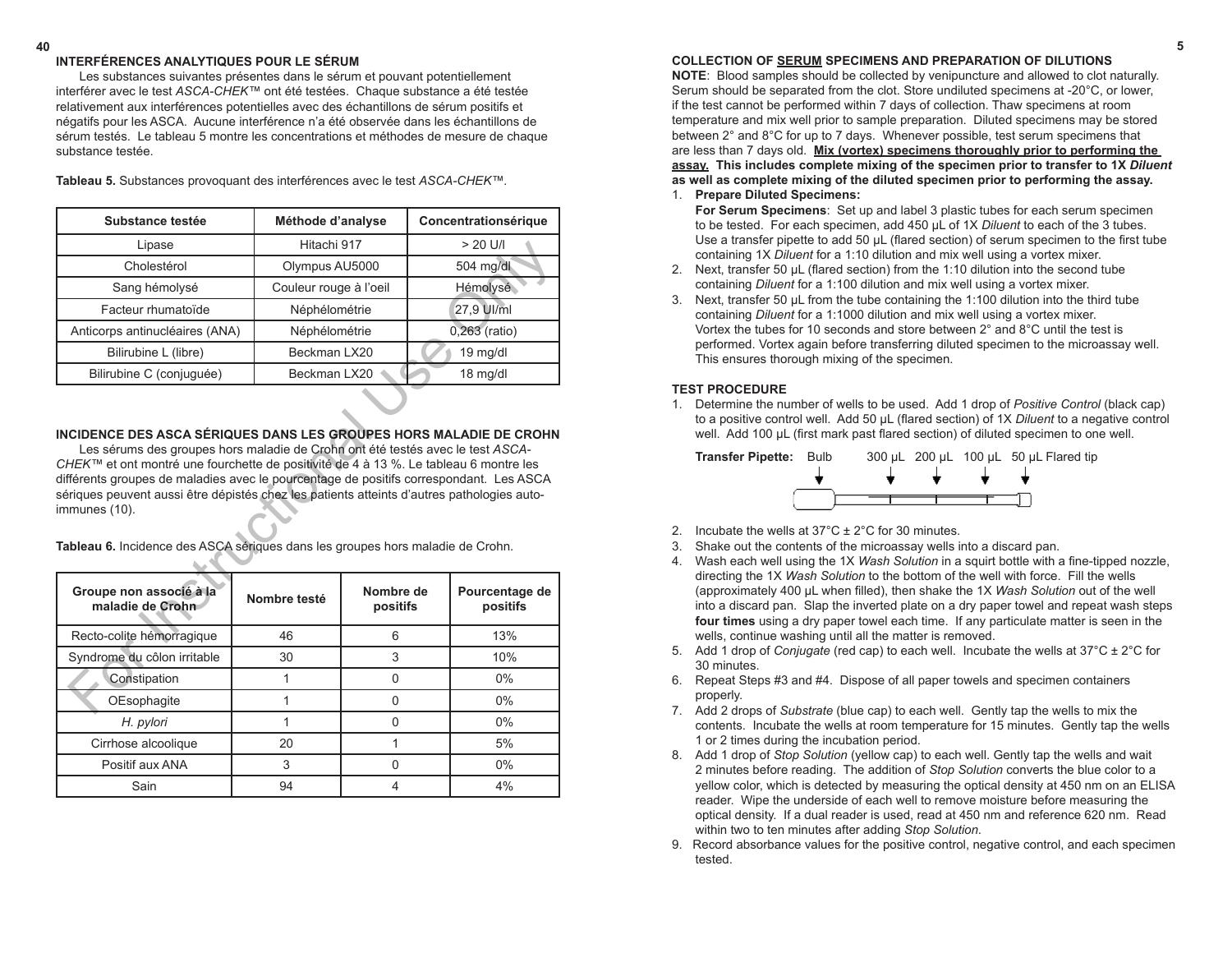#### **40 5 INTERFÉRENCES ANALYTIQUES POUR LE SÉRUM**

Les substances suivantes présentes dans le sérum et pouvant potentiellement interférer avec le test *ASCA-CHEK™* ont été testées. Chaque substance a été testée relativement aux interférences potentielles avec des échantillons de sérum positifs et négatifs pour les ASCA. Aucune interférence n'a été observée dans les échantillons de sérum testés. Le tableau 5 montre les concentrations et méthodes de mesure de chaque substance testée.

| Substance testée                                                                                                                                                                                                                                                                                                                                                                                                                                                                                                                         |               | Méthode d'analyse      |                 | Concentrationsérique       |  |  |
|------------------------------------------------------------------------------------------------------------------------------------------------------------------------------------------------------------------------------------------------------------------------------------------------------------------------------------------------------------------------------------------------------------------------------------------------------------------------------------------------------------------------------------------|---------------|------------------------|-----------------|----------------------------|--|--|
| Lipase                                                                                                                                                                                                                                                                                                                                                                                                                                                                                                                                   |               | Hitachi 917            |                 | $> 20$ U/I                 |  |  |
| Cholestérol                                                                                                                                                                                                                                                                                                                                                                                                                                                                                                                              |               | Olympus AU5000         |                 | 504 mg/dl                  |  |  |
| Sang hémolysé                                                                                                                                                                                                                                                                                                                                                                                                                                                                                                                            |               | Couleur rouge à l'oeil |                 | <b>Hémolysé</b>            |  |  |
| Facteur rhumatoïde                                                                                                                                                                                                                                                                                                                                                                                                                                                                                                                       | Néphélométrie |                        | 27,9 Ul/ml      |                            |  |  |
| Anticorps antinucléaires (ANA)                                                                                                                                                                                                                                                                                                                                                                                                                                                                                                           | Néphélométrie |                        | $0,263$ (ratio) |                            |  |  |
| Bilirubine L (libre)                                                                                                                                                                                                                                                                                                                                                                                                                                                                                                                     | Beckman LX20  |                        | 19 mg/dl        |                            |  |  |
| Bilirubine C (conjuguée)                                                                                                                                                                                                                                                                                                                                                                                                                                                                                                                 | Beckman LX20  |                        |                 | 18 mg/dl                   |  |  |
| INCIDENCE DES ASCA SÉRIQUES DANS LES GROUPES HORS MALADIE DE CROHN<br>Les sérums des groupes hors maladie de Crohn ont été testés avec le test ASCA-<br>CHEK™ et ont montré une fourchette de positivité de 4 à 13 %. Le tableau 6 montre les<br>différents groupes de maladies avec le pourcentage de positifs correspondant. Les ASCA<br>sériques peuvent aussi être dépistés chez les patients atteints d'autres pathologies auto-<br>immunes (10).<br>Tableau 6. Incidence des ASCA sériques dans les groupes hors maladie de Crohn. |               |                        |                 |                            |  |  |
| Groupe non associé à la<br>maladie de Crohn                                                                                                                                                                                                                                                                                                                                                                                                                                                                                              | Nombre testé  | Nombre de<br>positifs  |                 | Pourcentage de<br>positifs |  |  |
| Recto-colite hémorragique                                                                                                                                                                                                                                                                                                                                                                                                                                                                                                                | 46            | 6                      |                 | 13%                        |  |  |
| Syndrome du côlon irritable                                                                                                                                                                                                                                                                                                                                                                                                                                                                                                              | 30            | 3                      |                 | 10%                        |  |  |
| Constipation                                                                                                                                                                                                                                                                                                                                                                                                                                                                                                                             | 1             | $\Omega$               |                 |                            |  |  |
|                                                                                                                                                                                                                                                                                                                                                                                                                                                                                                                                          |               |                        |                 | $0\%$                      |  |  |

**Tableau 5.** Substances provoquant des interférences avec le test *ASCA-CHEK™.*

# **INCIDENCE DES ASCA SÉRIQUES DANS LES GROUPES HORS MALADIE DE CROHN**

| Groupe non associé à la<br>maladie de Crohn | Nombre testé | Nombre de<br>positifs | Pourcentage de<br>positifs |
|---------------------------------------------|--------------|-----------------------|----------------------------|
| Recto-colite hémorragique                   | 46           | 6                     | 13%                        |
| Syndrome du côlon irritable                 | 30           | 3                     | 10%                        |
| Constipation                                |              |                       | $0\%$                      |
| OEsophagite                                 |              |                       | 0%                         |
| H. pylori                                   |              |                       | 0%                         |
| Cirrhose alcoolique                         | 20           |                       | 5%                         |
| Positif aux ANA                             | 3            |                       | 0%                         |
| Sain                                        | 94           |                       | 4%                         |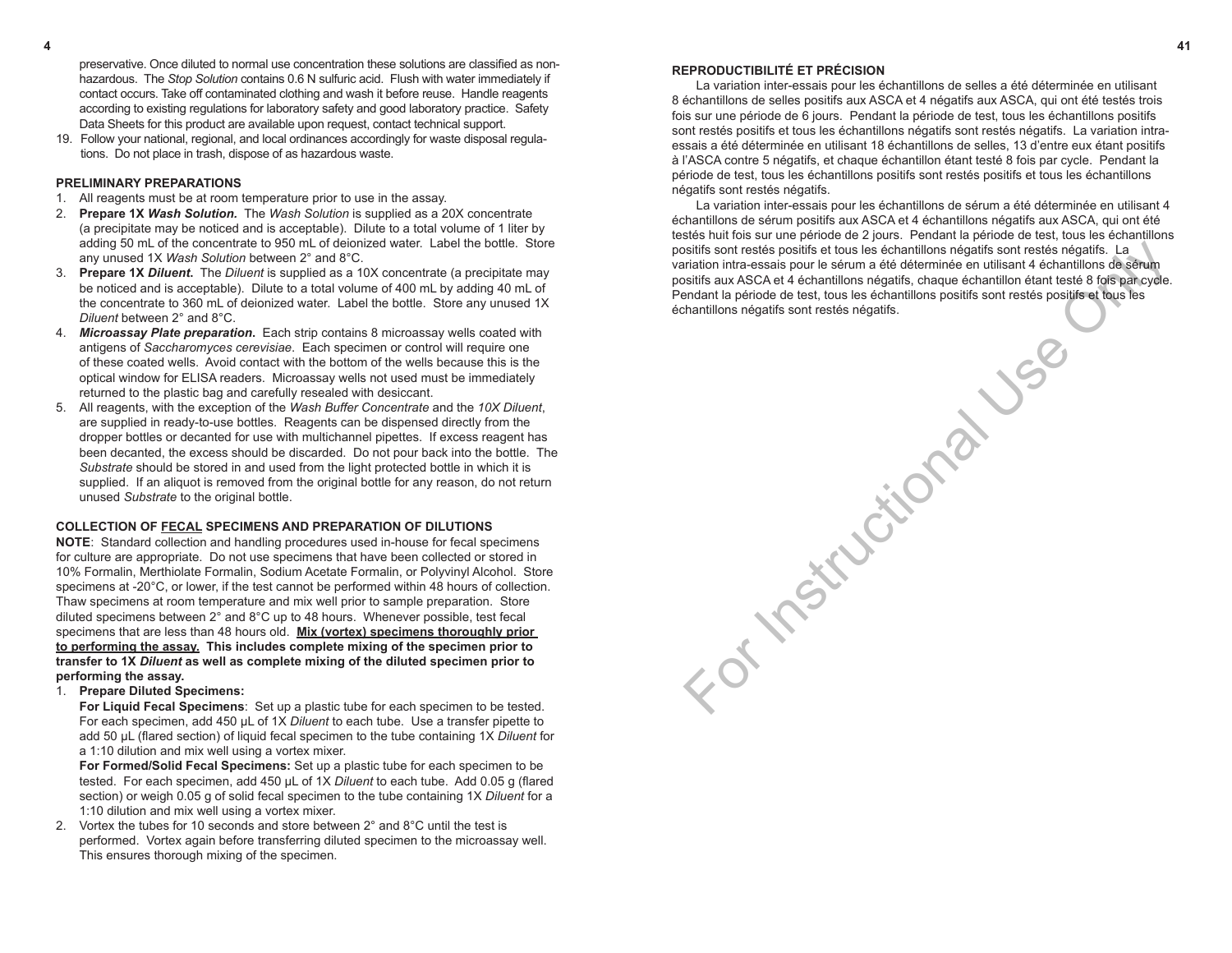# **REPRODUCTIBILITÉ ET PRÉCISION**

 La variation inter-essais pour les échantillons de selles a été déterminée en utilisant 8 échantillons de selles positifs aux ASCA et 4 négatifs aux ASCA, qui ont été testés trois fois sur une période de 6 jours. Pendant la période de test, tous les échantillons positifs sont restés positifs et tous les échantillons négatifs sont restés négatifs. La variation intraessais a été déterminée en utilisant 18 échantillons de selles, 13 d'entre eux étant positifs à l'ASCA contre 5 négatifs, et chaque échantillon étant testé 8 fois par cycle. Pendant la période de test, tous les échantillons positifs sont restés positifs et tous les échantillons négatifs sont restés négatifs.

 La variation inter-essais pour les échantillons de sérum a été déterminée en utilisant 4 échantillons de sérum positifs aux ASCA et 4 échantillons négatifs aux ASCA, qui ont été testés huit fois sur une période de 2 jours. Pendant la période de test, tous les échantillons positifs sont restés positifs et tous les échantillons négatifs sont restés négatifs. La variation intra-essais pour le sérum a été déterminée en utilisant 4 échantillons de sérum positifs aux ASCA et 4 échantillons négatifs, chaque échantillon étant testé 8 fois par cycle. Pendant la période de test, tous les échantillons positifs sont restés positifs et tous les échantillons négatifs sont restés négatifs. Seitifs sont restés positifs et tous les échantillons négatifs sont restés négatifs. La<br>principalité de segment de échantillons de déterminée en utilisant 4 échantillons de segment de la déterminée du tilisant de la déterm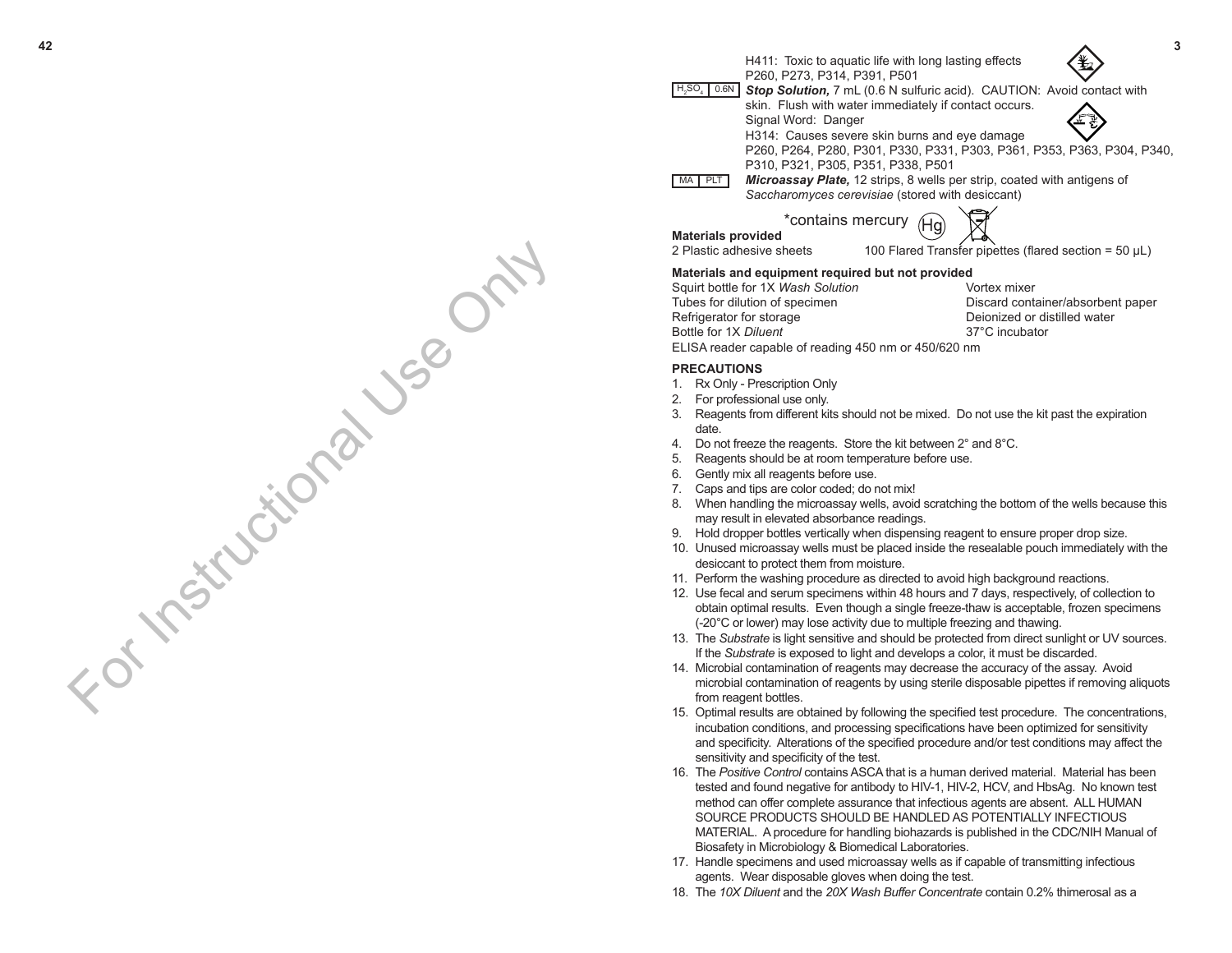For Instructional Use Only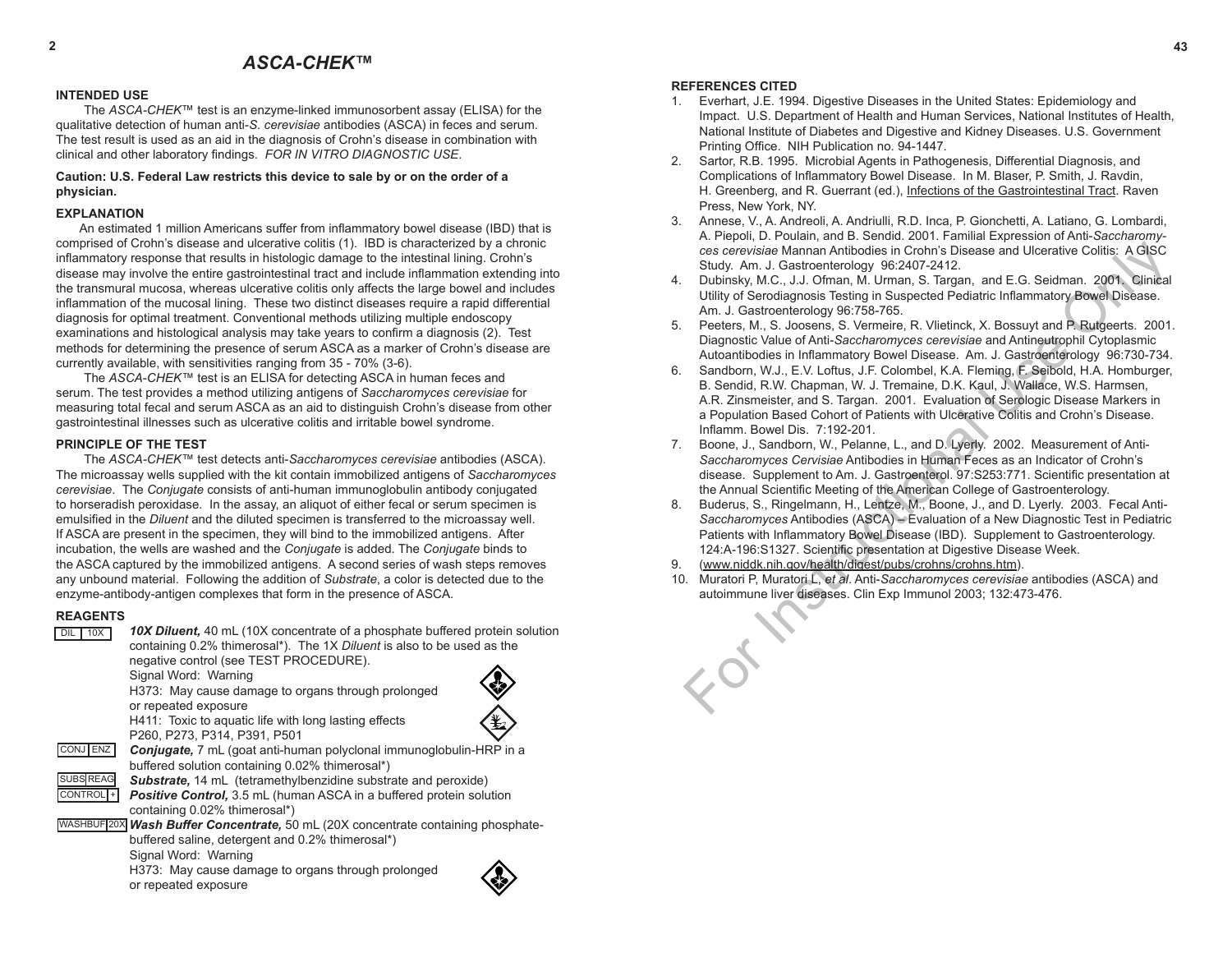# **REFERENCES CITED**

- 1. Everhart, J.E. 1994. Digestive Diseases in the United States: Epidemiology and Impact. U.S. Department of Health and Human Services, National Institutes of Health, National Institute of Diabetes and Digestive and Kidney Diseases. U.S. Government Printing Office. NIH Publication no. 94-1447.
- 2. Sartor, R.B. 1995. Microbial Agents in Pathogenesis, Differential Diagnosis, and Complications of Inflammatory Bowel Disease. In M. Blaser, P. Smith, J. Ravdin, H. Greenberg, and R. Guerrant (ed.), Infections of the Gastrointestinal Tract. Raven Press, New York, NY.
- 3. Annese, V., A. Andreoli, A. Andriulli, R.D. Inca, P. Gionchetti, A. Latiano, G. Lombardi, A. Piepoli, D. Poulain, and B. Sendid. 2001. Familial Expression of Anti-*Saccharomyces cerevisiae* Mannan Antibodies in Crohn's Disease and Ulcerative Colitis: A GISC Study. Am. J. Gastroenterology 96:2407-2412.
- 4. Dubinsky, M.C., J.J. Ofman, M. Urman, S. Targan, and E.G. Seidman. 2001. Clinical Utility of Serodiagnosis Testing in Suspected Pediatric Inflammatory Bowel Disease. Am. J. Gastroenterology 96:758-765.
- 5. Peeters, M., S. Joosens, S. Vermeire, R. Vlietinck, X. Bossuyt and P. Rutgeerts. 2001. Diagnostic Value of Anti-*Saccharomyces cerevisiae* and Antineutrophil Cytoplasmic Autoantibodies in Inflammatory Bowel Disease. Am. J. Gastroenterology 96:730-734.
- 6. Sandborn, W.J., E.V. Loftus, J.F. Colombel, K.A. Fleming, F. Seibold, H.A. Homburger, B. Sendid, R.W. Chapman, W. J. Tremaine, D.K. Kaul, J. Wallace, W.S. Harmsen, A.R. Zinsmeister, and S. Targan. 2001. Evaluation of Serologic Disease Markers in a Population Based Cohort of Patients with Ulcerative Colitis and Crohn's Disease. Inflamm. Bowel Dis. 7:192-201. ces cerevisiae Mannan Antibodies in Crohn's Disease and Ulcerative Colitis: A GISC<br>
Study, Am. J. Gastroenterology 96:2407-2412.<br>
Dubinsky, M.C., J.J. Ofman, M. Urman, S. Targan, and E.G. Seidman. 2001. Glinical<br>
Ultillity
- 7. Boone, J., Sandborn, W., Pelanne, L., and D. Lyerly. 2002. Measurement of Anti-*Saccharomyces Cervisiae* Antibodies in Human Feces as an Indicator of Crohn's disease. Supplement to Am. J. Gastroenterol. 97:S253:771. Scientific presentation at the Annual Scientific Meeting of the American College of Gastroenterology.
- 8. Buderus, S., Ringelmann, H., Lentze, M., Boone, J., and D. Lyerly. 2003. Fecal Anti-*Saccharomyces* Antibodies (ASCA) – Evaluation of a New Diagnostic Test in Pediatric Patients with Inflammatory Bowel Disease (IBD). Supplement to Gastroenterology. 124:A-196:S1327. Scientific presentation at Digestive Disease Week.
- 9. (www.niddk.nih.gov/health/digest/pubs/crohns/crohns.htm).
- 10. Muratori P, Muratori L, *et al*. Anti-*Saccharomyces cerevisiae* antibodies (ASCA) and autoimmune liver diseases. Clin Exp Immunol 2003; 132:473-476.